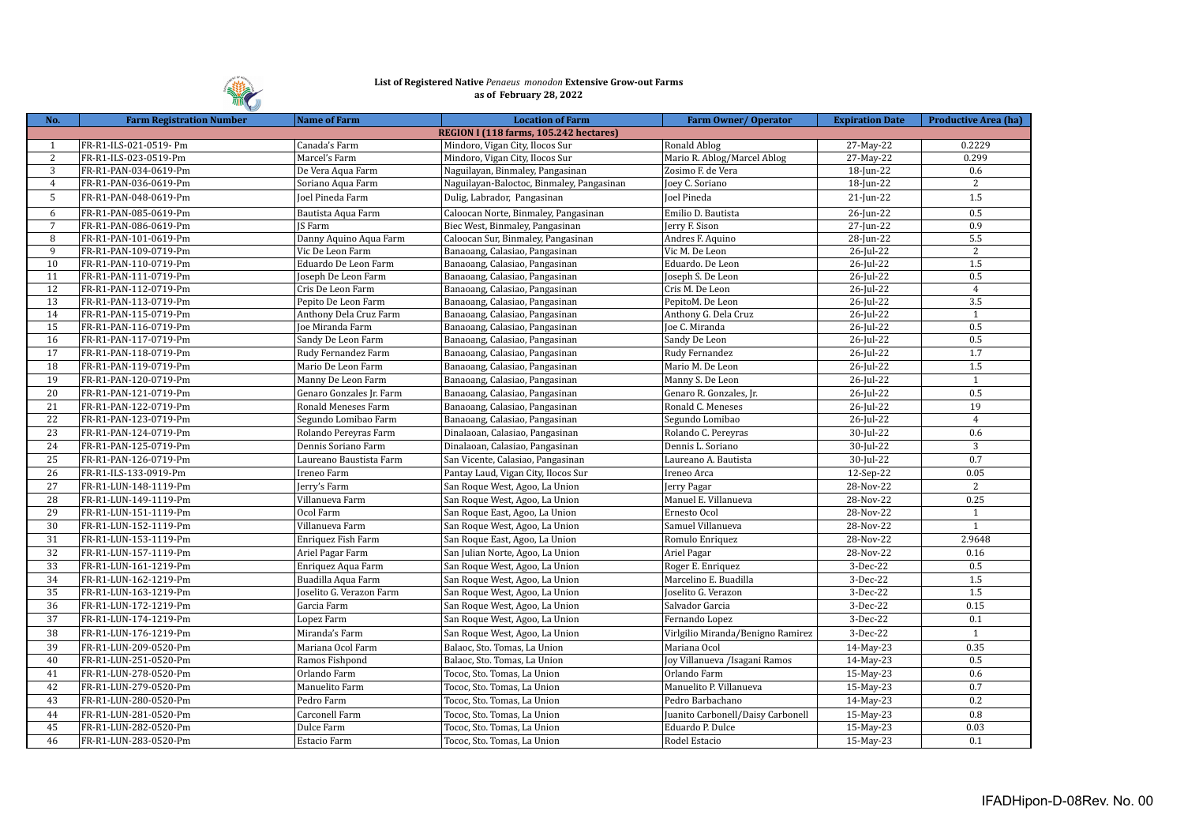

## **List of Registered Native** *Penaeus monodon* **Extensive Grow-out Farms as of February 28, 2022**

| No.             | <b>Farm Registration Number</b> | <b>Name of Farm</b>      | <b>Location of Farm</b>                   | Farm Owner/Operator               | <b>Expiration Date</b> | <b>Productive Area (ha)</b> |
|-----------------|---------------------------------|--------------------------|-------------------------------------------|-----------------------------------|------------------------|-----------------------------|
|                 |                                 |                          | REGION I (118 farms, 105.242 hectares)    |                                   |                        |                             |
| $\mathbf{1}$    | FR-R1-ILS-021-0519- Pm          | Canada's Farm            | Mindoro, Vigan City, Ilocos Sur           | Ronald Ablog                      | 27-May-22              | 0.2229                      |
| 2               | FR-R1-ILS-023-0519-Pm           | Marcel's Farm            | Mindoro, Vigan City, Ilocos Sur           | Mario R. Ablog/Marcel Ablog       | 27-May-22              | 0.299                       |
| 3               | FR-R1-PAN-034-0619-Pm           | De Vera Aqua Farm        | Naguilayan, Binmaley, Pangasinan          | Zosimo F. de Vera                 | 18-Jun-22              | 0.6                         |
| $\overline{4}$  | FR-R1-PAN-036-0619-Pm           | Soriano Aqua Farm        | Naguilayan-Baloctoc, Binmaley, Pangasinan | Joey C. Soriano                   | 18-Jun-22              | 2                           |
| 5               | FR-R1-PAN-048-0619-Pm           | Joel Pineda Farm         | Dulig, Labrador, Pangasinan               | <b>Joel Pineda</b>                | $21$ -Jun-22           | 1.5                         |
| 6               | FR-R1-PAN-085-0619-Pm           | Bautista Aqua Farm       | Caloocan Norte, Binmaley, Pangasinan      | Emilio D. Bautista                | 26-Jun-22              | 0.5                         |
| $\overline{7}$  | FR-R1-PAN-086-0619-Pm           | <b>IS Farm</b>           | Biec West, Binmaley, Pangasinan           | Jerry F. Sison                    | 27-Jun-22              | 0.9                         |
| 8               | FR-R1-PAN-101-0619-Pm           | Danny Aquino Aqua Farm   | Caloocan Sur, Binmaley, Pangasinan        | Andres F. Aquino                  | 28-Jun-22              | 5.5                         |
| 9               | FR-R1-PAN-109-0719-Pm           | Vic De Leon Farm         | Banaoang, Calasiao, Pangasinan            | Vic M. De Leon                    | 26-Jul-22              | 2                           |
| 10              | FR-R1-PAN-110-0719-Pm           | Eduardo De Leon Farm     | Banaoang, Calasiao, Pangasinan            | Eduardo. De Leon                  | 26-Jul-22              | 1.5                         |
| 11              | FR-R1-PAN-111-0719-Pm           | Joseph De Leon Farm      | Banaoang, Calasiao, Pangasinan            | Joseph S. De Leon                 | 26-Jul-22              | 0.5                         |
| 12              | FR-R1-PAN-112-0719-Pm           | Cris De Leon Farm        | Banaoang, Calasiao, Pangasinan            | Cris M. De Leon                   | $26$ -Jul-22           | $\overline{4}$              |
| 13              | FR-R1-PAN-113-0719-Pm           | Pepito De Leon Farm      | Banaoang, Calasiao, Pangasinan            | PepitoM. De Leon                  | 26-Jul-22              | 3.5                         |
| 14              | FR-R1-PAN-115-0719-Pm           | Anthony Dela Cruz Farm   | Banaoang, Calasiao, Pangasinan            | Anthony G. Dela Cruz              | 26-Jul-22              | $\mathbf{1}$                |
| 15              | FR-R1-PAN-116-0719-Pm           | Joe Miranda Farm         | Banaoang, Calasiao, Pangasinan            | Joe C. Miranda                    | 26-Jul-22              | 0.5                         |
| 16              | FR-R1-PAN-117-0719-Pm           | Sandy De Leon Farm       | Banaoang, Calasiao, Pangasinan            | Sandy De Leon                     | 26-Jul-22              | 0.5                         |
| 17              | FR-R1-PAN-118-0719-Pm           | Rudy Fernandez Farm      | Banaoang, Calasiao, Pangasinan            | Rudy Fernandez                    | 26-Jul-22              | 1.7                         |
| 18              | FR-R1-PAN-119-0719-Pm           | Mario De Leon Farm       | Banaoang, Calasiao, Pangasinan            | Mario M. De Leon                  | 26-Jul-22              | $\overline{1.5}$            |
| 19              | FR-R1-PAN-120-0719-Pm           | Manny De Leon Farm       | Banaoang, Calasiao, Pangasinan            | Manny S. De Leon                  | 26-Jul-22              | $\mathbf{1}$                |
| 20              | FR-R1-PAN-121-0719-Pm           | Genaro Gonzales Jr. Farm | Banaoang, Calasiao, Pangasinan            | Genaro R. Gonzales, Jr.           | 26-Jul-22              | 0.5                         |
| 21              | FR-R1-PAN-122-0719-Pm           | Ronald Meneses Farm      | Banaoang, Calasiao, Pangasinan            | Ronald C. Meneses                 | 26-Jul-22              | 19                          |
| $\overline{22}$ | FR-R1-PAN-123-0719-Pm           | Segundo Lomibao Farm     | Banaoang, Calasiao, Pangasinan            | Segundo Lomibao                   | 26-Jul-22              | $\overline{4}$              |
| 23              | FR-R1-PAN-124-0719-Pm           | Rolando Pereyras Farm    | Dinalaoan, Calasiao, Pangasinan           | Rolando C. Pereyras               | 30-Jul-22              | 0.6                         |
| 24              | FR-R1-PAN-125-0719-Pm           | Dennis Soriano Farm      | Dinalaoan, Calasiao, Pangasinan           | Dennis L. Soriano                 | 30-Jul-22              | 3                           |
| 25              | FR-R1-PAN-126-0719-Pm           | Laureano Baustista Farm  | San Vicente, Calasiao, Pangasinan         | Laureano A. Bautista              | 30-Jul-22              | 0.7                         |
| 26              | FR-R1-ILS-133-0919-Pm           | Ireneo Farm              | Pantay Laud, Vigan City, Ilocos Sur       | Ireneo Arca                       | 12-Sep-22              | 0.05                        |
| $\overline{27}$ | FR-R1-LUN-148-1119-Pm           | Jerry's Farm             | San Roque West, Agoo, La Union            | Jerry Pagar                       | 28-Nov-22              | 2                           |
|                 |                                 |                          |                                           |                                   |                        | 0.25                        |
| 28              | FR-R1-LUN-149-1119-Pm           | Villanueva Farm          | San Roque West, Agoo, La Union            | Manuel E. Villanueva              | 28-Nov-22              |                             |
| 29              | FR-R1-LUN-151-1119-Pm           | Ocol Farm                | San Roque East, Agoo, La Union            | Ernesto Ocol                      | 28-Nov-22              | 1                           |
| 30              | FR-R1-LUN-152-1119-Pm           | Villanueva Farm          | San Roque West, Agoo, La Union            | Samuel Villanueva                 | 28-Nov-22              | $\mathbf{1}$                |
| 31              | FR-R1-LUN-153-1119-Pm           | Enriquez Fish Farm       | San Roque East, Agoo, La Union            | Romulo Enriquez                   | 28-Nov-22              | 2.9648                      |
| 32              | FR-R1-LUN-157-1119-Pm           | Ariel Pagar Farm         | San Julian Norte, Agoo, La Union          | Ariel Pagar                       | 28-Nov-22              | 0.16                        |
| 33              | FR-R1-LUN-161-1219-Pm           | Enriquez Aqua Farm       | San Roque West, Agoo, La Union            | Roger E. Enriquez                 | 3-Dec-22               | 0.5                         |
| 34              | FR-R1-LUN-162-1219-Pm           | Buadilla Aqua Farm       | San Roque West, Agoo, La Union            | Marcelino E. Buadilla             | 3-Dec-22               | 1.5                         |
| 35              | FR-R1-LUN-163-1219-Pm           | Joselito G. Verazon Farm | San Roque West, Agoo, La Union            | Joselito G. Verazon               | 3-Dec-22               | $\overline{1.5}$            |
| 36              | FR-R1-LUN-172-1219-Pm           | Garcia Farm              | San Roque West, Agoo, La Union            | Salvador Garcia                   | 3-Dec-22               | 0.15                        |
| 37              | FR-R1-LUN-174-1219-Pm           | Lopez Farm               | San Roque West, Agoo, La Union            | Fernando Lopez                    | 3-Dec-22               | 0.1                         |
| 38              | FR-R1-LUN-176-1219-Pm           | Miranda's Farm           | San Roque West, Agoo, La Union            | Virlgilio Miranda/Benigno Ramirez | 3-Dec-22               | $\mathbf{1}$                |
| $\overline{39}$ | FR-R1-LUN-209-0520-Pm           | Mariana Ocol Farm        | Balaoc, Sto. Tomas, La Union              | Mariana Ocol                      | 14-May-23              | 0.35                        |
| 40              | FR-R1-LUN-251-0520-Pm           | Ramos Fishpond           | Balaoc, Sto. Tomas, La Union              | Joy Villanueva / Isagani Ramos    | 14-May-23              | 0.5                         |
| 41              | FR-R1-LUN-278-0520-Pm           | Orlando Farm             | Tococ, Sto. Tomas, La Union               | Orlando Farm                      | 15-May-23              | 0.6                         |
| 42              | FR-R1-LUN-279-0520-Pm           | Manuelito Farm           | Tococ, Sto. Tomas, La Union               | Manuelito P. Villanueva           | 15-May-23              | 0.7                         |
| 43              | FR-R1-LUN-280-0520-Pm           | Pedro Farm               | Tococ, Sto. Tomas, La Union               | Pedro Barbachano                  | 14-May-23              | 0.2                         |
| 44              | FR-R1-LUN-281-0520-Pm           | Carconell Farm           | Tococ, Sto. Tomas, La Union               | Juanito Carbonell/Daisy Carbonell | 15-May-23              | 0.8                         |
| 45              | FR-R1-LUN-282-0520-Pm           | Dulce Farm               | Tococ, Sto. Tomas, La Union               | Eduardo P. Dulce                  | 15-May-23              | 0.03                        |
| 46              | FR-R1-LUN-283-0520-Pm           | Estacio Farm             | Tococ, Sto. Tomas, La Union               | Rodel Estacio                     | 15-May-23              | 0.1                         |
|                 |                                 |                          |                                           |                                   |                        |                             |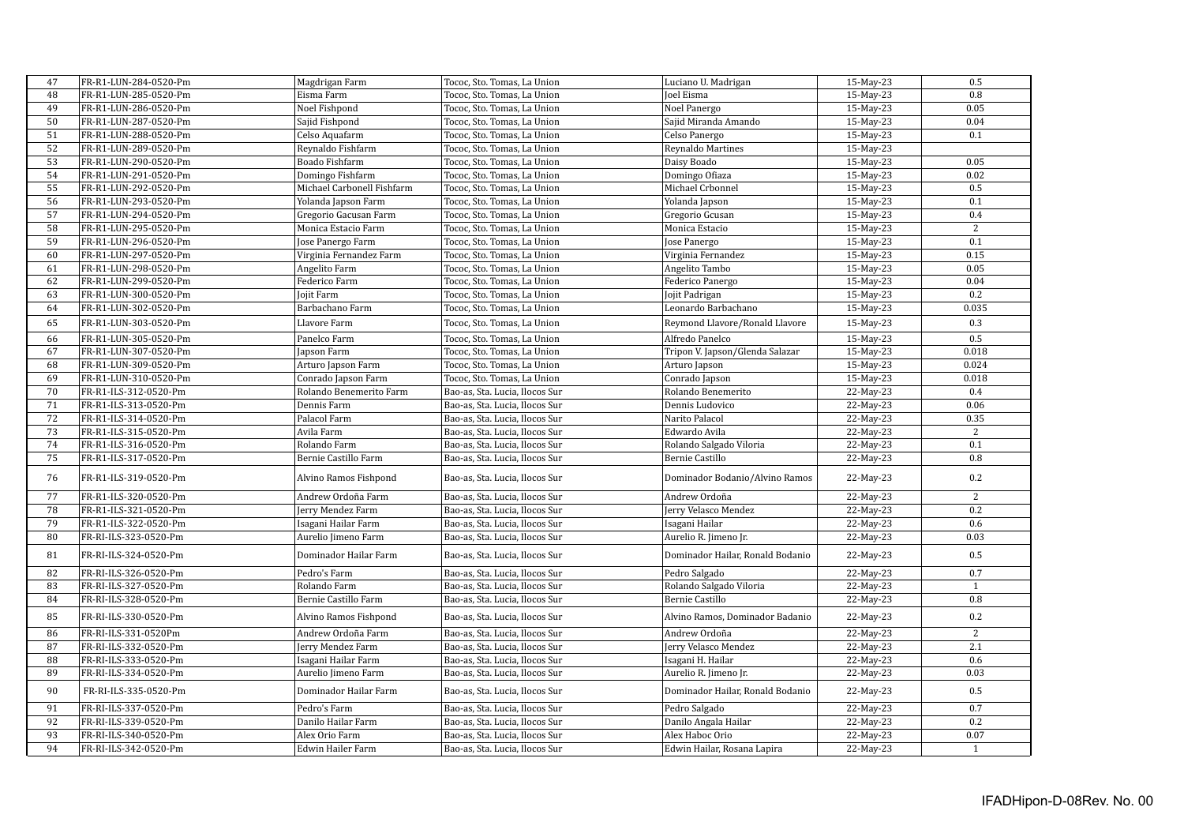| 47              | FR-R1-LUN-284-0520-Pm | Magdrigan Farm             | Tococ, Sto. Tomas, La Union    | Luciano U. Madrigan              | 15-May-23    | 0.5              |
|-----------------|-----------------------|----------------------------|--------------------------------|----------------------------------|--------------|------------------|
| 48              | FR-R1-LUN-285-0520-Pm | Eisma Farm                 | Tococ, Sto. Tomas, La Union    | Joel Eisma                       | 15-May-23    | 0.8              |
| 49              | FR-R1-LUN-286-0520-Pm | Noel Fishpond              | Tococ, Sto. Tomas, La Union    | Noel Panergo                     | $15$ -May-23 | 0.05             |
| 50              | FR-R1-LUN-287-0520-Pm | Sajid Fishpond             | Tococ, Sto. Tomas, La Union    | Sajid Miranda Amando             | 15-May-23    | 0.04             |
| 51              | FR-R1-LUN-288-0520-Pm | Celso Aquafarm             | Tococ, Sto. Tomas, La Union    | Celso Panergo                    | 15-May-23    | 0.1              |
|                 |                       |                            |                                |                                  |              |                  |
| 52              | FR-R1-LUN-289-0520-Pm | Reynaldo Fishfarm          | Tococ, Sto. Tomas, La Union    | Reynaldo Martines                | 15-May-23    |                  |
| 53              | FR-R1-LUN-290-0520-Pm | Boado Fishfarm             | Tococ, Sto. Tomas, La Union    | Daisy Boado                      | 15-May-23    | 0.05             |
| 54              | FR-R1-LUN-291-0520-Pm | Domingo Fishfarm           | Tococ, Sto. Tomas, La Union    | Domingo Ofiaza                   | 15-May-23    | 0.02             |
| 55              | FR-R1-LUN-292-0520-Pm | Michael Carbonell Fishfarm | Tococ, Sto. Tomas, La Union    | Michael Crbonnel                 | 15-May-23    | 0.5              |
| 56              | FR-R1-LUN-293-0520-Pm | Yolanda Japson Farm        | Tococ, Sto. Tomas, La Union    | Yolanda Japson                   | 15-May-23    | 0.1              |
| 57              | FR-R1-LUN-294-0520-Pm | Gregorio Gacusan Farm      | Tococ, Sto. Tomas, La Union    | Gregorio Gcusan                  | 15-May-23    | 0.4              |
| 58              | FR-R1-LUN-295-0520-Pm | Monica Estacio Farm        | Tococ, Sto. Tomas, La Union    | Monica Estacio                   | 15-May-23    | $\overline{2}$   |
| 59              | FR-R1-LUN-296-0520-Pm | Jose Panergo Farm          | Tococ, Sto. Tomas, La Union    | Jose Panergo                     | 15-May-23    | 0.1              |
| 60              | FR-R1-LUN-297-0520-Pm | Virginia Fernandez Farm    | Tococ, Sto. Tomas, La Union    | Virginia Fernandez               | 15-May-23    | 0.15             |
| 61              | FR-R1-LUN-298-0520-Pm | Angelito Farm              | Tococ, Sto. Tomas, La Union    | Angelito Tambo                   | 15-May-23    | 0.05             |
| 62              | FR-R1-LUN-299-0520-Pm | Federico Farm              | Tococ, Sto. Tomas, La Union    | Federico Panergo                 | 15-May-23    | 0.04             |
| 63              | FR-R1-LUN-300-0520-Pm | <b>Jojit Farm</b>          | Tococ, Sto. Tomas, La Union    | Jojit Padrigan                   | 15-May-23    | 0.2              |
| 64              | FR-R1-LUN-302-0520-Pm | Barbachano Farm            | Tococ, Sto. Tomas, La Union    | Leonardo Barbachano              | 15-May-23    | 0.035            |
| 65              | FR-R1-LUN-303-0520-Pm | Llavore Farm               | Tococ, Sto. Tomas, La Union    | Reymond Llavore/Ronald Llavore   | 15-May-23    | 0.3              |
| 66              | FR-R1-LUN-305-0520-Pm | Panelco Farm               | Tococ, Sto. Tomas, La Union    | Alfredo Panelco                  | 15-May-23    | $\overline{0.5}$ |
| 67              | FR-R1-LUN-307-0520-Pm | Japson Farm                | Tococ, Sto. Tomas, La Union    | Tripon V. Japson/Glenda Salazar  | 15-May-23    | 0.018            |
| 68              | FR-R1-LUN-309-0520-Pm | Arturo Japson Farm         | Tococ, Sto. Tomas, La Union    | Arturo Japson                    | 15-May-23    | 0.024            |
| 69              | FR-R1-LUN-310-0520-Pm | Conrado Japson Farm        | Tococ, Sto. Tomas, La Union    | Conrado Japson                   | 15-May-23    | 0.018            |
| 70              | FR-R1-ILS-312-0520-Pm | Rolando Benemerito Farm    | Bao-as, Sta. Lucia, Ilocos Sur | Rolando Benemerito               | $22$ -May-23 | 0.4              |
| 71              | FR-R1-ILS-313-0520-Pm | Dennis Farm                | Bao-as, Sta. Lucia, Ilocos Sur | Dennis Ludovico                  | 22-May-23    | 0.06             |
| 72              | FR-R1-ILS-314-0520-Pm | Palacol Farm               | Bao-as, Sta. Lucia, Ilocos Sur | Narito Palacol                   | 22-May-23    | 0.35             |
| 73              | FR-R1-ILS-315-0520-Pm | Avila Farm                 | Bao-as, Sta. Lucia, Ilocos Sur | Edwardo Avila                    | 22-May-23    | 2                |
| 74              | FR-R1-ILS-316-0520-Pm | Rolando Farm               | Bao-as, Sta. Lucia, Ilocos Sur | Rolando Salgado Viloria          | 22-May-23    | 0.1              |
| $\overline{75}$ | FR-R1-ILS-317-0520-Pm | Bernie Castillo Farm       | Bao-as, Sta. Lucia, Ilocos Sur | Bernie Castillo                  | 22-May-23    | $\rm 0.8$        |
| 76              | FR-R1-ILS-319-0520-Pm | Alvino Ramos Fishpond      | Bao-as, Sta. Lucia, Ilocos Sur | Dominador Bodanio/Alvino Ramos   | 22-May-23    | 0.2              |
| 77              | FR-R1-ILS-320-0520-Pm | Andrew Ordoña Farm         | Bao-as, Sta. Lucia, Ilocos Sur | Andrew Ordoña                    | 22-May-23    | 2                |
| 78              | FR-R1-ILS-321-0520-Pm | Jerry Mendez Farm          | Bao-as, Sta. Lucia, Ilocos Sur | Jerry Velasco Mendez             | 22-May-23    | 0.2              |
| 79              | FR-R1-ILS-322-0520-Pm | Isagani Hailar Farm        | Bao-as, Sta. Lucia, Ilocos Sur | Isagani Hailar                   | 22-May-23    | 0.6              |
| 80              | FR-RI-ILS-323-0520-Pm | Aurelio Jimeno Farm        | Bao-as, Sta. Lucia, Ilocos Sur | Aurelio R. Jimeno Jr.            | 22-May-23    | 0.03             |
| 81              | FR-RI-ILS-324-0520-Pm | Dominador Hailar Farm      | Bao-as, Sta. Lucia, Ilocos Sur | Dominador Hailar, Ronald Bodanio | 22-May-23    | 0.5              |
| 82              | FR-RI-ILS-326-0520-Pm | Pedro's Farm               | Bao-as, Sta. Lucia, Ilocos Sur | Pedro Salgado                    | 22-May-23    | 0.7              |
| 83              | FR-RI-ILS-327-0520-Pm | Rolando Farm               | Bao-as, Sta. Lucia, Ilocos Sur | Rolando Salgado Viloria          | 22-May-23    | $\mathbf{1}$     |
| 84              | FR-RI-ILS-328-0520-Pm | Bernie Castillo Farm       | Bao-as, Sta. Lucia, Ilocos Sur | Bernie Castillo                  | 22-May-23    | 0.8              |
| 85              | FR-RI-ILS-330-0520-Pm | Alvino Ramos Fishpond      | Bao-as, Sta. Lucia, Ilocos Sur | Alvino Ramos, Dominador Badanio  | 22-May-23    | 0.2              |
| 86              | FR-RI-ILS-331-0520Pm  | Andrew Ordoña Farm         | Bao-as, Sta. Lucia, Ilocos Sur | Andrew Ordoña                    | 22-May-23    | 2                |
| 87              | FR-RI-ILS-332-0520-Pm | Jerry Mendez Farm          | Bao-as, Sta. Lucia, Ilocos Sur | Jerry Velasco Mendez             | 22-May-23    | 2.1              |
| 88              | FR-RI-ILS-333-0520-Pm | Isagani Hailar Farm        | Bao-as, Sta. Lucia, Ilocos Sur | Isagani H. Hailar                | 22-May-23    | 0.6              |
| 89              | FR-RI-ILS-334-0520-Pm | Aurelio Jimeno Farm        | Bao-as, Sta. Lucia, Ilocos Sur | Aurelio R. Jimeno Jr.            | 22-May-23    | 0.03             |
| 90              | FR-RI-ILS-335-0520-Pm | Dominador Hailar Farm      | Bao-as, Sta. Lucia, Ilocos Sur | Dominador Hailar, Ronald Bodanio | 22-May-23    | 0.5              |
| 91              | FR-RI-ILS-337-0520-Pm | Pedro's Farm               | Bao-as, Sta. Lucia, Ilocos Sur | Pedro Salgado                    | 22-May-23    | 0.7              |
| 92              | FR-RI-ILS-339-0520-Pm | Danilo Hailar Farm         | Bao-as, Sta. Lucia, Ilocos Sur | Danilo Angala Hailar             | 22-May-23    | 0.2              |
| 93              | FR-RI-ILS-340-0520-Pm | Alex Orio Farm             | Bao-as, Sta. Lucia, Ilocos Sur | Alex Haboc Orio                  | 22-May-23    | 0.07             |
| 94              | FR-RI-ILS-342-0520-Pm | Edwin Hailer Farm          | Bao-as, Sta. Lucia, Ilocos Sur | Edwin Hailar, Rosana Lapira      | 22-May-23    | $\mathbf{1}$     |
|                 |                       |                            |                                |                                  |              |                  |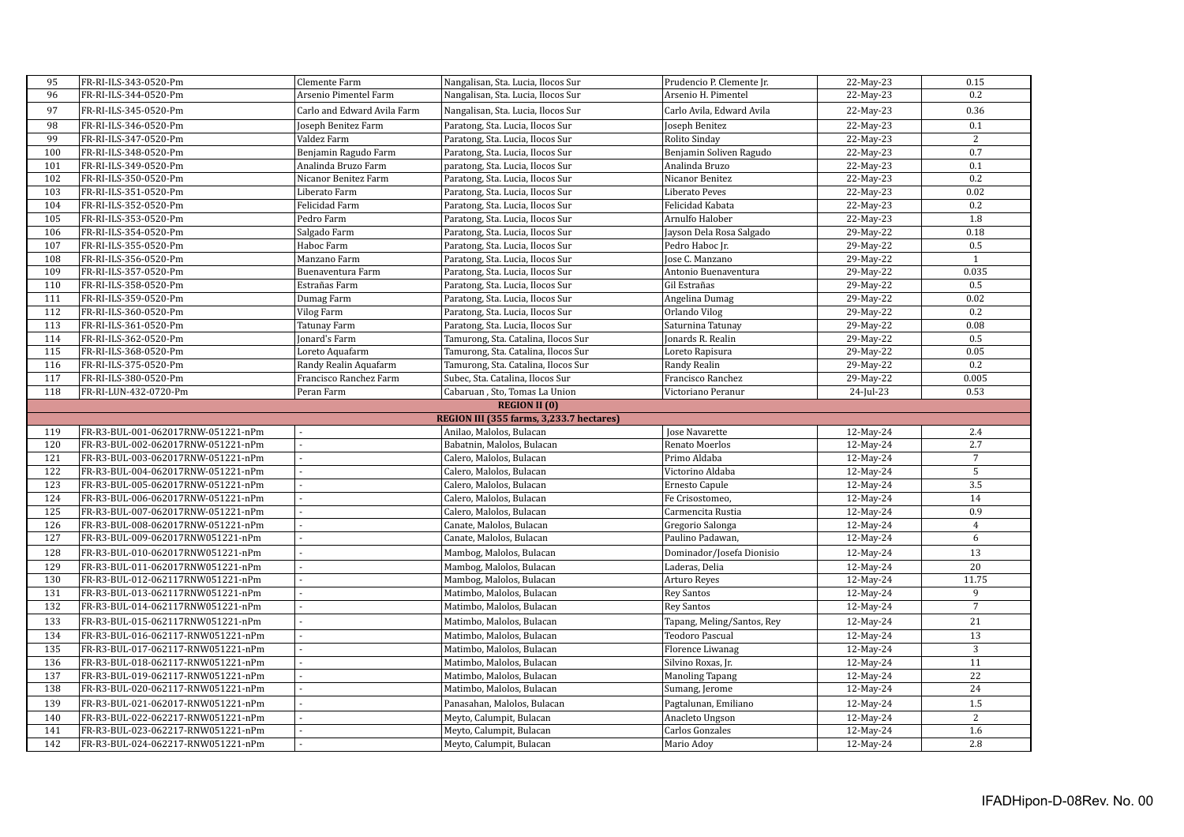| 95  |                                    |                             |                                                        |                                          |                        |                |
|-----|------------------------------------|-----------------------------|--------------------------------------------------------|------------------------------------------|------------------------|----------------|
|     | FR-RI-ILS-343-0520-Pm              | Clemente Farm               | Nangalisan, Sta. Lucia, Ilocos Sur                     | Prudencio P. Clemente Jr.                | 22-May-23              | 0.15           |
| 96  | FR-RI-ILS-344-0520-Pm              | Arsenio Pimentel Farm       | Nangalisan, Sta. Lucia, Ilocos Sur                     | Arsenio H. Pimentel                      | 22-May-23              | 0.2            |
| 97  | FR-RI-ILS-345-0520-Pm              | Carlo and Edward Avila Farm | Nangalisan, Sta. Lucia, Ilocos Sur                     | Carlo Avila, Edward Avila                | 22-May-23              | 0.36           |
| 98  | FR-RI-ILS-346-0520-Pm              | Joseph Benitez Farm         | Paratong, Sta. Lucia, Ilocos Sur                       | Joseph Benitez                           | 22-May-23              | 0.1            |
| 99  | FR-RI-ILS-347-0520-Pm              | Valdez Farm                 | Paratong, Sta. Lucia, Ilocos Sur                       | Rolito Sinday                            | 22-May-23              | 2              |
| 100 | FR-RI-ILS-348-0520-Pm              | Benjamin Ragudo Farm        | Paratong, Sta. Lucia, Ilocos Sur                       | Benjamin Soliven Ragudo                  | 22-May-23              | 0.7            |
| 101 | FR-RI-ILS-349-0520-Pm              | Analinda Bruzo Farm         | paratong, Sta. Lucia, Ilocos Sur                       | Analinda Bruzo                           | 22-May-23              | 0.1            |
| 102 | FR-RI-ILS-350-0520-Pm              | Nicanor Benitez Farm        | Paratong, Sta. Lucia, Ilocos Sur                       | Nicanor Benitez                          | 22-May-23              | 0.2            |
| 103 | FR-RI-ILS-351-0520-Pm              | Liberato Farm               | Paratong, Sta. Lucia, Ilocos Sur                       | Liberato Peves                           | 22-May-23              | 0.02           |
| 104 | FR-RI-ILS-352-0520-Pm              | Felicidad Farm              | Paratong, Sta. Lucia, Ilocos Sur                       | Felicidad Kabata                         | 22-May-23              | 0.2            |
| 105 | FR-RI-ILS-353-0520-Pm              | Pedro Farm                  | Paratong, Sta. Lucia, Ilocos Sur                       | Arnulfo Halober                          | 22-May-23              | 1.8            |
| 106 | FR-RI-ILS-354-0520-Pm              | Salgado Farm                | Paratong, Sta. Lucia, Ilocos Sur                       | Jayson Dela Rosa Salgado                 | 29-May-22              | 0.18           |
| 107 | FR-RI-ILS-355-0520-Pm              | Haboc Farm                  | Paratong, Sta. Lucia, Ilocos Sur                       | Pedro Haboc Jr.                          | 29-May-22              | 0.5            |
| 108 | FR-RI-ILS-356-0520-Pm              | Manzano Farm                | Paratong, Sta. Lucia, Ilocos Sur                       | Jose C. Manzano                          | 29-May-22              | $\mathbf{1}$   |
| 109 | FR-RI-ILS-357-0520-Pm              | Buenaventura Farm           | Paratong, Sta. Lucia, Ilocos Sur                       | Antonio Buenaventura                     | 29-May-22              | 0.035          |
| 110 | FR-RI-ILS-358-0520-Pm              | Estrañas Farm               | Paratong, Sta. Lucia, Ilocos Sur                       | Gil Estrañas                             | 29-May-22              | 0.5            |
| 111 | FR-RI-ILS-359-0520-Pm              | Dumag Farm                  | Paratong, Sta. Lucia, Ilocos Sur                       | Angelina Dumag                           | 29-May-22              | 0.02           |
| 112 | FR-RI-ILS-360-0520-Pm              | Vilog Farm                  | Paratong, Sta. Lucia, Ilocos Sur                       | Orlando Vilog                            | 29-May-22              | 0.2            |
| 113 | FR-RI-ILS-361-0520-Pm              | Tatunay Farm                | Paratong, Sta. Lucia, Ilocos Sur                       | Saturnina Tatunay                        | 29-May-22              | 0.08           |
| 114 | FR-RI-ILS-362-0520-Pm              | Jonard's Farm               | Tamurong, Sta. Catalina, Ilocos Sur                    | Jonards R. Realin                        | 29-May-22              | 0.5            |
| 115 | FR-RI-ILS-368-0520-Pm              | Loreto Aquafarm             | Tamurong, Sta. Catalina, Ilocos Sur                    | Loreto Rapisura                          | 29-May-22              | 0.05           |
| 116 | FR-RI-ILS-375-0520-Pm              | Randy Realin Aquafarm       | Tamurong, Sta. Catalina, Ilocos Sur                    | Randy Realin                             | 29-May-22              | 0.2            |
| 117 | FR-RI-ILS-380-0520-Pm              | Francisco Ranchez Farm      | Subec, Sta. Catalina, Ilocos Sur                       | Francisco Ranchez                        | 29-May-22              | 0.005          |
| 118 | FR-RI-LUN-432-0720-Pm              | Peran Farm                  | Cabaruan, Sto, Tomas La Union                          | Victoriano Peranur                       | $24$ -Jul-23           | 0.53           |
|     |                                    |                             | <b>REGION II (0)</b>                                   |                                          |                        |                |
|     |                                    |                             | REGION III (355 farms, 3,233.7 hectares)               |                                          |                        |                |
| 119 | FR-R3-BUL-001-062017RNW-051221-nPm |                             | Anilao, Malolos, Bulacan                               | Jose Navarette                           | 12-May-24              | 2.4            |
| 120 | FR-R3-BUL-002-062017RNW-051221-nPm |                             | Babatnin, Malolos, Bulacan                             | Renato Moerlos                           | 12-May-24              | 2.7            |
| 121 | FR-R3-BUL-003-062017RNW-051221-nPm |                             | Calero, Malolos, Bulacan                               | Primo Aldaba                             | 12-May-24              | $\overline{7}$ |
|     |                                    |                             |                                                        |                                          |                        |                |
| 122 | FR-R3-BUL-004-062017RNW-051221-nPm |                             | Calero, Malolos, Bulacan                               | Victorino Aldaba                         | 12-May-24              | $\overline{5}$ |
| 123 | FR-R3-BUL-005-062017RNW-051221-nPm |                             | Calero, Malolos, Bulacan                               | Ernesto Capule                           | 12-May-24              | 3.5            |
| 124 | FR-R3-BUL-006-062017RNW-051221-nPm |                             | Calero, Malolos, Bulacan                               | Fe Crisostomeo,                          | 12-May-24              | 14             |
| 125 | FR-R3-BUL-007-062017RNW-051221-nPm |                             | Calero, Malolos, Bulacan                               | Carmencita Rustia                        |                        | 0.9            |
| 126 | FR-R3-BUL-008-062017RNW-051221-nPm |                             | Canate, Malolos, Bulacan                               |                                          | 12-May-24<br>12-May-24 | $\overline{4}$ |
| 127 | FR-R3-BUL-009-062017RNW051221-nPm  |                             | Canate, Malolos, Bulacan                               | Gregorio Salonga<br>Paulino Padawan,     | 12-May-24              | 6              |
| 128 | FR-R3-BUL-010-062017RNW051221-nPm  |                             | Mambog, Malolos, Bulacan                               | Dominador/Josefa Dionisio                |                        | 13             |
| 129 | FR-R3-BUL-011-062017RNW051221-nPm  |                             |                                                        | Laderas, Delia                           | 12-May-24<br>12-May-24 | 20             |
| 130 | FR-R3-BUL-012-062117RNW051221-nPm  |                             | Mambog, Malolos, Bulacan<br>Mambog, Malolos, Bulacan   | Arturo Reyes                             | 12-May-24              | 11.75          |
| 131 | FR-R3-BUL-013-062117RNW051221-nPm  |                             | Matimbo, Malolos, Bulacan                              |                                          | 12-May-24              | 9              |
| 132 | FR-R3-BUL-014-062117RNW051221-nPm  |                             | Matimbo, Malolos, Bulacan                              | <b>Rey Santos</b><br><b>Rey Santos</b>   | 12-May-24              | $\overline{7}$ |
| 133 | FR-R3-BUL-015-062117RNW051221-nPm  |                             | Matimbo, Malolos, Bulacan                              | Tapang, Meling/Santos, Rey               | 12-May-24              | 21             |
| 134 | FR-R3-BUL-016-062117-RNW051221-nPm |                             | Matimbo, Malolos, Bulacan                              | Teodoro Pascual                          | 12-May-24              | 13             |
| 135 | FR-R3-BUL-017-062117-RNW051221-nPm |                             | Matimbo, Malolos, Bulacan                              | Florence Liwanag                         | 12-May-24              | $\overline{3}$ |
| 136 | FR-R3-BUL-018-062117-RNW051221-nPm |                             |                                                        |                                          |                        | 11             |
| 137 | FR-R3-BUL-019-062117-RNW051221-nPm |                             | Matimbo, Malolos, Bulacan                              | Silvino Roxas, Jr.                       | 12-May-24              | 22             |
| 138 | FR-R3-BUL-020-062117-RNW051221-nPm |                             | Matimbo, Malolos, Bulacan<br>Matimbo, Malolos, Bulacan | <b>Manoling Tapang</b><br>Sumang, Jerome | 12-May-24<br>12-May-24 | 24             |
| 139 | FR-R3-BUL-021-062017-RNW051221-nPm |                             | Panasahan, Malolos, Bulacan                            | Pagtalunan, Emiliano                     | 12-May-24              | 1.5            |
| 140 | FR-R3-BUL-022-062217-RNW051221-nPm |                             | Meyto, Calumpit, Bulacan                               | Anacleto Ungson                          | 12-May-24              | $\overline{2}$ |
| 141 | FR-R3-BUL-023-062217-RNW051221-nPm |                             | Meyto, Calumpit, Bulacan                               | Carlos Gonzales                          | 12-May-24              | 1.6            |
| 142 | FR-R3-BUL-024-062217-RNW051221-nPm |                             | Meyto, Calumpit, Bulacan                               | Mario Adoy                               | 12-May-24              | 2.8            |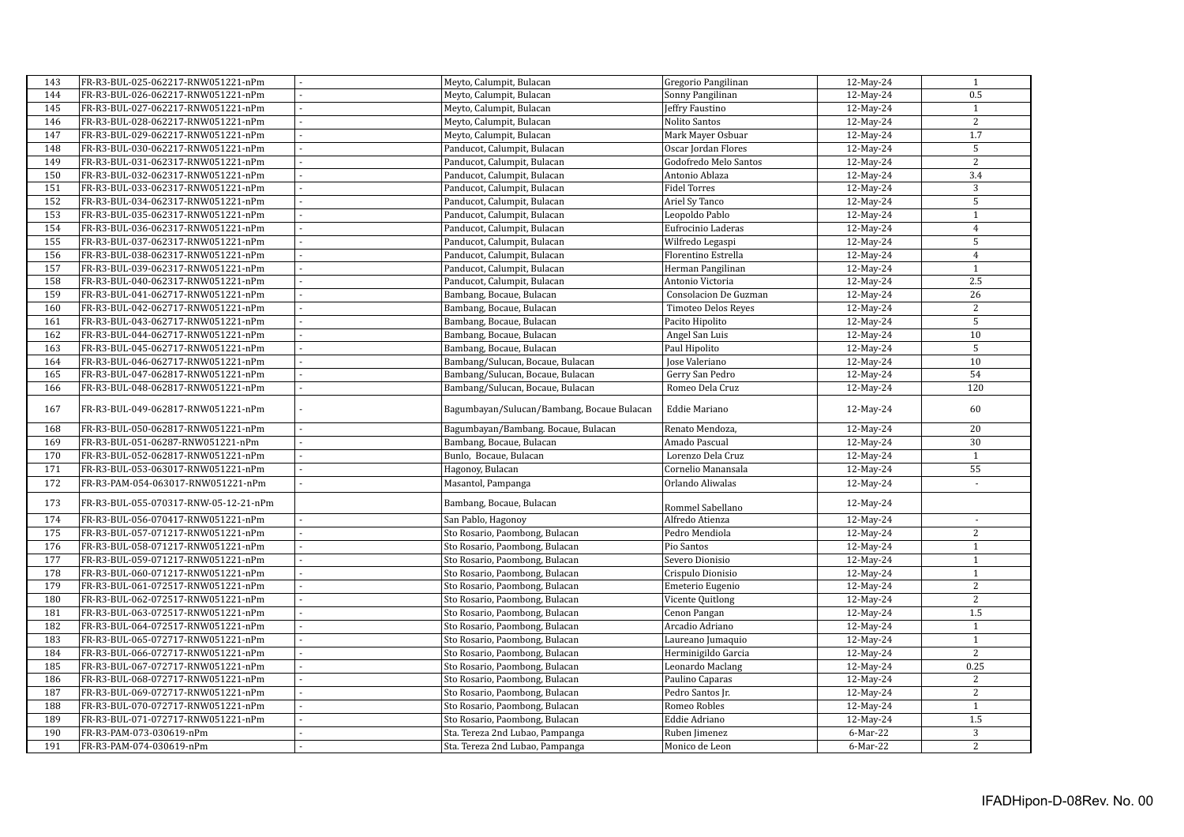| 143 | FR-R3-BUL-025-062217-RNW051221-nPm    |    | Meyto, Calumpit, Bulacan                   | Gregorio Pangilinan   | 12-May-24 | $\mathbf{1}$             |
|-----|---------------------------------------|----|--------------------------------------------|-----------------------|-----------|--------------------------|
| 144 | FR-R3-BUL-026-062217-RNW051221-nPm    |    | Meyto, Calumpit, Bulacan                   | Sonny Pangilinan      | 12-May-24 | 0.5                      |
| 145 | FR-R3-BUL-027-062217-RNW051221-nPm    |    | Meyto, Calumpit, Bulacan                   | Jeffry Faustino       | 12-May-24 | $\mathbf{1}$             |
| 146 | FR-R3-BUL-028-062217-RNW051221-nPm    |    | Meyto, Calumpit, Bulacan                   | Nolito Santos         | 12-May-24 | 2                        |
| 147 | FR-R3-BUL-029-062217-RNW051221-nPm    |    | Meyto, Calumpit, Bulacan                   | Mark Mayer Osbuar     | 12-May-24 | 1.7                      |
| 148 | FR-R3-BUL-030-062217-RNW051221-nPm    | L  | Panducot, Calumpit, Bulacan                | Oscar Jordan Flores   | 12-May-24 | 5                        |
| 149 | FR-R3-BUL-031-062317-RNW051221-nPm    |    | Panducot, Calumpit, Bulacan                | Godofredo Melo Santos | 12-May-24 | $\overline{2}$           |
| 150 | FR-R3-BUL-032-062317-RNW051221-nPm    |    | Panducot, Calumpit, Bulacan                | Antonio Ablaza        | 12-May-24 | 3.4                      |
| 151 | FR-R3-BUL-033-062317-RNW051221-nPm    |    |                                            | <b>Fidel Torres</b>   |           | 3                        |
|     |                                       |    | Panducot, Calumpit, Bulacan                |                       | 12-May-24 |                          |
| 152 | FR-R3-BUL-034-062317-RNW051221-nPm    |    | Panducot, Calumpit, Bulacan                | Ariel Sy Tanco        | 12-May-24 | 5                        |
| 153 | FR-R3-BUL-035-062317-RNW051221-nPm    |    | Panducot, Calumpit, Bulacan                | Leopoldo Pablo        | 12-May-24 | $\mathbf{1}$             |
| 154 | FR-R3-BUL-036-062317-RNW051221-nPm    |    | Panducot, Calumpit, Bulacan                | Eufrocinio Laderas    | 12-May-24 | $\overline{4}$           |
| 155 | FR-R3-BUL-037-062317-RNW051221-nPm    |    | Panducot, Calumpit, Bulacan                | Wilfredo Legaspi      | 12-May-24 | 5                        |
| 156 | FR-R3-BUL-038-062317-RNW051221-nPm    |    | Panducot, Calumpit, Bulacan                | Florentino Estrella   | 12-May-24 | $\overline{4}$           |
| 157 | FR-R3-BUL-039-062317-RNW051221-nPm    |    | Panducot, Calumpit, Bulacan                | Herman Pangilinan     | 12-May-24 | $\mathbf{1}$             |
| 158 | FR-R3-BUL-040-062317-RNW051221-nPm    |    | Panducot, Calumpit, Bulacan                | Antonio Victoria      | 12-May-24 | 2.5                      |
| 159 | FR-R3-BUL-041-062717-RNW051221-nPm    |    | Bambang, Bocaue, Bulacan                   | Consolacion De Guzman | 12-May-24 | 26                       |
| 160 | FR-R3-BUL-042-062717-RNW051221-nPm    |    | Bambang, Bocaue, Bulacan                   | Timoteo Delos Reyes   | 12-May-24 | 2                        |
| 161 | FR-R3-BUL-043-062717-RNW051221-nPm    |    | Bambang, Bocaue, Bulacan                   | Pacito Hipolito       | 12-May-24 | 5                        |
| 162 | FR-R3-BUL-044-062717-RNW051221-nPm    |    | Bambang, Bocaue, Bulacan                   | Angel San Luis        | 12-May-24 | 10                       |
| 163 | FR-R3-BUL-045-062717-RNW051221-nPm    |    | Bambang, Bocaue, Bulacan                   | Paul Hipolito         | 12-May-24 | 5                        |
| 164 | FR-R3-BUL-046-062717-RNW051221-nPm    |    | Bambang/Sulucan, Bocaue, Bulacan           | Jose Valeriano        | 12-May-24 | 10                       |
| 165 | FR-R3-BUL-047-062817-RNW051221-nPm    | ÷, | Bambang/Sulucan, Bocaue, Bulacan           | Gerry San Pedro       | 12-May-24 | 54                       |
| 166 | FR-R3-BUL-048-062817-RNW051221-nPm    |    | Bambang/Sulucan, Bocaue, Bulacan           | Romeo Dela Cruz       | 12-May-24 | 120                      |
| 167 | FR-R3-BUL-049-062817-RNW051221-nPm    |    | Bagumbayan/Sulucan/Bambang, Bocaue Bulacan | Eddie Mariano         | 12-May-24 | 60                       |
| 168 | FR-R3-BUL-050-062817-RNW051221-nPm    | ÷, | Bagumbayan/Bambang. Bocaue, Bulacan        | Renato Mendoza,       | 12-May-24 | 20                       |
| 169 | FR-R3-BUL-051-06287-RNW051221-nPm     |    | Bambang, Bocaue, Bulacan                   | Amado Pascual         | 12-May-24 | 30                       |
| 170 | FR-R3-BUL-052-062817-RNW051221-nPm    |    | Bunlo, Bocaue, Bulacan                     | Lorenzo Dela Cruz     | 12-May-24 | $\mathbf{1}$             |
| 171 | FR-R3-BUL-053-063017-RNW051221-nPm    |    | Hagonoy, Bulacan                           | Cornelio Manansala    | 12-May-24 | 55                       |
| 172 | FR-R3-PAM-054-063017-RNW051221-nPm    | L. | Masantol, Pampanga                         | Orlando Aliwalas      | 12-May-24 | $\overline{\phantom{a}}$ |
|     |                                       |    |                                            |                       |           |                          |
| 173 | FR-R3-BUL-055-070317-RNW-05-12-21-nPm |    | Bambang, Bocaue, Bulacan                   | Rommel Sabellano      | 12-May-24 |                          |
| 174 | FR-R3-BUL-056-070417-RNW051221-nPm    |    | San Pablo, Hagonoy                         | Alfredo Atienza       | 12-May-24 |                          |
| 175 | FR-R3-BUL-057-071217-RNW051221-nPm    |    | Sto Rosario, Paombong, Bulacan             | Pedro Mendiola        | 12-May-24 | 2                        |
| 176 | FR-R3-BUL-058-071217-RNW051221-nPm    |    | Sto Rosario, Paombong, Bulacan             | Pio Santos            | 12-May-24 | $\mathbf{1}$             |
| 177 | FR-R3-BUL-059-071217-RNW051221-nPm    |    | Sto Rosario, Paombong, Bulacan             | Severo Dionisio       | 12-May-24 | $\mathbf{1}$             |
| 178 | FR-R3-BUL-060-071217-RNW051221-nPm    |    | Sto Rosario, Paombong, Bulacan             | Crispulo Dionisio     | 12-May-24 | $\mathbf{1}$             |
| 179 | FR-R3-BUL-061-072517-RNW051221-nPm    |    | Sto Rosario, Paombong, Bulacan             | Emeterio Eugenio      | 12-May-24 | $\overline{2}$           |
| 180 | FR-R3-BUL-062-072517-RNW051221-nPm    |    | Sto Rosario, Paombong, Bulacan             | Vicente Quitlong      | 12-May-24 | $\overline{2}$           |
| 181 | FR-R3-BUL-063-072517-RNW051221-nPm    |    | Sto Rosario, Paombong, Bulacan             | Cenon Pangan          | 12-May-24 | 1.5                      |
| 182 | FR-R3-BUL-064-072517-RNW051221-nPm    |    | Sto Rosario, Paombong, Bulacan             | Arcadio Adriano       | 12-May-24 | $\mathbf{1}$             |
| 183 | FR-R3-BUL-065-072717-RNW051221-nPm    |    | Sto Rosario, Paombong, Bulacan             | Laureano Jumaquio     | 12-May-24 | $\mathbf{1}$             |
| 184 | FR-R3-BUL-066-072717-RNW051221-nPm    |    | Sto Rosario, Paombong, Bulacan             | Herminigildo Garcia   | 12-May-24 | $\overline{2}$           |
| 185 | FR-R3-BUL-067-072717-RNW051221-nPm    |    | Sto Rosario, Paombong, Bulacan             | Leonardo Maclang      | 12-May-24 | 0.25                     |
| 186 | FR-R3-BUL-068-072717-RNW051221-nPm    |    | Sto Rosario, Paombong, Bulacan             | Paulino Caparas       | 12-May-24 | 2                        |
| 187 | FR-R3-BUL-069-072717-RNW051221-nPm    |    | Sto Rosario, Paombong, Bulacan             | Pedro Santos Jr.      | 12-May-24 | 2                        |
| 188 | FR-R3-BUL-070-072717-RNW051221-nPm    |    | Sto Rosario, Paombong, Bulacan             | Romeo Robles          | 12-May-24 | $\mathbf{1}$             |
| 189 | FR-R3-BUL-071-072717-RNW051221-nPm    | L. | Sto Rosario, Paombong, Bulacan             | Eddie Adriano         |           |                          |
| 190 | FR-R3-PAM-073-030619-nPm              |    |                                            |                       | 12-May-24 | 1.5<br>$\overline{3}$    |
|     |                                       |    | Sta. Tereza 2nd Lubao, Pampanga            | Ruben Jimenez         | 6-Mar-22  |                          |
| 191 | FR-R3-PAM-074-030619-nPm              |    | Sta. Tereza 2nd Lubao, Pampanga            | Monico de Leon        | 6-Mar-22  | $\overline{2}$           |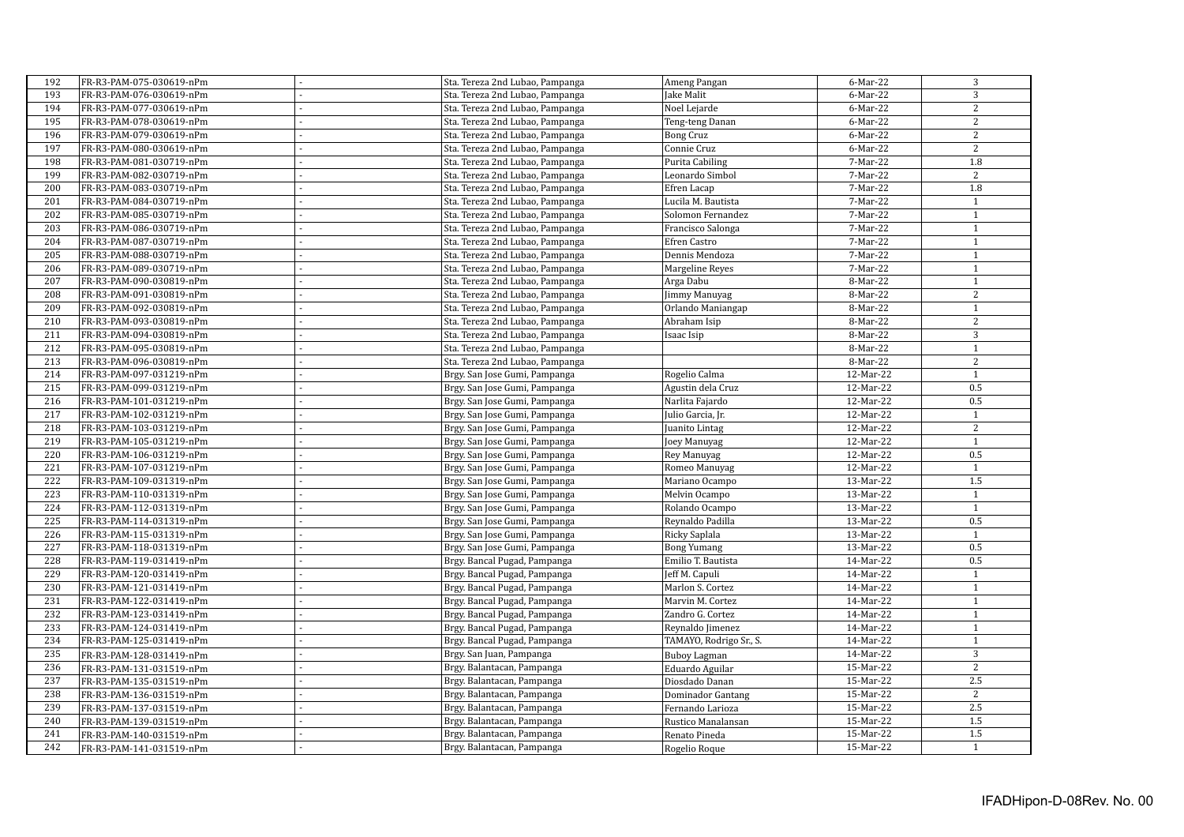| 192 | FR-R3-PAM-075-030619-nPm | Sta. Tereza 2nd Lubao, Pampanga | Ameng Pangan            | 6-Mar-22  | 3              |
|-----|--------------------------|---------------------------------|-------------------------|-----------|----------------|
| 193 | FR-R3-PAM-076-030619-nPm | Sta. Tereza 2nd Lubao, Pampanga | Jake Malit              | 6-Mar-22  | 3              |
| 194 | FR-R3-PAM-077-030619-nPm | Sta. Tereza 2nd Lubao, Pampanga | Noel Lejarde            | 6-Mar-22  | 2              |
| 195 | FR-R3-PAM-078-030619-nPm | Sta. Tereza 2nd Lubao, Pampanga | Teng-teng Danan         | 6-Mar-22  | 2              |
| 196 | FR-R3-PAM-079-030619-nPm | Sta. Tereza 2nd Lubao, Pampanga | <b>Bong Cruz</b>        | 6-Mar-22  | $\overline{2}$ |
| 197 | FR-R3-PAM-080-030619-nPm | Sta. Tereza 2nd Lubao, Pampanga | Connie Cruz             | 6-Mar-22  | $\overline{2}$ |
| 198 | FR-R3-PAM-081-030719-nPm | Sta. Tereza 2nd Lubao, Pampanga | Purita Cabiling         | 7-Mar-22  | 1.8            |
| 199 | FR-R3-PAM-082-030719-nPm | Sta. Tereza 2nd Lubao, Pampanga | Leonardo Simbol         | 7-Mar-22  | 2              |
| 200 | FR-R3-PAM-083-030719-nPm | Sta. Tereza 2nd Lubao, Pampanga | Efren Lacap             | 7-Mar-22  | 1.8            |
| 201 | FR-R3-PAM-084-030719-nPm | Sta. Tereza 2nd Lubao, Pampanga | Lucila M. Bautista      | 7-Mar-22  | $\mathbf{1}$   |
| 202 | FR-R3-PAM-085-030719-nPm | Sta. Tereza 2nd Lubao, Pampanga | Solomon Fernandez       | 7-Mar-22  | $\mathbf{1}$   |
| 203 | FR-R3-PAM-086-030719-nPm | Sta. Tereza 2nd Lubao, Pampanga | Francisco Salonga       | 7-Mar-22  | $\mathbf{1}$   |
| 204 | FR-R3-PAM-087-030719-nPm | Sta. Tereza 2nd Lubao, Pampanga | Efren Castro            | 7-Mar-22  | $\mathbf 1$    |
| 205 | FR-R3-PAM-088-030719-nPm | Sta. Tereza 2nd Lubao, Pampanga | Dennis Mendoza          | 7-Mar-22  | $\,1\,$        |
| 206 | FR-R3-PAM-089-030719-nPm | Sta. Tereza 2nd Lubao, Pampanga | Margeline Reyes         | 7-Mar-22  | $\mathbf{1}$   |
| 207 | FR-R3-PAM-090-030819-nPm | Sta. Tereza 2nd Lubao, Pampanga | Arga Dabu               | 8-Mar-22  | $\mathbf{1}$   |
| 208 | FR-R3-PAM-091-030819-nPm | Sta. Tereza 2nd Lubao, Pampanga | Jimmy Manuyag           | 8-Mar-22  | $\overline{2}$ |
| 209 | FR-R3-PAM-092-030819-nPm | Sta. Tereza 2nd Lubao, Pampanga | Orlando Maniangap       | 8-Mar-22  | $\mathbf{1}$   |
| 210 | FR-R3-PAM-093-030819-nPm | Sta. Tereza 2nd Lubao, Pampanga | Abraham Isip            | 8-Mar-22  | $\overline{2}$ |
| 211 | FR-R3-PAM-094-030819-nPm | Sta. Tereza 2nd Lubao, Pampanga | Isaac Isip              | 8-Mar-22  | 3              |
| 212 | FR-R3-PAM-095-030819-nPm | Sta. Tereza 2nd Lubao, Pampanga |                         | 8-Mar-22  | $\mathbf{1}$   |
| 213 | FR-R3-PAM-096-030819-nPm | Sta. Tereza 2nd Lubao, Pampanga |                         | 8-Mar-22  | 2              |
| 214 | FR-R3-PAM-097-031219-nPm | Brgy. San Jose Gumi, Pampanga   | Rogelio Calma           | 12-Mar-22 | $\mathbf{1}$   |
| 215 | FR-R3-PAM-099-031219-nPm | Brgy. San Jose Gumi, Pampanga   | Agustin dela Cruz       | 12-Mar-22 | 0.5            |
| 216 | FR-R3-PAM-101-031219-nPm | Brgy. San Jose Gumi, Pampanga   | Narlita Fajardo         | 12-Mar-22 | 0.5            |
| 217 | FR-R3-PAM-102-031219-nPm | Brgy. San Jose Gumi, Pampanga   | Julio Garcia, Jr.       | 12-Mar-22 | $\mathbf{1}$   |
| 218 | FR-R3-PAM-103-031219-nPm | Brgy. San Jose Gumi, Pampanga   | Juanito Lintag          | 12-Mar-22 | 2              |
| 219 | FR-R3-PAM-105-031219-nPm | Brgy. San Jose Gumi, Pampanga   | Joey Manuyag            | 12-Mar-22 | $\mathbf{1}$   |
| 220 | FR-R3-PAM-106-031219-nPm | Brgy. San Jose Gumi, Pampanga   | Rey Manuyag             | 12-Mar-22 | 0.5            |
| 221 | FR-R3-PAM-107-031219-nPm | Brgy. San Jose Gumi, Pampanga   | Romeo Manuyag           | 12-Mar-22 | $\mathbf{1}$   |
| 222 | FR-R3-PAM-109-031319-nPm | Brgy. San Jose Gumi, Pampanga   | Mariano Ocampo          | 13-Mar-22 | 1.5            |
| 223 | FR-R3-PAM-110-031319-nPm | Brgy. San Jose Gumi, Pampanga   | Melvin Ocampo           | 13-Mar-22 | $\mathbf{1}$   |
| 224 | FR-R3-PAM-112-031319-nPm | Brgy. San Jose Gumi, Pampanga   | Rolando Ocampo          | 13-Mar-22 | $\mathbf{1}$   |
| 225 | FR-R3-PAM-114-031319-nPm | Brgy. San Jose Gumi, Pampanga   | Reynaldo Padilla        | 13-Mar-22 | 0.5            |
| 226 | FR-R3-PAM-115-031319-nPm | Brgy. San Jose Gumi, Pampanga   | Ricky Saplala           | 13-Mar-22 | $\mathbf{1}$   |
| 227 | FR-R3-PAM-118-031319-nPm | Brgy. San Jose Gumi, Pampanga   | <b>Bong Yumang</b>      | 13-Mar-22 | 0.5            |
| 228 | FR-R3-PAM-119-031419-nPm | Brgy. Bancal Pugad, Pampanga    | Emilio T. Bautista      | 14-Mar-22 | 0.5            |
| 229 | FR-R3-PAM-120-031419-nPm | Brgy. Bancal Pugad, Pampanga    | Jeff M. Capuli          | 14-Mar-22 | $\mathbf{1}$   |
| 230 | FR-R3-PAM-121-031419-nPm | Brgy. Bancal Pugad, Pampanga    | Marlon S. Cortez        | 14-Mar-22 | $\mathbf{1}$   |
| 231 | FR-R3-PAM-122-031419-nPm | Brgy. Bancal Pugad, Pampanga    | Marvin M. Cortez        | 14-Mar-22 | $\overline{1}$ |
| 232 | FR-R3-PAM-123-031419-nPm | Brgy. Bancal Pugad, Pampanga    | Zandro G. Cortez        | 14-Mar-22 | $\mathbf{1}$   |
| 233 | FR-R3-PAM-124-031419-nPm | Brgy. Bancal Pugad, Pampanga    | Reynaldo Jimenez        | 14-Mar-22 | $\mathbf{1}$   |
| 234 | FR-R3-PAM-125-031419-nPm | Brgy. Bancal Pugad, Pampanga    | TAMAYO, Rodrigo Sr., S. | 14-Mar-22 | $\mathbf{1}$   |
| 235 |                          |                                 |                         | 14-Mar-22 | $\overline{3}$ |
| 236 | FR-R3-PAM-128-031419-nPm | Brgy. San Juan, Pampanga        | <b>Buboy Lagman</b>     | 15-Mar-22 | 2              |
| 237 | FR-R3-PAM-131-031519-nPm | Brgy. Balantacan, Pampanga      | Eduardo Aguilar         |           | 2.5            |
|     | FR-R3-PAM-135-031519-nPm | Brgy. Balantacan, Pampanga      | Diosdado Danan          | 15-Mar-22 |                |
| 238 | FR-R3-PAM-136-031519-nPm | Brgy. Balantacan, Pampanga      | Dominador Gantang       | 15-Mar-22 | $\overline{2}$ |
| 239 | FR-R3-PAM-137-031519-nPm | Brgy. Balantacan, Pampanga      | Fernando Larioza        | 15-Mar-22 | 2.5            |
| 240 | FR-R3-PAM-139-031519-nPm | Brgy. Balantacan, Pampanga      | Rustico Manalansan      | 15-Mar-22 | 1.5            |
| 241 | FR-R3-PAM-140-031519-nPm | Brgy. Balantacan, Pampanga      | Renato Pineda           | 15-Mar-22 | 1.5            |
| 242 | FR-R3-PAM-141-031519-nPm | Brgy. Balantacan, Pampanga      | Rogelio Roque           | 15-Mar-22 | $\mathbf{1}$   |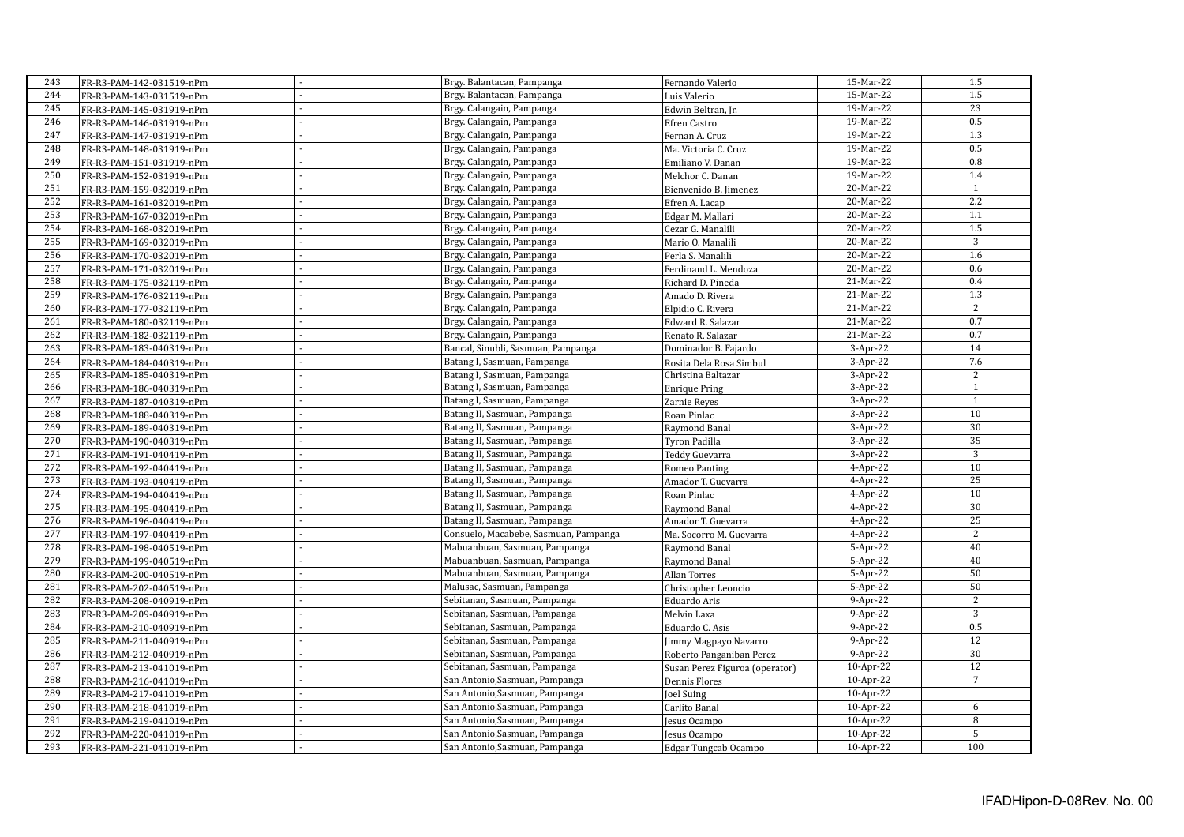| 243 |                          |                | Brgy. Balantacan, Pampanga            |                                | 15-Mar-22  | 1.5             |
|-----|--------------------------|----------------|---------------------------------------|--------------------------------|------------|-----------------|
| 244 | FR-R3-PAM-142-031519-nPm |                |                                       | Fernando Valerio               | 15-Mar-22  | 1.5             |
| 245 | FR-R3-PAM-143-031519-nPm |                | Brgy. Balantacan, Pampanga            | Luis Valerio                   | 19-Mar-22  | $\overline{23}$ |
|     | FR-R3-PAM-145-031919-nPm |                | Brgy. Calangain, Pampanga             | Edwin Beltran, Jr.             |            |                 |
| 246 | FR-R3-PAM-146-031919-nPm |                | Brgy. Calangain, Pampanga             | Efren Castro                   | 19-Mar-22  | 0.5             |
| 247 | FR-R3-PAM-147-031919-nPm |                | Brgy. Calangain, Pampanga             | Fernan A. Cruz                 | 19-Mar-22  | 1.3             |
| 248 | FR-R3-PAM-148-031919-nPm |                | Brgy. Calangain, Pampanga             | Ma. Victoria C. Cruz           | 19-Mar-22  | 0.5             |
| 249 | FR-R3-PAM-151-031919-nPm |                | Brgy. Calangain, Pampanga             | Emiliano V. Danan              | 19-Mar-22  | 0.8             |
| 250 | FR-R3-PAM-152-031919-nPm |                | Brgy. Calangain, Pampanga             | Melchor C. Danan               | 19-Mar-22  | 1.4             |
| 251 | FR-R3-PAM-159-032019-nPm |                | Brgy. Calangain, Pampanga             | Bienvenido B. Jimenez          | 20-Mar-22  | $\mathbf{1}$    |
| 252 | FR-R3-PAM-161-032019-nPm |                | Brgy. Calangain, Pampanga             | Efren A. Lacap                 | 20-Mar-22  | 2.2             |
| 253 | FR-R3-PAM-167-032019-nPm |                | Brgy. Calangain, Pampanga             | Edgar M. Mallari               | 20-Mar-22  | 1.1             |
| 254 | FR-R3-PAM-168-032019-nPm |                | Brgy. Calangain, Pampanga             | Cezar G. Manalili              | 20-Mar-22  | 1.5             |
| 255 | FR-R3-PAM-169-032019-nPm |                | Brgy. Calangain, Pampanga             | Mario O. Manalili              | 20-Mar-22  | 3               |
| 256 | FR-R3-PAM-170-032019-nPm |                | Brgy. Calangain, Pampanga             | Perla S. Manalili              | 20-Mar-22  | 1.6             |
| 257 | FR-R3-PAM-171-032019-nPm |                | Brgy. Calangain, Pampanga             | Ferdinand L. Mendoza           | 20-Mar-22  | 0.6             |
| 258 | FR-R3-PAM-175-032119-nPm |                | Brgy. Calangain, Pampanga             | Richard D. Pineda              | 21-Mar-22  | 0.4             |
| 259 | FR-R3-PAM-176-032119-nPm |                | Brgy. Calangain, Pampanga             | Amado D. Rivera                | 21-Mar-22  | 1.3             |
| 260 | FR-R3-PAM-177-032119-nPm |                | Brgy. Calangain, Pampanga             | Elpidio C. Rivera              | 21-Mar-22  | 2               |
| 261 | FR-R3-PAM-180-032119-nPm |                | Brgy. Calangain, Pampanga             | Edward R. Salazar              | 21-Mar-22  | 0.7             |
| 262 | FR-R3-PAM-182-032119-nPm |                | Brgy. Calangain, Pampanga             | Renato R. Salazar              | 21-Mar-22  | 0.7             |
| 263 | FR-R3-PAM-183-040319-nPm |                | Bancal, Sinubli, Sasmuan, Pampanga    | Dominador B. Fajardo           | $3-Apr-22$ | 14              |
| 264 | FR-R3-PAM-184-040319-nPm |                | Batang I, Sasmuan, Pampanga           | Rosita Dela Rosa Simbul        | $3-Apr-22$ | 7.6             |
| 265 | FR-R3-PAM-185-040319-nPm | ä,             | Batang I, Sasmuan, Pampanga           | Christina Baltazar             | $3-Apr-22$ | 2               |
| 266 | FR-R3-PAM-186-040319-nPm |                | Batang I, Sasmuan, Pampanga           | <b>Enrique Pring</b>           | 3-Apr-22   | $\mathbf{1}$    |
| 267 | FR-R3-PAM-187-040319-nPm |                | Batang I, Sasmuan, Pampanga           | Zarnie Reyes                   | $3-Apr-22$ | $\overline{1}$  |
| 268 | FR-R3-PAM-188-040319-nPm |                | Batang II, Sasmuan, Pampanga          | Roan Pinlac                    | 3-Apr-22   | 10              |
| 269 | FR-R3-PAM-189-040319-nPm |                | Batang II, Sasmuan, Pampanga          | Raymond Banal                  | 3-Apr-22   | 30              |
| 270 | FR-R3-PAM-190-040319-nPm |                | Batang II, Sasmuan, Pampanga          | Tyron Padilla                  | 3-Apr-22   | 35              |
| 271 | FR-R3-PAM-191-040419-nPm |                | Batang II, Sasmuan, Pampanga          | Teddy Guevarra                 | $3-Apr-22$ | $\overline{3}$  |
| 272 |                          |                | Batang II, Sasmuan, Pampanga          |                                | $4-Apr-22$ | 10              |
| 273 | FR-R3-PAM-192-040419-nPm |                | Batang II, Sasmuan, Pampanga          | <b>Romeo Panting</b>           |            | $\overline{25}$ |
| 274 | FR-R3-PAM-193-040419-nPm | $\overline{a}$ |                                       | Amador T. Guevarra             | $4-Apr-22$ | 10              |
| 275 | FR-R3-PAM-194-040419-nPm |                | Batang II, Sasmuan, Pampanga          | Roan Pinlac                    | 4-Apr-22   |                 |
|     | FR-R3-PAM-195-040419-nPm |                | Batang II, Sasmuan, Pampanga          | Raymond Banal                  | $4-Apr-22$ | 30              |
| 276 | FR-R3-PAM-196-040419-nPm | ä,             | Batang II, Sasmuan, Pampanga          | Amador T. Guevarra             | $4-Apr-22$ | 25              |
| 277 | FR-R3-PAM-197-040419-nPm |                | Consuelo, Macabebe, Sasmuan, Pampanga | Ma. Socorro M. Guevarra        | $4-Apr-22$ | 2               |
| 278 | FR-R3-PAM-198-040519-nPm |                | Mabuanbuan, Sasmuan, Pampanga         | Raymond Banal                  | 5-Apr-22   | 40              |
| 279 | FR-R3-PAM-199-040519-nPm |                | Mabuanbuan, Sasmuan, Pampanga         | Raymond Banal                  | 5-Apr-22   | 40              |
| 280 | FR-R3-PAM-200-040519-nPm |                | Mabuanbuan, Sasmuan, Pampanga         | <b>Allan Torres</b>            | 5-Apr-22   | 50              |
| 281 | FR-R3-PAM-202-040519-nPm |                | Malusac, Sasmuan, Pampanga            | Christopher Leoncio            | 5-Apr-22   | 50              |
| 282 | FR-R3-PAM-208-040919-nPm |                | Sebitanan, Sasmuan, Pampanga          | Eduardo Aris                   | 9-Apr-22   | 2               |
| 283 | FR-R3-PAM-209-040919-nPm |                | Sebitanan, Sasmuan, Pampanga          | Melvin Laxa                    | 9-Apr-22   | 3               |
| 284 | FR-R3-PAM-210-040919-nPm |                | Sebitanan, Sasmuan, Pampanga          | Eduardo C. Asis                | 9-Apr-22   | 0.5             |
| 285 | FR-R3-PAM-211-040919-nPm |                | Sebitanan, Sasmuan, Pampanga          | Jimmy Magpayo Navarro          | 9-Apr-22   | $\overline{12}$ |
| 286 | FR-R3-PAM-212-040919-nPm |                | Sebitanan, Sasmuan, Pampanga          | Roberto Panganiban Perez       | $9-Apr-22$ | 30              |
| 287 | FR-R3-PAM-213-041019-nPm |                | Sebitanan, Sasmuan, Pampanga          | Susan Perez Figuroa (operator) | 10-Apr-22  | 12              |
| 288 | FR-R3-PAM-216-041019-nPm |                | San Antonio, Sasmuan, Pampanga        | Dennis Flores                  | 10-Apr-22  | $\overline{7}$  |
| 289 | FR-R3-PAM-217-041019-nPm | ÷.             | San Antonio, Sasmuan, Pampanga        | Joel Suing                     | 10-Apr-22  |                 |
| 290 | FR-R3-PAM-218-041019-nPm | ÷.             | San Antonio, Sasmuan, Pampanga        | Carlito Banal                  | 10-Apr-22  | 6               |
| 291 | FR-R3-PAM-219-041019-nPm |                | San Antonio, Sasmuan, Pampanga        | Jesus Ocampo                   | 10-Apr-22  | 8               |
| 292 | FR-R3-PAM-220-041019-nPm |                | San Antonio, Sasmuan, Pampanga        | Jesus Ocampo                   | 10-Apr-22  | $\overline{5}$  |
| 293 | FR-R3-PAM-221-041019-nPm |                | San Antonio, Sasmuan, Pampanga        | Edgar Tungcab Ocampo           | 10-Apr-22  | 100             |
|     |                          |                |                                       |                                |            |                 |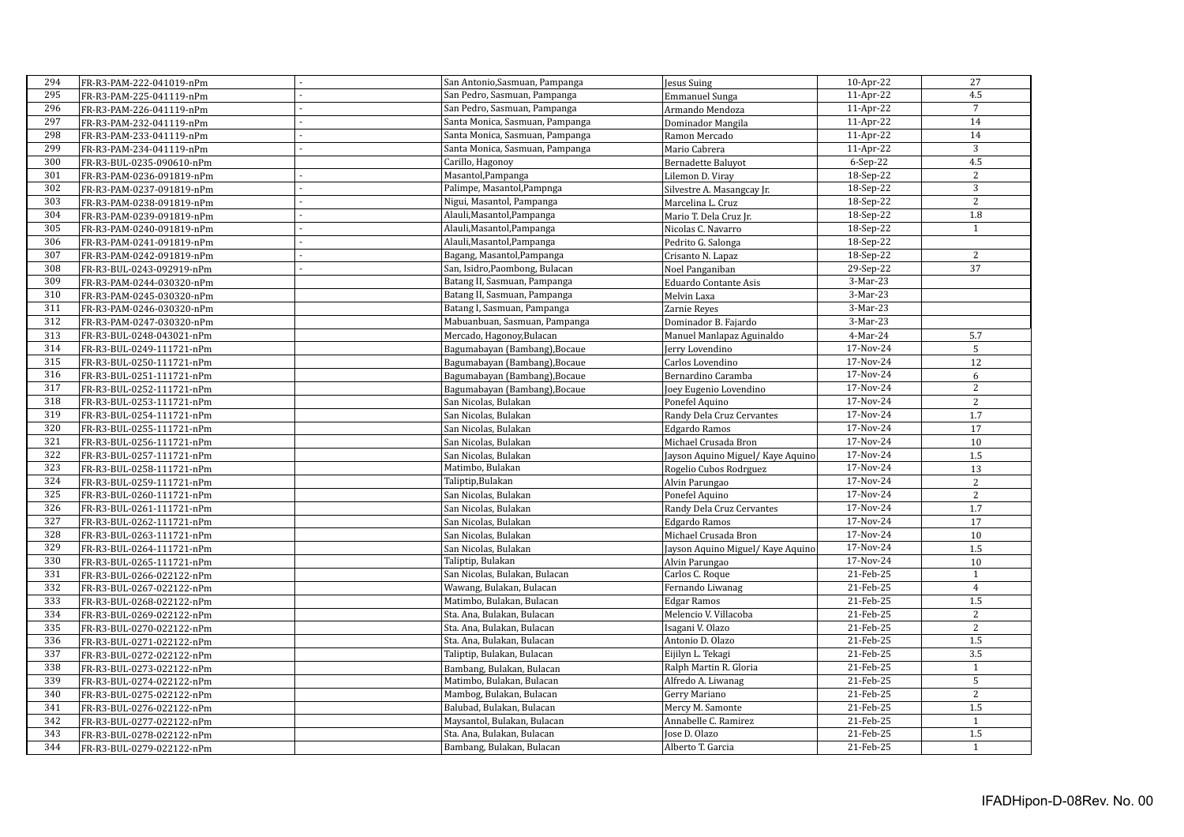| Jesus Suing<br>295<br>4.5<br>San Pedro, Sasmuan, Pampanga<br>11-Apr-22<br>FR-R3-PAM-225-041119-nPm<br><b>Emmanuel Sunga</b><br>296<br>$\overline{7}$<br>San Pedro, Sasmuan, Pampanga<br>11-Apr-22<br>FR-R3-PAM-226-041119-nPm<br>Armando Mendoza<br>297<br>$14\,$<br>Santa Monica, Sasmuan, Pampanga<br>11-Apr-22<br>FR-R3-PAM-232-041119-nPm<br>Dominador Mangila<br>14<br>298<br>Santa Monica, Sasmuan, Pampanga<br>11-Apr-22<br>FR-R3-PAM-233-041119-nPm<br>Ramon Mercado<br>299<br>3<br>Santa Monica, Sasmuan, Pampanga<br>11-Apr-22<br>Mario Cabrera<br>FR-R3-PAM-234-041119-nPm<br>L,<br>4.5<br>300<br>Carillo, Hagonoy<br>$6-Sep-22$<br>Bernadette Baluyot<br>FR-R3-BUL-0235-090610-nPm<br>$\overline{2}$<br>301<br>Masantol, Pampanga<br>18-Sep-22<br>FR-R3-PAM-0236-091819-nPm<br>Lilemon D. Viray<br>$\mathbf{3}$<br>302<br>Palimpe, Masantol, Pampnga<br>18-Sep-22<br>FR-R3-PAM-0237-091819-nPm<br>Silvestre A. Masangcay Jr.<br>$\overline{2}$<br>303<br>Nigui, Masantol, Pampanga<br>18-Sep-22<br>FR-R3-PAM-0238-091819-nPm<br>Marcelina L. Cruz<br>304<br>1.8<br>Alauli, Masantol, Pampanga<br>18-Sep-22<br>Mario T. Dela Cruz Jr.<br>FR-R3-PAM-0239-091819-nPm<br>305<br>Alauli, Masantol, Pampanga<br>18-Sep-22<br>$\mathbf{1}$<br>FR-R3-PAM-0240-091819-nPm<br>Nicolas C. Navarro<br>306<br>Alauli, Masantol, Pampanga<br>18-Sep-22<br>FR-R3-PAM-0241-091819-nPm<br>Pedrito G. Salonga<br>$\sqrt{2}$<br>307<br>18-Sep-22<br>Bagang, Masantol, Pampanga<br>FR-R3-PAM-0242-091819-nPm<br>Crisanto N. Lapaz<br>37<br>308<br>San, Isidro, Paombong, Bulacan<br>29-Sep-22<br>FR-R3-BUL-0243-092919-nPm<br>Noel Panganiban<br>309<br>Batang II, Sasmuan, Pampanga<br>3-Mar-23<br>FR-R3-PAM-0244-030320-nPm<br>Eduardo Contante Asis<br>310<br>Batang II, Sasmuan, Pampanga<br>3-Mar-23<br>FR-R3-PAM-0245-030320-nPm<br>Melvin Laxa<br>311<br>3-Mar-23<br>Batang I, Sasmuan, Pampanga<br>FR-R3-PAM-0246-030320-nPm<br>Zarnie Reyes<br>312<br>Mabuanbuan, Sasmuan, Pampanga<br>3-Mar-23<br>Dominador B. Fajardo<br>FR-R3-PAM-0247-030320-nPm<br>313<br>Mercado, Hagonoy, Bulacan<br>4-Mar-24<br>5.7<br>FR-R3-BUL-0248-043021-nPm<br>Manuel Manlapaz Aguinaldo<br>314<br>17-Nov-24<br>5<br>Bagumabayan (Bambang), Bocaue<br>FR-R3-BUL-0249-111721-nPm<br>Jerry Lovendino<br>315<br>17-Nov-24<br>12<br>FR-R3-BUL-0250-111721-nPm<br>Bagumabayan (Bambang), Bocaue<br>Carlos Lovendino<br>316<br>17-Nov-24<br>6<br>FR-R3-BUL-0251-111721-nPm<br>Bagumabayan (Bambang), Bocaue<br>Bernardino Caramba |
|-----------------------------------------------------------------------------------------------------------------------------------------------------------------------------------------------------------------------------------------------------------------------------------------------------------------------------------------------------------------------------------------------------------------------------------------------------------------------------------------------------------------------------------------------------------------------------------------------------------------------------------------------------------------------------------------------------------------------------------------------------------------------------------------------------------------------------------------------------------------------------------------------------------------------------------------------------------------------------------------------------------------------------------------------------------------------------------------------------------------------------------------------------------------------------------------------------------------------------------------------------------------------------------------------------------------------------------------------------------------------------------------------------------------------------------------------------------------------------------------------------------------------------------------------------------------------------------------------------------------------------------------------------------------------------------------------------------------------------------------------------------------------------------------------------------------------------------------------------------------------------------------------------------------------------------------------------------------------------------------------------------------------------------------------------------------------------------------------------------------------------------------------------------------------------------------------------------------------------------------------------------------------------------------------------------------------------------------------------------------------------------------------------------------------------------------------------------------------------------------------------------|
|                                                                                                                                                                                                                                                                                                                                                                                                                                                                                                                                                                                                                                                                                                                                                                                                                                                                                                                                                                                                                                                                                                                                                                                                                                                                                                                                                                                                                                                                                                                                                                                                                                                                                                                                                                                                                                                                                                                                                                                                                                                                                                                                                                                                                                                                                                                                                                                                                                                                                                           |
|                                                                                                                                                                                                                                                                                                                                                                                                                                                                                                                                                                                                                                                                                                                                                                                                                                                                                                                                                                                                                                                                                                                                                                                                                                                                                                                                                                                                                                                                                                                                                                                                                                                                                                                                                                                                                                                                                                                                                                                                                                                                                                                                                                                                                                                                                                                                                                                                                                                                                                           |
|                                                                                                                                                                                                                                                                                                                                                                                                                                                                                                                                                                                                                                                                                                                                                                                                                                                                                                                                                                                                                                                                                                                                                                                                                                                                                                                                                                                                                                                                                                                                                                                                                                                                                                                                                                                                                                                                                                                                                                                                                                                                                                                                                                                                                                                                                                                                                                                                                                                                                                           |
|                                                                                                                                                                                                                                                                                                                                                                                                                                                                                                                                                                                                                                                                                                                                                                                                                                                                                                                                                                                                                                                                                                                                                                                                                                                                                                                                                                                                                                                                                                                                                                                                                                                                                                                                                                                                                                                                                                                                                                                                                                                                                                                                                                                                                                                                                                                                                                                                                                                                                                           |
|                                                                                                                                                                                                                                                                                                                                                                                                                                                                                                                                                                                                                                                                                                                                                                                                                                                                                                                                                                                                                                                                                                                                                                                                                                                                                                                                                                                                                                                                                                                                                                                                                                                                                                                                                                                                                                                                                                                                                                                                                                                                                                                                                                                                                                                                                                                                                                                                                                                                                                           |
|                                                                                                                                                                                                                                                                                                                                                                                                                                                                                                                                                                                                                                                                                                                                                                                                                                                                                                                                                                                                                                                                                                                                                                                                                                                                                                                                                                                                                                                                                                                                                                                                                                                                                                                                                                                                                                                                                                                                                                                                                                                                                                                                                                                                                                                                                                                                                                                                                                                                                                           |
|                                                                                                                                                                                                                                                                                                                                                                                                                                                                                                                                                                                                                                                                                                                                                                                                                                                                                                                                                                                                                                                                                                                                                                                                                                                                                                                                                                                                                                                                                                                                                                                                                                                                                                                                                                                                                                                                                                                                                                                                                                                                                                                                                                                                                                                                                                                                                                                                                                                                                                           |
|                                                                                                                                                                                                                                                                                                                                                                                                                                                                                                                                                                                                                                                                                                                                                                                                                                                                                                                                                                                                                                                                                                                                                                                                                                                                                                                                                                                                                                                                                                                                                                                                                                                                                                                                                                                                                                                                                                                                                                                                                                                                                                                                                                                                                                                                                                                                                                                                                                                                                                           |
|                                                                                                                                                                                                                                                                                                                                                                                                                                                                                                                                                                                                                                                                                                                                                                                                                                                                                                                                                                                                                                                                                                                                                                                                                                                                                                                                                                                                                                                                                                                                                                                                                                                                                                                                                                                                                                                                                                                                                                                                                                                                                                                                                                                                                                                                                                                                                                                                                                                                                                           |
|                                                                                                                                                                                                                                                                                                                                                                                                                                                                                                                                                                                                                                                                                                                                                                                                                                                                                                                                                                                                                                                                                                                                                                                                                                                                                                                                                                                                                                                                                                                                                                                                                                                                                                                                                                                                                                                                                                                                                                                                                                                                                                                                                                                                                                                                                                                                                                                                                                                                                                           |
|                                                                                                                                                                                                                                                                                                                                                                                                                                                                                                                                                                                                                                                                                                                                                                                                                                                                                                                                                                                                                                                                                                                                                                                                                                                                                                                                                                                                                                                                                                                                                                                                                                                                                                                                                                                                                                                                                                                                                                                                                                                                                                                                                                                                                                                                                                                                                                                                                                                                                                           |
|                                                                                                                                                                                                                                                                                                                                                                                                                                                                                                                                                                                                                                                                                                                                                                                                                                                                                                                                                                                                                                                                                                                                                                                                                                                                                                                                                                                                                                                                                                                                                                                                                                                                                                                                                                                                                                                                                                                                                                                                                                                                                                                                                                                                                                                                                                                                                                                                                                                                                                           |
|                                                                                                                                                                                                                                                                                                                                                                                                                                                                                                                                                                                                                                                                                                                                                                                                                                                                                                                                                                                                                                                                                                                                                                                                                                                                                                                                                                                                                                                                                                                                                                                                                                                                                                                                                                                                                                                                                                                                                                                                                                                                                                                                                                                                                                                                                                                                                                                                                                                                                                           |
|                                                                                                                                                                                                                                                                                                                                                                                                                                                                                                                                                                                                                                                                                                                                                                                                                                                                                                                                                                                                                                                                                                                                                                                                                                                                                                                                                                                                                                                                                                                                                                                                                                                                                                                                                                                                                                                                                                                                                                                                                                                                                                                                                                                                                                                                                                                                                                                                                                                                                                           |
|                                                                                                                                                                                                                                                                                                                                                                                                                                                                                                                                                                                                                                                                                                                                                                                                                                                                                                                                                                                                                                                                                                                                                                                                                                                                                                                                                                                                                                                                                                                                                                                                                                                                                                                                                                                                                                                                                                                                                                                                                                                                                                                                                                                                                                                                                                                                                                                                                                                                                                           |
|                                                                                                                                                                                                                                                                                                                                                                                                                                                                                                                                                                                                                                                                                                                                                                                                                                                                                                                                                                                                                                                                                                                                                                                                                                                                                                                                                                                                                                                                                                                                                                                                                                                                                                                                                                                                                                                                                                                                                                                                                                                                                                                                                                                                                                                                                                                                                                                                                                                                                                           |
|                                                                                                                                                                                                                                                                                                                                                                                                                                                                                                                                                                                                                                                                                                                                                                                                                                                                                                                                                                                                                                                                                                                                                                                                                                                                                                                                                                                                                                                                                                                                                                                                                                                                                                                                                                                                                                                                                                                                                                                                                                                                                                                                                                                                                                                                                                                                                                                                                                                                                                           |
|                                                                                                                                                                                                                                                                                                                                                                                                                                                                                                                                                                                                                                                                                                                                                                                                                                                                                                                                                                                                                                                                                                                                                                                                                                                                                                                                                                                                                                                                                                                                                                                                                                                                                                                                                                                                                                                                                                                                                                                                                                                                                                                                                                                                                                                                                                                                                                                                                                                                                                           |
|                                                                                                                                                                                                                                                                                                                                                                                                                                                                                                                                                                                                                                                                                                                                                                                                                                                                                                                                                                                                                                                                                                                                                                                                                                                                                                                                                                                                                                                                                                                                                                                                                                                                                                                                                                                                                                                                                                                                                                                                                                                                                                                                                                                                                                                                                                                                                                                                                                                                                                           |
|                                                                                                                                                                                                                                                                                                                                                                                                                                                                                                                                                                                                                                                                                                                                                                                                                                                                                                                                                                                                                                                                                                                                                                                                                                                                                                                                                                                                                                                                                                                                                                                                                                                                                                                                                                                                                                                                                                                                                                                                                                                                                                                                                                                                                                                                                                                                                                                                                                                                                                           |
|                                                                                                                                                                                                                                                                                                                                                                                                                                                                                                                                                                                                                                                                                                                                                                                                                                                                                                                                                                                                                                                                                                                                                                                                                                                                                                                                                                                                                                                                                                                                                                                                                                                                                                                                                                                                                                                                                                                                                                                                                                                                                                                                                                                                                                                                                                                                                                                                                                                                                                           |
|                                                                                                                                                                                                                                                                                                                                                                                                                                                                                                                                                                                                                                                                                                                                                                                                                                                                                                                                                                                                                                                                                                                                                                                                                                                                                                                                                                                                                                                                                                                                                                                                                                                                                                                                                                                                                                                                                                                                                                                                                                                                                                                                                                                                                                                                                                                                                                                                                                                                                                           |
| $\overline{2}$<br>317<br>17-Nov-24<br>FR-R3-BUL-0252-111721-nPm<br>Bagumabayan (Bambang), Bocaue<br>Joey Eugenio Lovendino                                                                                                                                                                                                                                                                                                                                                                                                                                                                                                                                                                                                                                                                                                                                                                                                                                                                                                                                                                                                                                                                                                                                                                                                                                                                                                                                                                                                                                                                                                                                                                                                                                                                                                                                                                                                                                                                                                                                                                                                                                                                                                                                                                                                                                                                                                                                                                                |
| 318<br>17-Nov-24<br>$\overline{c}$<br>FR-R3-BUL-0253-111721-nPm<br>San Nicolas, Bulakan<br>Ponefel Aquino                                                                                                                                                                                                                                                                                                                                                                                                                                                                                                                                                                                                                                                                                                                                                                                                                                                                                                                                                                                                                                                                                                                                                                                                                                                                                                                                                                                                                                                                                                                                                                                                                                                                                                                                                                                                                                                                                                                                                                                                                                                                                                                                                                                                                                                                                                                                                                                                 |
| 319<br>17-Nov-24<br>1.7<br>FR-R3-BUL-0254-111721-nPm<br>Randy Dela Cruz Cervantes<br>San Nicolas, Bulakan                                                                                                                                                                                                                                                                                                                                                                                                                                                                                                                                                                                                                                                                                                                                                                                                                                                                                                                                                                                                                                                                                                                                                                                                                                                                                                                                                                                                                                                                                                                                                                                                                                                                                                                                                                                                                                                                                                                                                                                                                                                                                                                                                                                                                                                                                                                                                                                                 |
| 320<br>17-Nov-24<br>17<br>FR-R3-BUL-0255-111721-nPm<br>San Nicolas, Bulakan<br><b>Edgardo Ramos</b>                                                                                                                                                                                                                                                                                                                                                                                                                                                                                                                                                                                                                                                                                                                                                                                                                                                                                                                                                                                                                                                                                                                                                                                                                                                                                                                                                                                                                                                                                                                                                                                                                                                                                                                                                                                                                                                                                                                                                                                                                                                                                                                                                                                                                                                                                                                                                                                                       |
| 321<br>17-Nov-24<br>10<br>FR-R3-BUL-0256-111721-nPm<br>San Nicolas, Bulakan<br>Michael Crusada Bron                                                                                                                                                                                                                                                                                                                                                                                                                                                                                                                                                                                                                                                                                                                                                                                                                                                                                                                                                                                                                                                                                                                                                                                                                                                                                                                                                                                                                                                                                                                                                                                                                                                                                                                                                                                                                                                                                                                                                                                                                                                                                                                                                                                                                                                                                                                                                                                                       |
| 322<br>17-Nov-24<br>1.5<br>FR-R3-BUL-0257-111721-nPm<br>San Nicolas, Bulakan<br>Jayson Aquino Miguel/ Kaye Aquino                                                                                                                                                                                                                                                                                                                                                                                                                                                                                                                                                                                                                                                                                                                                                                                                                                                                                                                                                                                                                                                                                                                                                                                                                                                                                                                                                                                                                                                                                                                                                                                                                                                                                                                                                                                                                                                                                                                                                                                                                                                                                                                                                                                                                                                                                                                                                                                         |
| 323<br>17-Nov-24<br>Matimbo, Bulakan<br>13<br>FR-R3-BUL-0258-111721-nPm<br>Rogelio Cubos Rodrguez                                                                                                                                                                                                                                                                                                                                                                                                                                                                                                                                                                                                                                                                                                                                                                                                                                                                                                                                                                                                                                                                                                                                                                                                                                                                                                                                                                                                                                                                                                                                                                                                                                                                                                                                                                                                                                                                                                                                                                                                                                                                                                                                                                                                                                                                                                                                                                                                         |
| 324<br>17-Nov-24<br>Taliptip, Bulakan<br>$\overline{c}$<br>FR-R3-BUL-0259-111721-nPm<br>Alvin Parungao                                                                                                                                                                                                                                                                                                                                                                                                                                                                                                                                                                                                                                                                                                                                                                                                                                                                                                                                                                                                                                                                                                                                                                                                                                                                                                                                                                                                                                                                                                                                                                                                                                                                                                                                                                                                                                                                                                                                                                                                                                                                                                                                                                                                                                                                                                                                                                                                    |
| 325<br>17-Nov-24<br>San Nicolas, Bulakan<br>2<br>FR-R3-BUL-0260-111721-nPm<br>Ponefel Aquino                                                                                                                                                                                                                                                                                                                                                                                                                                                                                                                                                                                                                                                                                                                                                                                                                                                                                                                                                                                                                                                                                                                                                                                                                                                                                                                                                                                                                                                                                                                                                                                                                                                                                                                                                                                                                                                                                                                                                                                                                                                                                                                                                                                                                                                                                                                                                                                                              |
| 326<br>17-Nov-24<br>1.7<br>FR-R3-BUL-0261-111721-nPm<br>San Nicolas, Bulakan<br>Randy Dela Cruz Cervantes                                                                                                                                                                                                                                                                                                                                                                                                                                                                                                                                                                                                                                                                                                                                                                                                                                                                                                                                                                                                                                                                                                                                                                                                                                                                                                                                                                                                                                                                                                                                                                                                                                                                                                                                                                                                                                                                                                                                                                                                                                                                                                                                                                                                                                                                                                                                                                                                 |
| 327<br>17-Nov-24<br>17<br>FR-R3-BUL-0262-111721-nPm<br>San Nicolas, Bulakan<br>Edgardo Ramos                                                                                                                                                                                                                                                                                                                                                                                                                                                                                                                                                                                                                                                                                                                                                                                                                                                                                                                                                                                                                                                                                                                                                                                                                                                                                                                                                                                                                                                                                                                                                                                                                                                                                                                                                                                                                                                                                                                                                                                                                                                                                                                                                                                                                                                                                                                                                                                                              |
| 328<br>17-Nov-24<br>Michael Crusada Bron<br>10<br>FR-R3-BUL-0263-111721-nPm<br>San Nicolas, Bulakan                                                                                                                                                                                                                                                                                                                                                                                                                                                                                                                                                                                                                                                                                                                                                                                                                                                                                                                                                                                                                                                                                                                                                                                                                                                                                                                                                                                                                                                                                                                                                                                                                                                                                                                                                                                                                                                                                                                                                                                                                                                                                                                                                                                                                                                                                                                                                                                                       |
| 329<br>17-Nov-24<br>1.5<br>FR-R3-BUL-0264-111721-nPm<br>San Nicolas, Bulakan<br>Jayson Aquino Miguel/ Kaye Aquino                                                                                                                                                                                                                                                                                                                                                                                                                                                                                                                                                                                                                                                                                                                                                                                                                                                                                                                                                                                                                                                                                                                                                                                                                                                                                                                                                                                                                                                                                                                                                                                                                                                                                                                                                                                                                                                                                                                                                                                                                                                                                                                                                                                                                                                                                                                                                                                         |
| 330<br>17-Nov-24<br>Taliptip, Bulakan<br>10<br>FR-R3-BUL-0265-111721-nPm<br>Alvin Parungao                                                                                                                                                                                                                                                                                                                                                                                                                                                                                                                                                                                                                                                                                                                                                                                                                                                                                                                                                                                                                                                                                                                                                                                                                                                                                                                                                                                                                                                                                                                                                                                                                                                                                                                                                                                                                                                                                                                                                                                                                                                                                                                                                                                                                                                                                                                                                                                                                |
| 331<br>San Nicolas, Bulakan, Bulacan<br>Carlos C. Roque<br>21-Feb-25<br>$\mathbf{1}$<br>FR-R3-BUL-0266-022122-nPm                                                                                                                                                                                                                                                                                                                                                                                                                                                                                                                                                                                                                                                                                                                                                                                                                                                                                                                                                                                                                                                                                                                                                                                                                                                                                                                                                                                                                                                                                                                                                                                                                                                                                                                                                                                                                                                                                                                                                                                                                                                                                                                                                                                                                                                                                                                                                                                         |
| 332<br>Wawang, Bulakan, Bulacan<br>Fernando Liwanag<br>21-Feb-25<br>$\overline{4}$<br>FR-R3-BUL-0267-022122-nPm                                                                                                                                                                                                                                                                                                                                                                                                                                                                                                                                                                                                                                                                                                                                                                                                                                                                                                                                                                                                                                                                                                                                                                                                                                                                                                                                                                                                                                                                                                                                                                                                                                                                                                                                                                                                                                                                                                                                                                                                                                                                                                                                                                                                                                                                                                                                                                                           |
| 1.5<br>333<br><b>Edgar Ramos</b><br>21-Feb-25<br>Matimbo, Bulakan, Bulacan<br>FR-R3-BUL-0268-022122-nPm                                                                                                                                                                                                                                                                                                                                                                                                                                                                                                                                                                                                                                                                                                                                                                                                                                                                                                                                                                                                                                                                                                                                                                                                                                                                                                                                                                                                                                                                                                                                                                                                                                                                                                                                                                                                                                                                                                                                                                                                                                                                                                                                                                                                                                                                                                                                                                                                   |
| 334<br>Melencio V. Villacoba<br>2<br>Sta. Ana, Bulakan, Bulacan<br>21-Feb-25<br>FR-R3-BUL-0269-022122-nPm                                                                                                                                                                                                                                                                                                                                                                                                                                                                                                                                                                                                                                                                                                                                                                                                                                                                                                                                                                                                                                                                                                                                                                                                                                                                                                                                                                                                                                                                                                                                                                                                                                                                                                                                                                                                                                                                                                                                                                                                                                                                                                                                                                                                                                                                                                                                                                                                 |
| 335<br>Isagani V. Olazo<br>2<br>Sta. Ana, Bulakan, Bulacan<br>21-Feb-25<br>FR-R3-BUL-0270-022122-nPm                                                                                                                                                                                                                                                                                                                                                                                                                                                                                                                                                                                                                                                                                                                                                                                                                                                                                                                                                                                                                                                                                                                                                                                                                                                                                                                                                                                                                                                                                                                                                                                                                                                                                                                                                                                                                                                                                                                                                                                                                                                                                                                                                                                                                                                                                                                                                                                                      |
| 1.5<br>336<br>Sta. Ana, Bulakan, Bulacan<br>Antonio D. Olazo<br>21-Feb-25<br>FR-R3-BUL-0271-022122-nPm                                                                                                                                                                                                                                                                                                                                                                                                                                                                                                                                                                                                                                                                                                                                                                                                                                                                                                                                                                                                                                                                                                                                                                                                                                                                                                                                                                                                                                                                                                                                                                                                                                                                                                                                                                                                                                                                                                                                                                                                                                                                                                                                                                                                                                                                                                                                                                                                    |
| 337<br>3.5<br>Eijilyn L. Tekagi<br>21-Feb-25<br>Taliptip, Bulakan, Bulacan<br>FR-R3-BUL-0272-022122-nPm                                                                                                                                                                                                                                                                                                                                                                                                                                                                                                                                                                                                                                                                                                                                                                                                                                                                                                                                                                                                                                                                                                                                                                                                                                                                                                                                                                                                                                                                                                                                                                                                                                                                                                                                                                                                                                                                                                                                                                                                                                                                                                                                                                                                                                                                                                                                                                                                   |
| 338<br>Ralph Martin R. Gloria<br>21-Feb-25<br>$\mathbf{1}$<br>FR-R3-BUL-0273-022122-nPm<br>Bambang, Bulakan, Bulacan                                                                                                                                                                                                                                                                                                                                                                                                                                                                                                                                                                                                                                                                                                                                                                                                                                                                                                                                                                                                                                                                                                                                                                                                                                                                                                                                                                                                                                                                                                                                                                                                                                                                                                                                                                                                                                                                                                                                                                                                                                                                                                                                                                                                                                                                                                                                                                                      |
| $\overline{5}$<br>339<br>Matimbo, Bulakan, Bulacan<br>Alfredo A. Liwanag<br>21-Feb-25<br>FR-R3-BUL-0274-022122-nPm                                                                                                                                                                                                                                                                                                                                                                                                                                                                                                                                                                                                                                                                                                                                                                                                                                                                                                                                                                                                                                                                                                                                                                                                                                                                                                                                                                                                                                                                                                                                                                                                                                                                                                                                                                                                                                                                                                                                                                                                                                                                                                                                                                                                                                                                                                                                                                                        |
| $\overline{c}$<br>340<br>Mambog, Bulakan, Bulacan<br>Gerry Mariano<br>21-Feb-25<br>FR-R3-BUL-0275-022122-nPm                                                                                                                                                                                                                                                                                                                                                                                                                                                                                                                                                                                                                                                                                                                                                                                                                                                                                                                                                                                                                                                                                                                                                                                                                                                                                                                                                                                                                                                                                                                                                                                                                                                                                                                                                                                                                                                                                                                                                                                                                                                                                                                                                                                                                                                                                                                                                                                              |
| 1.5<br>341<br>Balubad, Bulakan, Bulacan<br>Mercy M. Samonte<br>21-Feb-25<br>FR-R3-BUL-0276-022122-nPm                                                                                                                                                                                                                                                                                                                                                                                                                                                                                                                                                                                                                                                                                                                                                                                                                                                                                                                                                                                                                                                                                                                                                                                                                                                                                                                                                                                                                                                                                                                                                                                                                                                                                                                                                                                                                                                                                                                                                                                                                                                                                                                                                                                                                                                                                                                                                                                                     |
| 342<br>Maysantol, Bulakan, Bulacan<br>Annabelle C. Ramirez<br>21-Feb-25<br>$\mathbf{1}$<br>FR-R3-BUL-0277-022122-nPm                                                                                                                                                                                                                                                                                                                                                                                                                                                                                                                                                                                                                                                                                                                                                                                                                                                                                                                                                                                                                                                                                                                                                                                                                                                                                                                                                                                                                                                                                                                                                                                                                                                                                                                                                                                                                                                                                                                                                                                                                                                                                                                                                                                                                                                                                                                                                                                      |
| 1.5<br>343<br>Jose D. Olazo<br>21-Feb-25<br>Sta. Ana, Bulakan, Bulacan<br>FR-R3-BUL-0278-022122-nPm                                                                                                                                                                                                                                                                                                                                                                                                                                                                                                                                                                                                                                                                                                                                                                                                                                                                                                                                                                                                                                                                                                                                                                                                                                                                                                                                                                                                                                                                                                                                                                                                                                                                                                                                                                                                                                                                                                                                                                                                                                                                                                                                                                                                                                                                                                                                                                                                       |
| $\mathbf{1}$<br>344<br>Bambang, Bulakan, Bulacan<br>Alberto T. Garcia<br>21-Feb-25<br>FR-R3-BUL-0279-022122-nPm                                                                                                                                                                                                                                                                                                                                                                                                                                                                                                                                                                                                                                                                                                                                                                                                                                                                                                                                                                                                                                                                                                                                                                                                                                                                                                                                                                                                                                                                                                                                                                                                                                                                                                                                                                                                                                                                                                                                                                                                                                                                                                                                                                                                                                                                                                                                                                                           |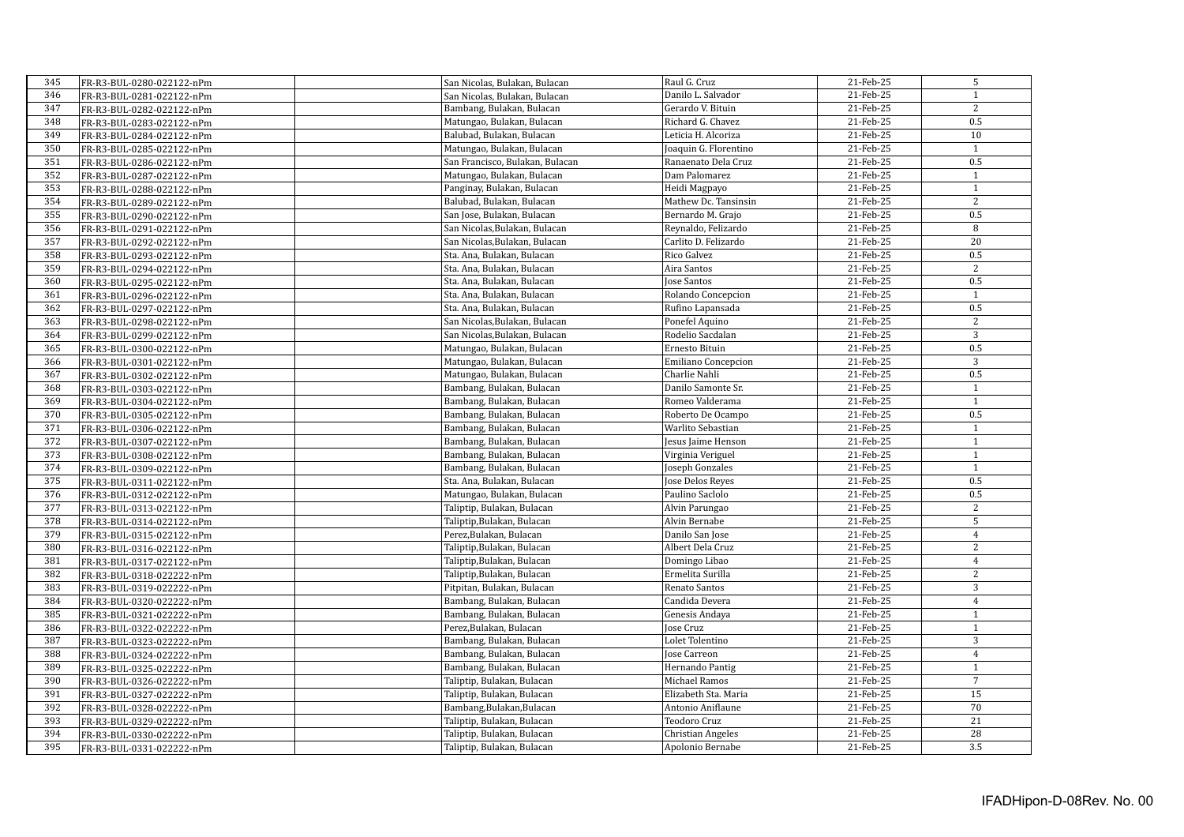| 345 | FR-R3-BUL-0280-022122-nPm  | San Nicolas, Bulakan, Bulacan   | Raul G. Cruz               | 21-Feb-25 | 5                |
|-----|----------------------------|---------------------------------|----------------------------|-----------|------------------|
| 346 | FR-R3-BUL-0281-022122-nPm  | San Nicolas, Bulakan, Bulacan   | Danilo L. Salvador         | 21-Feb-25 | $\mathbf{1}$     |
| 347 | FR-R3-BUL-0282-022122-nPm  | Bambang, Bulakan, Bulacan       | Gerardo V. Bituin          | 21-Feb-25 | 2                |
| 348 | FR-R3-BUL-0283-022122-nPm  | Matungao, Bulakan, Bulacan      | Richard G. Chavez          | 21-Feb-25 | 0.5              |
| 349 | FR-R3-BUL-0284-022122-nPm  | Balubad, Bulakan, Bulacan       | Leticia H. Alcoriza        | 21-Feb-25 | 10               |
| 350 | FR-R3-BUL-0285-022122-nPm  | Matungao, Bulakan, Bulacan      | Joaquin G. Florentino      | 21-Feb-25 | $\mathbf{1}$     |
| 351 | FR-R3-BUL-0286-022122-nPm  | San Francisco, Bulakan, Bulacan | Ranaenato Dela Cruz        | 21-Feb-25 | 0.5              |
| 352 | FR-R3-BUL-0287-022122-nPm  | Matungao, Bulakan, Bulacan      | Dam Palomarez              | 21-Feb-25 | $\mathbf{1}$     |
| 353 | FR-R3-BUL-0288-022122-nPm  | Panginay, Bulakan, Bulacan      | Heidi Magpayo              | 21-Feb-25 | $\mathbf{1}$     |
| 354 | FR-R3-BUL-0289-022122-nPm  | Balubad, Bulakan, Bulacan       | Mathew Dc. Tansinsin       | 21-Feb-25 | $\overline{2}$   |
| 355 | FR-R3-BUL-0290-022122-nPm  | San Jose, Bulakan, Bulacan      | Bernardo M. Grajo          | 21-Feb-25 | 0.5              |
| 356 | FR-R3-BUL-0291-022122-nPm  | San Nicolas, Bulakan, Bulacan   | Reynaldo, Felizardo        | 21-Feb-25 | 8                |
| 357 | FR-R3-BUL-0292-022122-nPm  | San Nicolas, Bulakan, Bulacan   | Carlito D. Felizardo       | 21-Feb-25 | 20               |
| 358 | FR-R3-BUL-0293-022122-nPm  | Sta. Ana, Bulakan, Bulacan      | Rico Galvez                | 21-Feb-25 | 0.5              |
| 359 | FR-R3-BUL-0294-022122-nPm  | Sta. Ana, Bulakan, Bulacan      | Aira Santos                | 21-Feb-25 | $\overline{2}$   |
| 360 | FR-R3-BUL-0295-022122-nPm  | Sta. Ana, Bulakan, Bulacan      | <b>Jose Santos</b>         | 21-Feb-25 | 0.5              |
| 361 | FR-R3-BUL-0296-022122-nPm  | Sta. Ana, Bulakan, Bulacan      | Rolando Concepcion         | 21-Feb-25 | $\mathbf{1}$     |
| 362 | FR-R3-BUL-0297-022122-nPm  | Sta. Ana, Bulakan, Bulacan      | Rufino Lapansada           | 21-Feb-25 | 0.5              |
| 363 | FR-R3-BUL-0298-022122-nPm  | San Nicolas, Bulakan, Bulacan   | Ponefel Aquino             | 21-Feb-25 | 2                |
| 364 | FR-R3-BUL-0299-022122-nPm  | San Nicolas, Bulakan, Bulacan   | Rodelio Sacdalan           | 21-Feb-25 | $\overline{3}$   |
| 365 | FR-R3-BUL-0300-022122-nPm  | Matungao, Bulakan, Bulacan      | Ernesto Bituin             | 21-Feb-25 | 0.5              |
| 366 |                            | Matungao, Bulakan, Bulacan      | <b>Emiliano Concepcion</b> | 21-Feb-25 | $\overline{3}$   |
| 367 | FR-R3-BUL-0301-022122-nPm  |                                 | Charlie Nahli              | 21-Feb-25 | 0.5              |
|     | FR-R3-BUL-0302-022122-nPm  | Matungao, Bulakan, Bulacan      |                            |           | $\mathbf{1}$     |
| 368 | FR-R3-BUL-0303-022122-nPm  | Bambang, Bulakan, Bulacan       | Danilo Samonte Sr.         | 21-Feb-25 |                  |
| 369 | FR-R3-BUL-0304-022122-nPm  | Bambang, Bulakan, Bulacan       | Romeo Valderama            | 21-Feb-25 | $\mathbf{1}$     |
| 370 | FR-R3-BUL-0305-022122-nPm  | Bambang, Bulakan, Bulacan       | Roberto De Ocampo          | 21-Feb-25 | $\overline{0.5}$ |
| 371 | FR-R3-BUL-0306-022122-nPm  | Bambang, Bulakan, Bulacan       | Warlito Sebastian          | 21-Feb-25 | $\mathbf{1}$     |
| 372 | FR-R3-BUL-0307-022122-nPm  | Bambang, Bulakan, Bulacan       | Jesus Jaime Henson         | 21-Feb-25 | $\mathbf{1}$     |
| 373 | FR-R3-BUL-0308-022122-nPm  | Bambang, Bulakan, Bulacan       | Virginia Veriguel          | 21-Feb-25 | $\mathbf{1}$     |
| 374 | FR-R3-BUL-0309-022122-nPm  | Bambang, Bulakan, Bulacan       | Joseph Gonzales            | 21-Feb-25 | $\mathbf{1}$     |
| 375 | FR-R3-BUL-0311-022122-nPm  | Sta. Ana, Bulakan, Bulacan      | Jose Delos Reyes           | 21-Feb-25 | 0.5              |
| 376 | FR-R3-BUL-0312-022122-nPm  | Matungao, Bulakan, Bulacan      | Paulino Saclolo            | 21-Feb-25 | 0.5              |
| 377 | FR-R3-BUL-0313-022122-nPm  | Taliptip, Bulakan, Bulacan      | Alvin Parungao             | 21-Feb-25 | $\overline{2}$   |
| 378 | FR-R3-BUL-0314-022122-nPm  | Taliptip, Bulakan, Bulacan      | Alvin Bernabe              | 21-Feb-25 | 5                |
| 379 | FR-R3-BUL-0315-022122-nPm  | Perez, Bulakan, Bulacan         | Danilo San Jose            | 21-Feb-25 | $\overline{4}$   |
| 380 | FR-R3-BUL-0316-022122-nPm  | Taliptip, Bulakan, Bulacan      | Albert Dela Cruz           | 21-Feb-25 | $\overline{c}$   |
| 381 | FR-R3-BUL-0317-022122-nPm  | Taliptip, Bulakan, Bulacan      | Domingo Libao              | 21-Feb-25 | $\overline{4}$   |
| 382 | FR-R3-BUL-0318-022222-nPm  | Taliptip, Bulakan, Bulacan      | Ermelita Surilla           | 21-Feb-25 | $\mathbf{2}$     |
| 383 | FR-R3-BUL-0319-022222-nPm  | Pitpitan, Bulakan, Bulacan      | Renato Santos              | 21-Feb-25 | 3                |
| 384 | FR-R3-BUL-0320-022222-nPm  | Bambang, Bulakan, Bulacan       | Candida Devera             | 21-Feb-25 | $\overline{4}$   |
| 385 | FR-R3-BUL-0321-022222-nPm  | Bambang, Bulakan, Bulacan       | Genesis Andaya             | 21-Feb-25 | $\mathbf{1}$     |
| 386 | FR-R3-BUL-0322-0222222-nPm | Perez, Bulakan, Bulacan         | Jose Cruz                  | 21-Feb-25 | $\mathbf{1}$     |
| 387 | FR-R3-BUL-0323-0222222-nPm | Bambang, Bulakan, Bulacan       | Lolet Tolentino            | 21-Feb-25 | $\overline{3}$   |
| 388 | FR-R3-BUL-0324-022222-nPm  | Bambang, Bulakan, Bulacan       | <b>Jose Carreon</b>        | 21-Feb-25 | $\overline{4}$   |
| 389 | FR-R3-BUL-0325-0222222-nPm | Bambang, Bulakan, Bulacan       | Hernando Pantig            | 21-Feb-25 | $\mathbf{1}$     |
| 390 | FR-R3-BUL-0326-022222-nPm  | Taliptip, Bulakan, Bulacan      | Michael Ramos              | 21-Feb-25 | $\overline{7}$   |
| 391 | FR-R3-BUL-0327-022222-nPm  | Taliptip, Bulakan, Bulacan      | Elizabeth Sta. Maria       | 21-Feb-25 | $\overline{15}$  |
| 392 | FR-R3-BUL-0328-0222222-nPm | Bambang, Bulakan, Bulacan       | Antonio Aniflaune          | 21-Feb-25 | 70               |
| 393 | FR-R3-BUL-0329-022222-nPm  | Taliptip, Bulakan, Bulacan      | Teodoro Cruz               | 21-Feb-25 | 21               |
| 394 | FR-R3-BUL-0330-022222-nPm  | Taliptip, Bulakan, Bulacan      | <b>Christian Angeles</b>   | 21-Feb-25 | 28               |
| 395 | FR-R3-BUL-0331-022222-nPm  | Taliptip, Bulakan, Bulacan      | Apolonio Bernabe           | 21-Feb-25 | 3.5              |
|     |                            |                                 |                            |           |                  |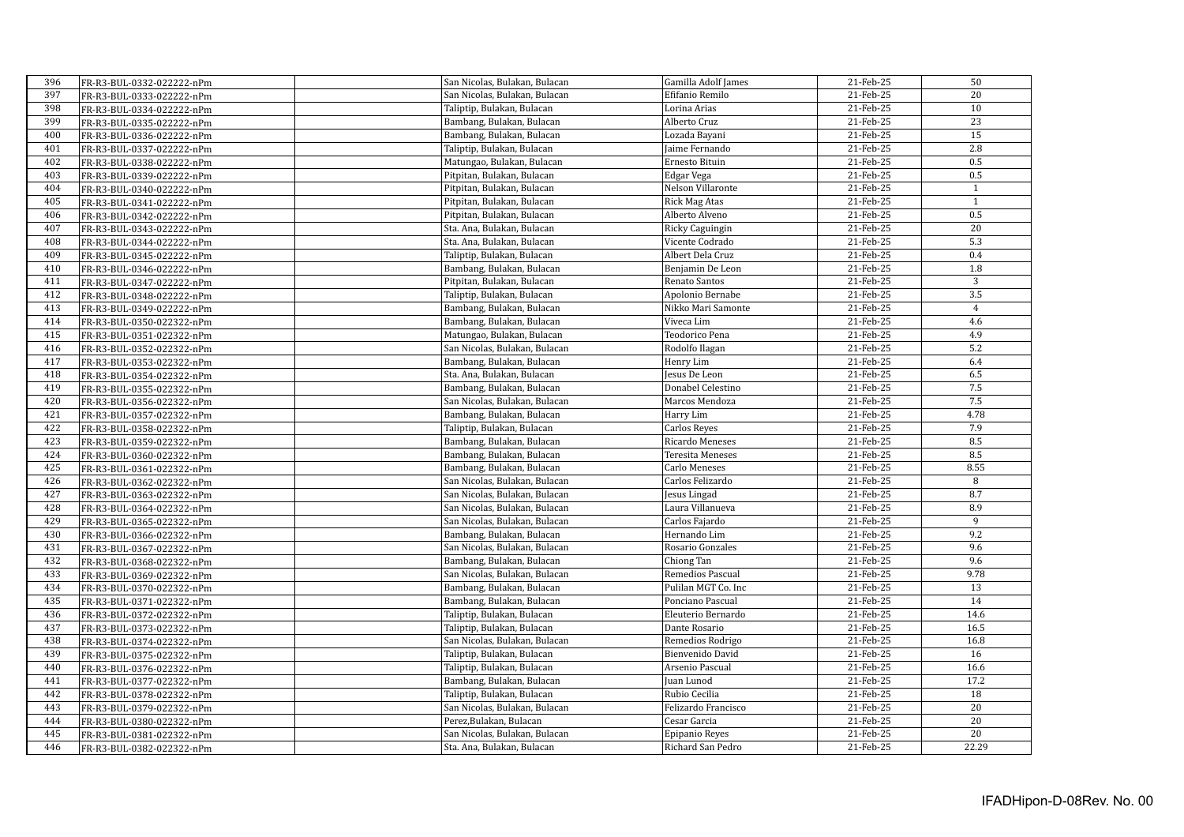| 396 | FR-R3-BUL-0332-022222-nPm  | San Nicolas, Bulakan, Bulacan | Gamilla Adolf James     | 21-Feb-25 | 50               |
|-----|----------------------------|-------------------------------|-------------------------|-----------|------------------|
| 397 | FR-R3-BUL-0333-022222-nPm  | San Nicolas, Bulakan, Bulacan | Efifanio Remilo         | 21-Feb-25 | 20               |
| 398 | FR-R3-BUL-0334-022222-nPm  | Taliptip, Bulakan, Bulacan    | Lorina Arias            | 21-Feb-25 | 10               |
| 399 | FR-R3-BUL-0335-022222-nPm  | Bambang, Bulakan, Bulacan     | Alberto Cruz            | 21-Feb-25 | 23               |
| 400 | FR-R3-BUL-0336-022222-nPm  | Bambang, Bulakan, Bulacan     | Lozada Bayani           | 21-Feb-25 | 15               |
| 401 | FR-R3-BUL-0337-022222-nPm  | Taliptip, Bulakan, Bulacan    | Jaime Fernando          | 21-Feb-25 | 2.8              |
| 402 | FR-R3-BUL-0338-022222-nPm  | Matungao, Bulakan, Bulacan    | Ernesto Bituin          | 21-Feb-25 | 0.5              |
| 403 | FR-R3-BUL-0339-022222-nPm  | Pitpitan, Bulakan, Bulacan    | Edgar Vega              | 21-Feb-25 | 0.5              |
| 404 | FR-R3-BUL-0340-022222-nPm  | Pitpitan, Bulakan, Bulacan    | Nelson Villaronte       | 21-Feb-25 | $\mathbf{1}$     |
| 405 | FR-R3-BUL-0341-022222-nPm  | Pitpitan, Bulakan, Bulacan    | <b>Rick Mag Atas</b>    | 21-Feb-25 | 1                |
| 406 | FR-R3-BUL-0342-0222222-nPm | Pitpitan, Bulakan, Bulacan    | Alberto Alveno          | 21-Feb-25 | 0.5              |
| 407 | FR-R3-BUL-0343-022222-nPm  | Sta. Ana, Bulakan, Bulacan    | Ricky Caguingin         | 21-Feb-25 | $\overline{20}$  |
| 408 | FR-R3-BUL-0344-022222-nPm  | Sta. Ana, Bulakan, Bulacan    | Vicente Codrado         | 21-Feb-25 | $\overline{5.3}$ |
| 409 |                            | Taliptip, Bulakan, Bulacan    | Albert Dela Cruz        | 21-Feb-25 | 0.4              |
| 410 | FR-R3-BUL-0345-0222222-nPm | Bambang, Bulakan, Bulacan     | Benjamin De Leon        | 21-Feb-25 | 1.8              |
| 411 | FR-R3-BUL-0346-022222-nPm  | Pitpitan, Bulakan, Bulacan    | Renato Santos           | 21-Feb-25 | 3                |
| 412 | FR-R3-BUL-0347-022222-nPm  | Taliptip, Bulakan, Bulacan    | Apolonio Bernabe        | 21-Feb-25 | 3.5              |
| 413 | FR-R3-BUL-0348-0222222-nPm | Bambang, Bulakan, Bulacan     | Nikko Mari Samonte      | 21-Feb-25 | $\overline{4}$   |
| 414 | FR-R3-BUL-0349-022222-nPm  | Bambang, Bulakan, Bulacan     | Viveca Lim              | 21-Feb-25 | 4.6              |
| 415 | FR-R3-BUL-0350-022322-nPm  |                               | Teodorico Pena          | 21-Feb-25 | 4.9              |
|     | FR-R3-BUL-0351-022322-nPm  | Matungao, Bulakan, Bulacan    |                         |           |                  |
| 416 | FR-R3-BUL-0352-022322-nPm  | San Nicolas, Bulakan, Bulacan | Rodolfo Ilagan          | 21-Feb-25 | 5.2              |
| 417 | FR-R3-BUL-0353-022322-nPm  | Bambang, Bulakan, Bulacan     | Henry Lim               | 21-Feb-25 | 6.4              |
| 418 | FR-R3-BUL-0354-022322-nPm  | Sta. Ana, Bulakan, Bulacan    | Jesus De Leon           | 21-Feb-25 | 6.5              |
| 419 | FR-R3-BUL-0355-022322-nPm  | Bambang, Bulakan, Bulacan     | Donabel Celestino       | 21-Feb-25 | 7.5              |
| 420 | FR-R3-BUL-0356-022322-nPm  | San Nicolas, Bulakan, Bulacan | Marcos Mendoza          | 21-Feb-25 | 7.5              |
| 421 | FR-R3-BUL-0357-022322-nPm  | Bambang, Bulakan, Bulacan     | Harry Lim               | 21-Feb-25 | 4.78             |
| 422 | FR-R3-BUL-0358-022322-nPm  | Taliptip, Bulakan, Bulacan    | Carlos Reyes            | 21-Feb-25 | 7.9              |
| 423 | FR-R3-BUL-0359-022322-nPm  | Bambang, Bulakan, Bulacan     | Ricardo Meneses         | 21-Feb-25 | 8.5              |
| 424 | FR-R3-BUL-0360-022322-nPm  | Bambang, Bulakan, Bulacan     | <b>Teresita Meneses</b> | 21-Feb-25 | 8.5              |
| 425 | FR-R3-BUL-0361-022322-nPm  | Bambang, Bulakan, Bulacan     | <b>Carlo Meneses</b>    | 21-Feb-25 | 8.55             |
| 426 | FR-R3-BUL-0362-022322-nPm  | San Nicolas, Bulakan, Bulacan | Carlos Felizardo        | 21-Feb-25 | 8                |
| 427 | FR-R3-BUL-0363-022322-nPm  | San Nicolas, Bulakan, Bulacan | Jesus Lingad            | 21-Feb-25 | 8.7              |
| 428 | FR-R3-BUL-0364-022322-nPm  | San Nicolas, Bulakan, Bulacan | Laura Villanueva        | 21-Feb-25 | 8.9              |
| 429 | FR-R3-BUL-0365-022322-nPm  | San Nicolas, Bulakan, Bulacan | Carlos Fajardo          | 21-Feb-25 | 9                |
| 430 | FR-R3-BUL-0366-022322-nPm  | Bambang, Bulakan, Bulacan     | Hernando Lim            | 21-Feb-25 | 9.2              |
| 431 | FR-R3-BUL-0367-022322-nPm  | San Nicolas, Bulakan, Bulacan | Rosario Gonzales        | 21-Feb-25 | 9.6              |
| 432 | FR-R3-BUL-0368-022322-nPm  | Bambang, Bulakan, Bulacan     | Chiong Tan              | 21-Feb-25 | 9.6              |
| 433 | FR-R3-BUL-0369-022322-nPm  | San Nicolas, Bulakan, Bulacan | Remedios Pascual        | 21-Feb-25 | 9.78             |
| 434 | FR-R3-BUL-0370-022322-nPm  | Bambang, Bulakan, Bulacan     | Pulilan MGT Co. Inc     | 21-Feb-25 | 13               |
| 435 | FR-R3-BUL-0371-022322-nPm  | Bambang, Bulakan, Bulacan     | Ponciano Pascual        | 21-Feb-25 | 14               |
| 436 | FR-R3-BUL-0372-022322-nPm  | Taliptip, Bulakan, Bulacan    | Eleuterio Bernardo      | 21-Feb-25 | 14.6             |
| 437 | FR-R3-BUL-0373-022322-nPm  | Taliptip, Bulakan, Bulacan    | Dante Rosario           | 21-Feb-25 | 16.5             |
| 438 | FR-R3-BUL-0374-022322-nPm  | San Nicolas, Bulakan, Bulacan | Remedios Rodrigo        | 21-Feb-25 | 16.8             |
| 439 | FR-R3-BUL-0375-022322-nPm  | Taliptip, Bulakan, Bulacan    | Bienvenido David        | 21-Feb-25 | 16               |
| 440 | FR-R3-BUL-0376-022322-nPm  | Taliptip, Bulakan, Bulacan    | Arsenio Pascual         | 21-Feb-25 | 16.6             |
| 441 | FR-R3-BUL-0377-022322-nPm  | Bambang, Bulakan, Bulacan     | Juan Lunod              | 21-Feb-25 | 17.2             |
| 442 | FR-R3-BUL-0378-022322-nPm  | Taliptip, Bulakan, Bulacan    | Rubio Cecilia           | 21-Feb-25 | 18               |
| 443 | FR-R3-BUL-0379-022322-nPm  | San Nicolas, Bulakan, Bulacan | Felizardo Francisco     | 21-Feb-25 | 20               |
| 444 | FR-R3-BUL-0380-022322-nPm  | Perez, Bulakan, Bulacan       | Cesar Garcia            | 21-Feb-25 | 20               |
| 445 | FR-R3-BUL-0381-022322-nPm  | San Nicolas, Bulakan, Bulacan | Epipanio Reyes          | 21-Feb-25 | $\overline{20}$  |
| 446 | FR-R3-BUL-0382-022322-nPm  | Sta. Ana. Bulakan. Bulacan    | Richard San Pedro       | 21-Feb-25 | 22.29            |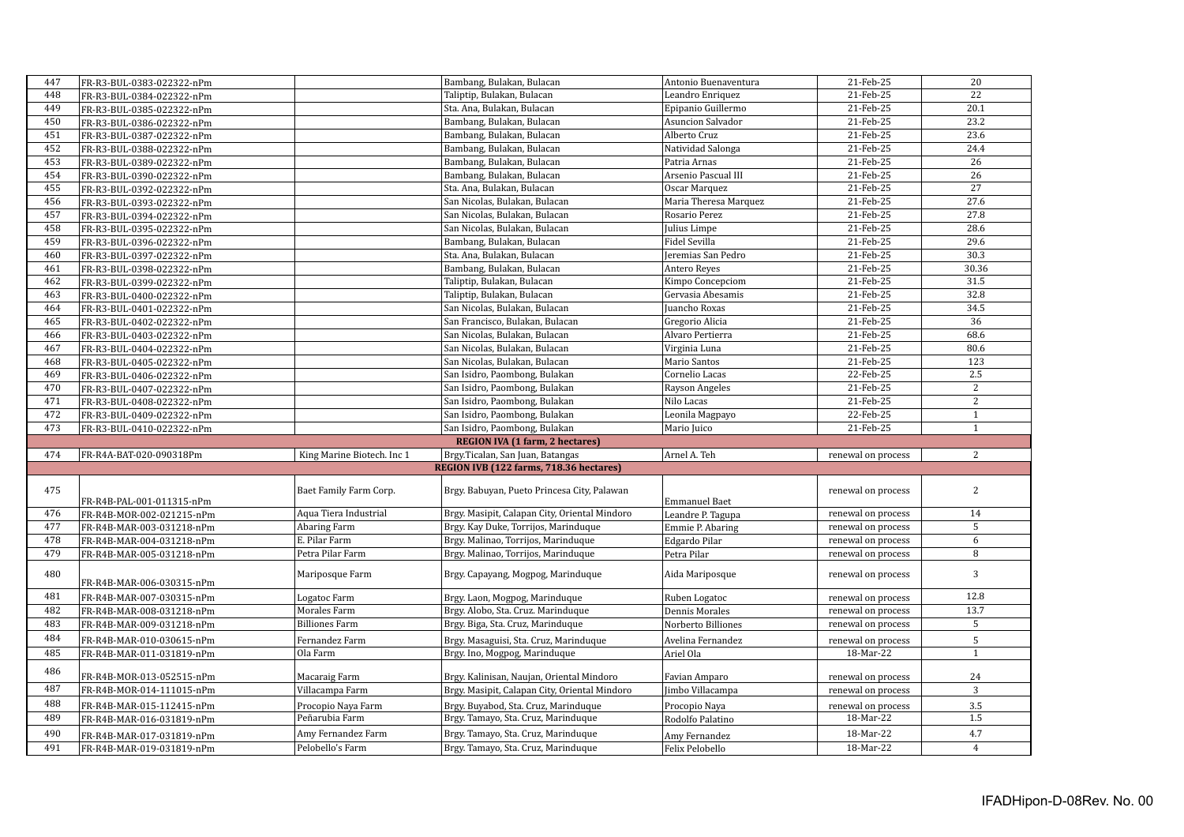| 447 | FR-R3-BUL-0383-022322-nPm |                            | Bambang, Bulakan, Bulacan                     | Antonio Buenaventura     | 21-Feb-25                       | 20             |
|-----|---------------------------|----------------------------|-----------------------------------------------|--------------------------|---------------------------------|----------------|
| 448 | FR-R3-BUL-0384-022322-nPm |                            | Taliptip, Bulakan, Bulacan                    | Leandro Enriquez         | 21-Feb-25                       | 22             |
| 449 | FR-R3-BUL-0385-022322-nPm |                            | Sta. Ana, Bulakan, Bulacan                    | Epipanio Guillermo       | 21-Feb-25                       | 20.1           |
| 450 | FR-R3-BUL-0386-022322-nPm |                            | Bambang, Bulakan, Bulacan                     | <b>Asuncion Salvador</b> | 21-Feb-25                       | 23.2           |
| 451 | FR-R3-BUL-0387-022322-nPm |                            | Bambang, Bulakan, Bulacan                     | Alberto Cruz             | 21-Feb-25                       | 23.6           |
| 452 | FR-R3-BUL-0388-022322-nPm |                            | Bambang, Bulakan, Bulacan                     | Natividad Salonga        | 21-Feb-25                       | 24.4           |
| 453 | FR-R3-BUL-0389-022322-nPm |                            | Bambang, Bulakan, Bulacan                     | Patria Arnas             | 21-Feb-25                       | 26             |
| 454 | FR-R3-BUL-0390-022322-nPm |                            | Bambang, Bulakan, Bulacan                     | Arsenio Pascual III      | 21-Feb-25                       | 26             |
| 455 | FR-R3-BUL-0392-022322-nPm |                            | Sta. Ana, Bulakan, Bulacan                    | Oscar Marquez            | 21-Feb-25                       | 27             |
| 456 | FR-R3-BUL-0393-022322-nPm |                            | San Nicolas, Bulakan, Bulacan                 | Maria Theresa Marquez    | 21-Feb-25                       | 27.6           |
| 457 | FR-R3-BUL-0394-022322-nPm |                            | San Nicolas, Bulakan, Bulacan                 | Rosario Perez            | 21-Feb-25                       | 27.8           |
| 458 | FR-R3-BUL-0395-022322-nPm |                            | San Nicolas, Bulakan, Bulacan                 | Julius Limpe             | 21-Feb-25                       | 28.6           |
| 459 | FR-R3-BUL-0396-022322-nPm |                            | Bambang, Bulakan, Bulacan                     | Fidel Sevilla            | 21-Feb-25                       | 29.6           |
| 460 | FR-R3-BUL-0397-022322-nPm |                            | Sta. Ana, Bulakan, Bulacan                    | Jeremias San Pedro       | 21-Feb-25                       | 30.3           |
| 461 | FR-R3-BUL-0398-022322-nPm |                            | Bambang, Bulakan, Bulacan                     | Antero Reyes             | 21-Feb-25                       | 30.36          |
| 462 | FR-R3-BUL-0399-022322-nPm |                            | Taliptip, Bulakan, Bulacan                    | Kimpo Concepciom         | 21-Feb-25                       | 31.5           |
| 463 | FR-R3-BUL-0400-022322-nPm |                            | Taliptip, Bulakan, Bulacan                    | Gervasia Abesamis        | 21-Feb-25                       | 32.8           |
| 464 | FR-R3-BUL-0401-022322-nPm |                            | San Nicolas, Bulakan, Bulacan                 | Juancho Roxas            | 21-Feb-25                       | 34.5           |
| 465 | FR-R3-BUL-0402-022322-nPm |                            | San Francisco, Bulakan, Bulacan               | Gregorio Alicia          | 21-Feb-25                       | 36             |
| 466 | FR-R3-BUL-0403-022322-nPm |                            | San Nicolas, Bulakan, Bulacan                 | Alvaro Pertierra         | 21-Feb-25                       | 68.6           |
| 467 | FR-R3-BUL-0404-022322-nPm |                            | San Nicolas, Bulakan, Bulacan                 | Virginia Luna            | 21-Feb-25                       | 80.6           |
| 468 | FR-R3-BUL-0405-022322-nPm |                            | San Nicolas, Bulakan, Bulacan                 | Mario Santos             | 21-Feb-25                       | 123            |
| 469 | FR-R3-BUL-0406-022322-nPm |                            | San Isidro, Paombong, Bulakan                 | Cornelio Lacas           | 22-Feb-25                       | 2.5            |
| 470 | FR-R3-BUL-0407-022322-nPm |                            | San Isidro, Paombong, Bulakan                 | Rayson Angeles           | 21-Feb-25                       | $\overline{2}$ |
| 471 | FR-R3-BUL-0408-022322-nPm |                            | San Isidro, Paombong, Bulakan                 | Nilo Lacas               | 21-Feb-25                       | 2              |
| 472 | FR-R3-BUL-0409-022322-nPm |                            | San Isidro, Paombong, Bulakan                 | Leonila Magpayo          | 22-Feb-25                       | $1\,$          |
| 473 | FR-R3-BUL-0410-022322-nPm |                            | San Isidro, Paombong, Bulakan                 | Mario Juico              | 21-Feb-25                       | $\mathbf{1}$   |
|     |                           |                            | REGION IVA (1 farm, 2 hectares)               |                          |                                 |                |
| 474 | FR-R4A-BAT-020-090318Pm   | King Marine Biotech. Inc 1 | Brgy.Ticalan, San Juan, Batangas              | Arnel A. Teh             | renewal on process              | 2              |
|     |                           |                            | REGION IVB (122 farms, 718.36 hectares)       |                          |                                 |                |
|     |                           |                            |                                               |                          |                                 |                |
| 475 |                           | Baet Family Farm Corp.     | Brgy. Babuyan, Pueto Princesa City, Palawan   |                          | renewal on process              | 2              |
|     | FR-R4B-PAL-001-011315-nPm |                            |                                               | <b>Emmanuel Baet</b>     |                                 |                |
| 476 | FR-R4B-MOR-002-021215-nPm | Aqua Tiera Industrial      | Brgy. Masipit, Calapan City, Oriental Mindoro | Leandre P. Tagupa        | renewal on process              | 14             |
| 477 | FR-R4B-MAR-003-031218-nPm | <b>Abaring Farm</b>        | Brgy. Kay Duke, Torrijos, Marinduque          | Emmie P. Abaring         | renewal on process              | $\overline{5}$ |
| 478 | FR-R4B-MAR-004-031218-nPm | E. Pilar Farm              | Brgy. Malinao, Torrijos, Marinduque           | Edgardo Pilar            | renewal on process              | 6              |
| 479 | FR-R4B-MAR-005-031218-nPm | Petra Pilar Farm           | Brgy. Malinao, Torrijos, Marinduque           | Petra Pilar              | renewal on process              | $\,8\,$        |
| 480 | FR-R4B-MAR-006-030315-nPm | Mariposque Farm            | Brgy. Capayang, Mogpog, Marinduque            | Aida Mariposque          | renewal on process              | $\mathbf{3}$   |
| 481 | FR-R4B-MAR-007-030315-nPm | Logatoc Farm               | Brgy. Laon, Mogpog, Marinduque                | Ruben Logatoc            | renewal on process              | 12.8           |
| 482 | FR-R4B-MAR-008-031218-nPm | Morales Farm               | Brgy. Alobo, Sta. Cruz. Marinduque            | <b>Dennis Morales</b>    | renewal on process              | 13.7           |
| 483 | FR-R4B-MAR-009-031218-nPm | <b>Billiones Farm</b>      | Brgy. Biga, Sta. Cruz, Marinduque             | Norberto Billiones       | renewal on process              | 5              |
| 484 | FR-R4B-MAR-010-030615-nPm | Fernandez Farm             | Brgy. Masaguisi, Sta. Cruz, Marinduque        | Avelina Fernandez        |                                 | 5              |
| 485 |                           | Ola Farm                   | Brgy. Ino, Mogpog, Marinduque                 | Ariel Ola                | renewal on process<br>18-Mar-22 | $\mathbf{1}$   |
| 486 | FR-R4B-MAR-011-031819-nPm |                            |                                               |                          |                                 |                |
|     |                           |                            |                                               |                          |                                 |                |
|     | FR-R4B-MOR-013-052515-nPm | Macaraig Farm              | Brgy. Kalinisan, Naujan, Oriental Mindoro     | Favian Amparo            | renewal on process              | 24             |
| 487 | FR-R4B-MOR-014-111015-nPm | Villacampa Farm            | Brgy. Masipit, Calapan City, Oriental Mindoro | Jimbo Villacampa         | renewal on process              | $\mathbf{3}$   |
| 488 | FR-R4B-MAR-015-112415-nPm | Procopio Nava Farm         | Brgy. Buyabod, Sta. Cruz, Marinduque          | Procopio Naya            | renewal on process              | 3.5            |
| 489 | FR-R4B-MAR-016-031819-nPm | Peñarubia Farm             | Brgy. Tamayo, Sta. Cruz, Marinduque           | Rodolfo Palatino         | 18-Mar-22                       | 1.5            |
| 490 | FR-R4B-MAR-017-031819-nPm | Amy Fernandez Farm         | Brgy. Tamayo, Sta. Cruz, Marinduque           | Amy Fernandez            | 18-Mar-22                       | 4.7            |
| 491 | FR-R4B-MAR-019-031819-nPm | Pelobello's Farm           | Brgy. Tamayo, Sta. Cruz, Marinduque           | Felix Pelobello          | 18-Mar-22                       | $\overline{4}$ |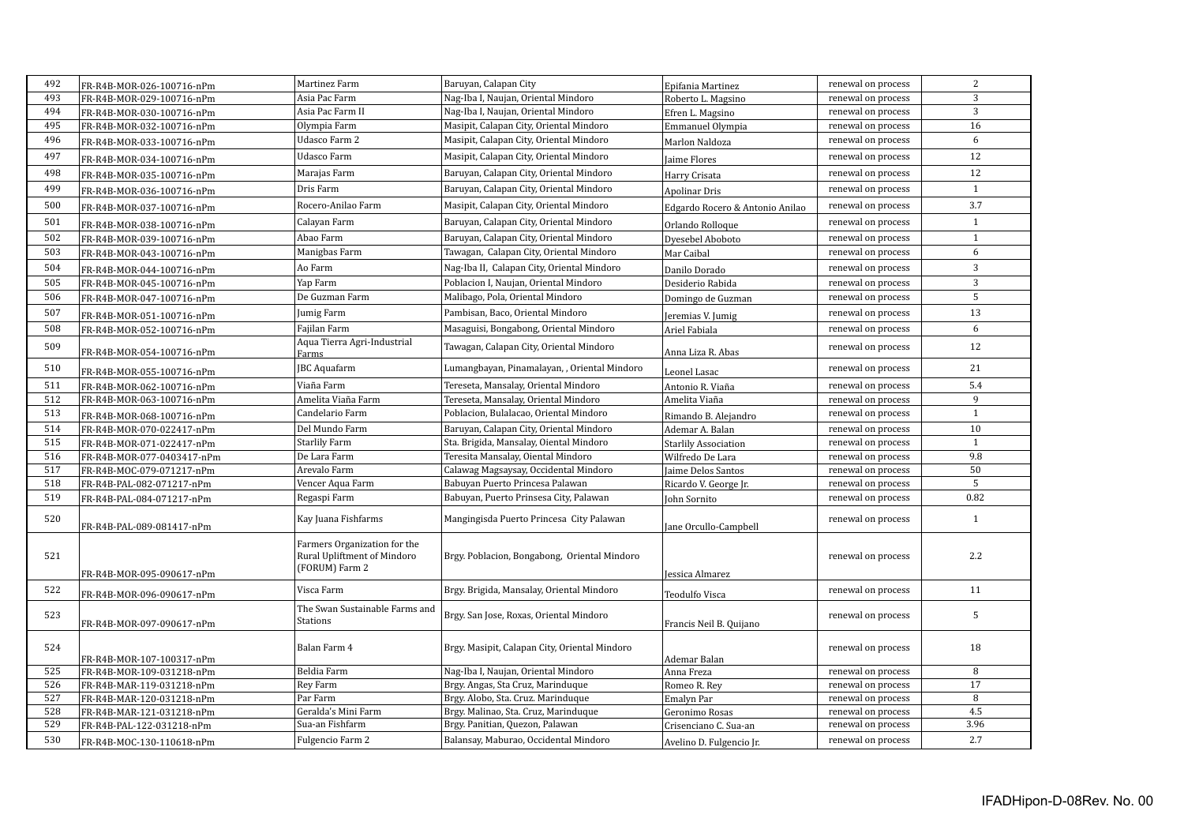| 492 | FR-R4B-MOR-026-100716-nPm  | Martinez Farm                                                                 | Baruyan, Calapan City                         | Epifania Martinez               | renewal on process | 2              |
|-----|----------------------------|-------------------------------------------------------------------------------|-----------------------------------------------|---------------------------------|--------------------|----------------|
| 493 | FR-R4B-MOR-029-100716-nPm  | Asia Pac Farm                                                                 | Nag-Iba I, Naujan, Oriental Mindoro           | Roberto L. Magsino              | renewal on process | $\overline{3}$ |
| 494 | FR-R4B-MOR-030-100716-nPm  | Asia Pac Farm II                                                              | Nag-Iba I, Naujan, Oriental Mindoro           | Efren L. Magsino                | renewal on process | 3              |
| 495 | FR-R4B-MOR-032-100716-nPm  | Olympia Farm                                                                  | Masipit, Calapan City, Oriental Mindoro       | Emmanuel Olympia                | renewal on process | 16             |
| 496 | FR-R4B-MOR-033-100716-nPm  | Udasco Farm 2                                                                 | Masipit, Calapan City, Oriental Mindoro       | Marlon Naldoza                  | renewal on process | 6              |
| 497 | FR-R4B-MOR-034-100716-nPm  | Udasco Farm                                                                   | Masipit, Calapan City, Oriental Mindoro       | Jaime Flores                    | renewal on process | 12             |
| 498 | FR-R4B-MOR-035-100716-nPm  | Marajas Farm                                                                  | Baruyan, Calapan City, Oriental Mindoro       | Harry Crisata                   | renewal on process | 12             |
| 499 | FR-R4B-MOR-036-100716-nPm  | Dris Farm                                                                     | Baruyan, Calapan City, Oriental Mindoro       | <b>Apolinar Dris</b>            | renewal on process | $\mathbf{1}$   |
| 500 | FR-R4B-MOR-037-100716-nPm  | Rocero-Anilao Farm                                                            | Masipit, Calapan City, Oriental Mindoro       | Edgardo Rocero & Antonio Anilao | renewal on process | 3.7            |
| 501 | FR-R4B-MOR-038-100716-nPm  | Calayan Farm                                                                  | Baruyan, Calapan City, Oriental Mindoro       | Orlando Rolloque                | renewal on process | $\mathbf{1}$   |
| 502 | FR-R4B-MOR-039-100716-nPm  | Abao Farm                                                                     | Baruyan, Calapan City, Oriental Mindoro       | Dyesebel Aboboto                | renewal on process | $\mathbf{1}$   |
| 503 | FR-R4B-MOR-043-100716-nPm  | Manigbas Farm                                                                 | Tawagan, Calapan City, Oriental Mindoro       | Mar Caibal                      | renewal on process | 6              |
| 504 | FR-R4B-MOR-044-100716-nPm  | Ao Farm                                                                       | Nag-Iba II, Calapan City, Oriental Mindoro    | Danilo Dorado                   | renewal on process | 3              |
| 505 | FR-R4B-MOR-045-100716-nPm  | Yap Farm                                                                      | Poblacion I, Naujan, Oriental Mindoro         | Desiderio Rabida                | renewal on process | 3              |
| 506 | FR-R4B-MOR-047-100716-nPm  | De Guzman Farm                                                                | Malibago, Pola, Oriental Mindoro              | Domingo de Guzman               | renewal on process | 5              |
| 507 | FR-R4B-MOR-051-100716-nPm  | Jumig Farm                                                                    | Pambisan, Baco, Oriental Mindoro              | Jeremias V. Jumig               | renewal on process | 13             |
| 508 | FR-R4B-MOR-052-100716-nPm  | Fajilan Farm                                                                  | Masaguisi, Bongabong, Oriental Mindoro        | Ariel Fabiala                   | renewal on process | 6              |
| 509 | FR-R4B-MOR-054-100716-nPm  | Aqua Tierra Agri-Industrial<br>Farms                                          | Tawagan, Calapan City, Oriental Mindoro       | Anna Liza R. Abas               | renewal on process | 12             |
| 510 | FR-R4B-MOR-055-100716-nPm  | <b>JBC</b> Aquafarm                                                           | Lumangbayan, Pinamalayan, , Oriental Mindoro  | Leonel Lasac                    | renewal on process | 21             |
| 511 | FR-R4B-MOR-062-100716-nPm  | Viaña Farm                                                                    | Tereseta, Mansalay, Oriental Mindoro          | Antonio R. Viaña                | renewal on process | 5.4            |
| 512 | FR-R4B-MOR-063-100716-nPm  | Amelita Viaña Farm                                                            | Tereseta, Mansalay, Oriental Mindoro          | Amelita Viaña                   | renewal on process | 9              |
| 513 | FR-R4B-MOR-068-100716-nPm  | Candelario Farm                                                               | Poblacion, Bulalacao, Oriental Mindoro        | Rimando B. Alejandro            | renewal on process | $\mathbf{1}$   |
| 514 | FR-R4B-MOR-070-022417-nPm  | Del Mundo Farm                                                                | Baruyan, Calapan City, Oriental Mindoro       | Ademar A. Balan                 | renewal on process | 10             |
| 515 | FR-R4B-MOR-071-022417-nPm  | Starlily Farm                                                                 | Sta. Brigida, Mansalay, Oiental Mindoro       | <b>Starlily Association</b>     | renewal on process | $\mathbf{1}$   |
| 516 | FR-R4B-MOR-077-0403417-nPm | De Lara Farm                                                                  | Teresita Mansalay, Oiental Mindoro            | Wilfredo De Lara                | renewal on process | 9.8            |
| 517 | FR-R4B-MOC-079-071217-nPm  | Arevalo Farm                                                                  | Calawag Magsaysay, Occidental Mindoro         | Jaime Delos Santos              | renewal on process | 50             |
| 518 | FR-R4B-PAL-082-071217-nPm  | Vencer Aqua Farm                                                              | Babuyan Puerto Princesa Palawan               | Ricardo V. George Jr.           | renewal on process | 5              |
| 519 | FR-R4B-PAL-084-071217-nPm  | Regaspi Farm                                                                  | Babuyan, Puerto Prinsesa City, Palawan        | John Sornito                    | renewal on process | 0.82           |
| 520 | FR-R4B-PAL-089-081417-nPm  | Kay Juana Fishfarms                                                           | Mangingisda Puerto Princesa City Palawan      | Jane Orcullo-Campbell           | renewal on process | $\mathbf{1}$   |
| 521 | FR-R4B-MOR-095-090617-nPm  | Farmers Organization for the<br>Rural Upliftment of Mindoro<br>(FORUM) Farm 2 | Brgy. Poblacion, Bongabong, Oriental Mindoro  | Jessica Almarez                 | renewal on process | 2.2            |
| 522 | FR-R4B-MOR-096-090617-nPm  | Visca Farm                                                                    | Brgy. Brigida, Mansalay, Oriental Mindoro     | <b>Teodulfo Visca</b>           | renewal on process | 11             |
| 523 | FR-R4B-MOR-097-090617-nPm  | The Swan Sustainable Farms and<br><b>Stations</b>                             | Brgy. San Jose, Roxas, Oriental Mindoro       | Francis Neil B. Quijano         | renewal on process | 5              |
| 524 | FR-R4B-MOR-107-100317-nPm  | Balan Farm 4                                                                  | Brgy. Masipit, Calapan City, Oriental Mindoro | Ademar Balan                    | renewal on process | 18             |
| 525 | FR-R4B-MOR-109-031218-nPm  | Beldia Farm                                                                   | Nag-Iba I, Naujan, Oriental Mindoro           | Anna Freza                      | renewal on process | 8              |
| 526 | FR-R4B-MAR-119-031218-nPm  | Rey Farm                                                                      | Brgy. Angas, Sta Cruz, Marinduque             | Romeo R. Rev                    | renewal on process | 17             |
| 527 | FR-R4B-MAR-120-031218-nPm  | Par Farm                                                                      | Brgy. Alobo, Sta. Cruz. Marinduque            | Emalyn Par                      | renewal on process | 8              |
| 528 | FR-R4B-MAR-121-031218-nPm  | Geralda's Mini Farm                                                           | Brgy. Malinao, Sta. Cruz, Marinduque          | Geronimo Rosas                  | renewal on process | 4.5            |
| 529 | FR-R4B-PAL-122-031218-nPm  | Sua-an Fishfarm                                                               | Brgy. Panitian, Quezon, Palawan               | Crisenciano C. Sua-an           | renewal on process | 3.96           |
| 530 | FR-R4B-MOC-130-110618-nPm  | Fulgencio Farm 2                                                              | Balansay, Maburao, Occidental Mindoro         | Avelino D. Fulgencio Jr.        | renewal on process | 2.7            |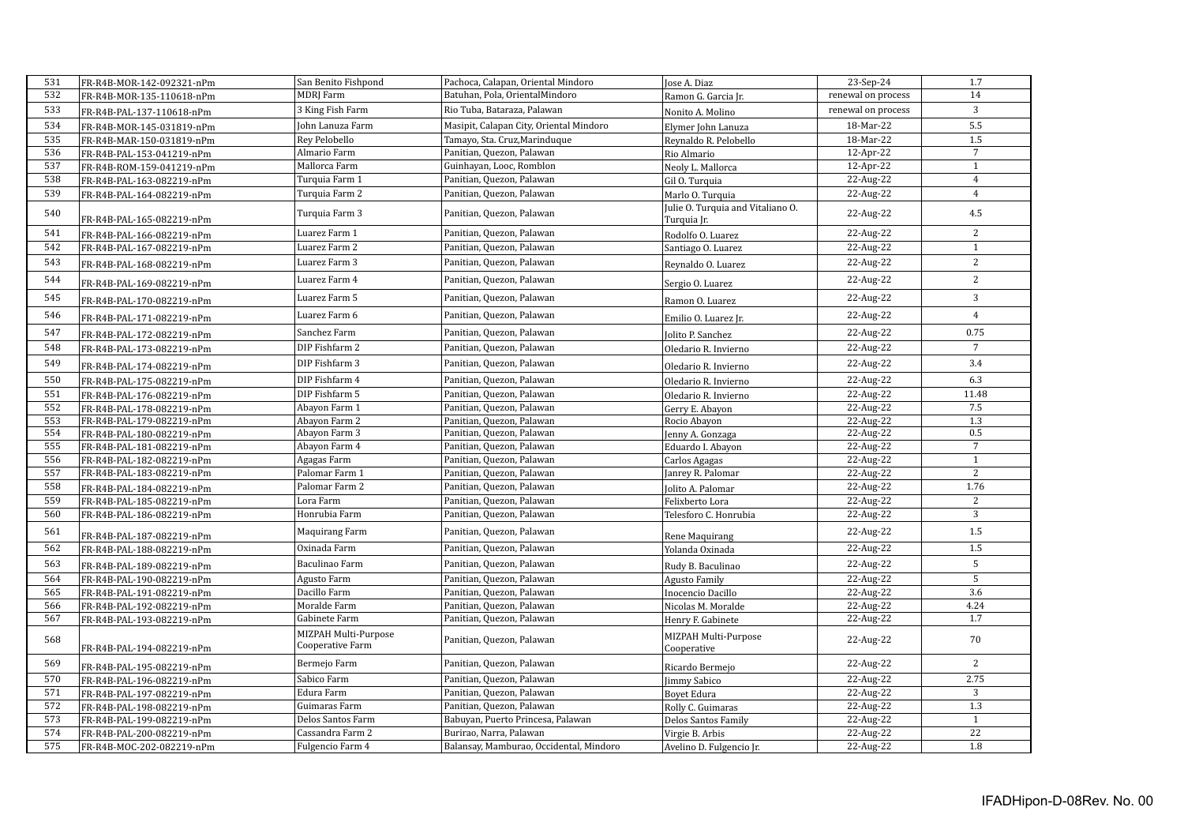| 531 | FR-R4B-MOR-142-092321-nPm | San Benito Fishpond                      | Pachoca, Calapan, Oriental Mindoro      | Jose A. Diaz                                     | 23-Sep-24          | 1.7            |
|-----|---------------------------|------------------------------------------|-----------------------------------------|--------------------------------------------------|--------------------|----------------|
| 532 | FR-R4B-MOR-135-110618-nPm | <b>MDRI</b> Farm                         | Batuhan, Pola, OrientalMindoro          | Ramon G. Garcia Jr.                              | renewal on process | 14             |
| 533 | FR-R4B-PAL-137-110618-nPm | 3 King Fish Farm                         | Rio Tuba, Bataraza, Palawan             | Nonito A. Molino                                 | renewal on process | $\mathbf{3}$   |
| 534 | FR-R4B-MOR-145-031819-nPm | John Lanuza Farm                         | Masipit, Calapan City, Oriental Mindoro | Elymer John Lanuza                               | 18-Mar-22          | 5.5            |
| 535 | FR-R4B-MAR-150-031819-nPm | Rey Pelobello                            | Tamayo, Sta. Cruz, Marinduque           | Reynaldo R. Pelobello                            | 18-Mar-22          | 1.5            |
| 536 | FR-R4B-PAL-153-041219-nPm | Almario Farm                             | Panitian, Quezon, Palawan               | Rio Almario                                      | 12-Apr-22          | $\overline{7}$ |
| 537 | FR-R4B-ROM-159-041219-nPm | Mallorca Farm                            | Guinhayan, Looc, Romblon                | Neoly L. Mallorca                                | 12-Apr-22          | $\mathbf{1}$   |
| 538 | FR-R4B-PAL-163-082219-nPm | Turquia Farm 1                           | Panitian, Quezon, Palawan               | Gil O. Turquia                                   | 22-Aug-22          | $\overline{4}$ |
| 539 | FR-R4B-PAL-164-082219-nPm | Turquia Farm 2                           | Panitian, Quezon, Palawan               | Marlo O. Turquia                                 | 22-Aug-22          | $\overline{4}$ |
| 540 | FR-R4B-PAL-165-082219-nPm | Turquia Farm 3                           | Panitian, Quezon, Palawan               | Julie O. Turquia and Vitaliano O.<br>Turquia Jr. | 22-Aug-22          | 4.5            |
| 541 | FR-R4B-PAL-166-082219-nPm | Luarez Farm 1                            | Panitian, Quezon, Palawan               | Rodolfo O. Luarez                                | 22-Aug-22          | $\overline{2}$ |
| 542 | FR-R4B-PAL-167-082219-nPm | Luarez Farm 2                            | Panitian, Quezon, Palawan               | Santiago O. Luarez                               | 22-Aug-22          | $\mathbf{1}$   |
| 543 | FR-R4B-PAL-168-082219-nPm | Luarez Farm 3                            | Panitian, Quezon, Palawan               | Reynaldo O. Luarez                               | 22-Aug-22          | $\overline{2}$ |
| 544 | FR-R4B-PAL-169-082219-nPm | Luarez Farm 4                            | Panitian, Quezon, Palawan               | Sergio O. Luarez                                 | 22-Aug-22          | $\overline{c}$ |
| 545 | FR-R4B-PAL-170-082219-nPm | Luarez Farm 5                            | Panitian, Quezon, Palawan               | Ramon O. Luarez                                  | 22-Aug-22          | 3              |
| 546 | FR-R4B-PAL-171-082219-nPm | Luarez Farm 6                            | Panitian, Quezon, Palawan               | Emilio O. Luarez Jr.                             | 22-Aug-22          | $\overline{4}$ |
| 547 | FR-R4B-PAL-172-082219-nPm | Sanchez Farm                             | Panitian, Quezon, Palawan               | Jolito P. Sanchez                                | 22-Aug-22          | 0.75           |
| 548 | FR-R4B-PAL-173-082219-nPm | DIP Fishfarm 2                           | Panitian, Quezon, Palawan               | Oledario R. Invierno                             | 22-Aug-22          | $\overline{7}$ |
| 549 | FR-R4B-PAL-174-082219-nPm | DIP Fishfarm 3                           | Panitian, Quezon, Palawan               | Oledario R. Invierno                             | 22-Aug-22          | 3.4            |
| 550 | FR-R4B-PAL-175-082219-nPm | DIP Fishfarm 4                           | Panitian, Quezon, Palawan               | Oledario R. Invierno                             | 22-Aug-22          | 6.3            |
| 551 | FR-R4B-PAL-176-082219-nPm | DIP Fishfarm 5                           | Panitian, Quezon, Palawan               | Oledario R. Invierno                             | 22-Aug-22          | 11.48          |
| 552 | FR-R4B-PAL-178-082219-nPm | Abayon Farm 1                            | Panitian, Quezon, Palawan               | Gerry E. Abayon                                  | 22-Aug-22          | 7.5            |
| 553 | FR-R4B-PAL-179-082219-nPm | Abayon Farm 2                            | Panitian, Quezon, Palawan               | Rocio Abayon                                     | 22-Aug-22          | 1.3            |
| 554 | FR-R4B-PAL-180-082219-nPm | Abayon Farm 3                            | Panitian, Quezon, Palawan               | Jenny A. Gonzaga                                 | 22-Aug-22          | 0.5            |
| 555 | FR-R4B-PAL-181-082219-nPm | Abayon Farm 4                            | Panitian, Quezon, Palawan               | Eduardo I. Abayon                                | 22-Aug-22          | $\overline{7}$ |
| 556 | FR-R4B-PAL-182-082219-nPm | Agagas Farm                              | Panitian, Quezon, Palawan               | Carlos Agagas                                    | 22-Aug-22          | $\mathbf{1}$   |
| 557 | FR-R4B-PAL-183-082219-nPm | Palomar Farm 1                           | Panitian, Quezon, Palawan               | Janrey R. Palomar                                | 22-Aug-22          | $\overline{2}$ |
| 558 | FR-R4B-PAL-184-082219-nPm | Palomar Farm 2                           | Panitian, Quezon, Palawan               | Jolito A. Palomar                                | 22-Aug-22          | 1.76           |
| 559 | FR-R4B-PAL-185-082219-nPm | Lora Farm                                | Panitian, Quezon, Palawan               | Felixberto Lora                                  | 22-Aug-22          | $\mathbf{2}$   |
| 560 | FR-R4B-PAL-186-082219-nPm | Honrubia Farm                            | Panitian, Quezon, Palawan               | Telesforo C. Honrubia                            | 22-Aug-22          | 3              |
| 561 | FR-R4B-PAL-187-082219-nPm | Maquirang Farm                           | Panitian, Quezon, Palawan               | Rene Maquirang                                   | 22-Aug-22          | 1.5            |
| 562 | FR-R4B-PAL-188-082219-nPm | Oxinada Farm                             | Panitian, Quezon, Palawan               | Yolanda Oxinada                                  | 22-Aug-22          | 1.5            |
| 563 | FR-R4B-PAL-189-082219-nPm | Baculinao Farm                           | Panitian, Quezon, Palawan               | Rudy B. Baculinao                                | 22-Aug-22          | 5              |
| 564 | FR-R4B-PAL-190-082219-nPm | Agusto Farm                              | Panitian, Quezon, Palawan               | <b>Agusto Family</b>                             | 22-Aug-22          | 5              |
| 565 | FR-R4B-PAL-191-082219-nPm | Dacillo Farm                             | Panitian, Quezon, Palawan               | Inocencio Dacillo                                | 22-Aug-22          | 3.6            |
| 566 | FR-R4B-PAL-192-082219-nPm | Moralde Farm                             | Panitian, Quezon, Palawan               | Nicolas M. Moralde                               | 22-Aug-22          | 4.24           |
| 567 | FR-R4B-PAL-193-082219-nPm | Gabinete Farm                            | Panitian, Quezon, Palawan               | Henry F. Gabinete                                | 22-Aug-22          | 1.7            |
| 568 | FR-R4B-PAL-194-082219-nPm | MIZPAH Multi-Purpose<br>Cooperative Farm | Panitian, Quezon, Palawan               | MIZPAH Multi-Purpose<br>Cooperative              | 22-Aug-22          | 70             |
| 569 | FR-R4B-PAL-195-082219-nPm | Bermejo Farm                             | Panitian, Quezon, Palawan               | Ricardo Bermejo                                  | 22-Aug-22          | 2              |
| 570 | FR-R4B-PAL-196-082219-nPm | Sabico Farm                              | Panitian, Quezon, Palawan               | <b>Jimmy Sabico</b>                              | 22-Aug-22          | 2.75           |
| 571 | FR-R4B-PAL-197-082219-nPm | Edura Farm                               | Panitian, Quezon, Palawan               | Boyet Edura                                      | 22-Aug-22          | 3              |
| 572 | FR-R4B-PAL-198-082219-nPm | Guimaras Farm                            | Panitian, Quezon, Palawan               | Rolly C. Guimaras                                | 22-Aug-22          | 1.3            |
| 573 | FR-R4B-PAL-199-082219-nPm | Delos Santos Farm                        | Babuyan, Puerto Princesa, Palawan       | Delos Santos Family                              | 22-Aug-22          | $\mathbf{1}$   |
| 574 | FR-R4B-PAL-200-082219-nPm | Cassandra Farm 2                         | Burirao, Narra, Palawan                 | Virgie B. Arbis                                  | 22-Aug-22          | 22             |
| 575 | FR-R4B-MOC-202-082219-nPm | Fulgencio Farm 4                         | Balansay, Mamburao, Occidental, Mindoro | Avelino D. Fulgencio Jr.                         | 22-Aug-22          | 1.8            |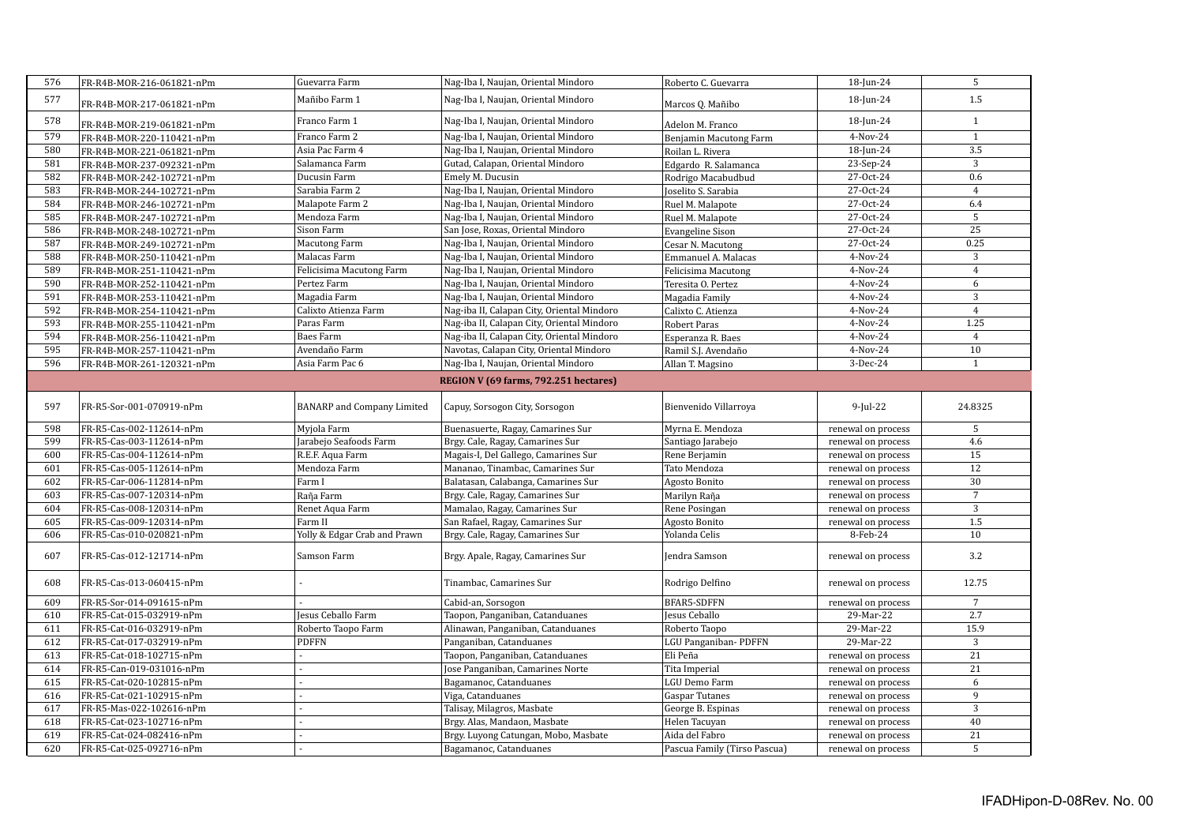| 576 | FR-R4B-MOR-216-061821-nPm | Guevarra Farm                     | Nag-Iba I, Naujan, Oriental Mindoro        | Roberto C. Guevarra     | 18-Jun-24          | 5              |
|-----|---------------------------|-----------------------------------|--------------------------------------------|-------------------------|--------------------|----------------|
| 577 | FR-R4B-MOR-217-061821-nPm | Mañibo Farm 1                     | Nag-Iba I, Naujan, Oriental Mindoro        | Marcos Q. Mañibo        | 18-Jun-24          | 1.5            |
| 578 | FR-R4B-MOR-219-061821-nPm | Franco Farm 1                     | Nag-Iba I, Naujan, Oriental Mindoro        | Adelon M. Franco        | 18-Jun-24          | $\,1\,$        |
| 579 | FR-R4B-MOR-220-110421-nPm | Franco Farm 2                     | Nag-Iba I, Naujan, Oriental Mindoro        | Benjamin Macutong Farm  | 4-Nov-24           | $\mathbf{1}$   |
| 580 | FR-R4B-MOR-221-061821-nPm | Asia Pac Farm 4                   | Nag-Iba I, Naujan, Oriental Mindoro        | Roilan L. Rivera        | 18-Jun-24          | 3.5            |
| 581 | FR-R4B-MOR-237-092321-nPm | Salamanca Farm                    | Gutad, Calapan, Oriental Mindoro           | Edgardo R. Salamanca    | 23-Sep-24          | $\overline{3}$ |
| 582 | FR-R4B-MOR-242-102721-nPm | Ducusin Farm                      | Emely M. Ducusin                           | Rodrigo Macabudbud      | 27-Oct-24          | 0.6            |
| 583 | FR-R4B-MOR-244-102721-nPm | Sarabia Farm 2                    | Nag-Iba I, Naujan, Oriental Mindoro        | Joselito S. Sarabia     | 27-Oct-24          | $\overline{4}$ |
| 584 | FR-R4B-MOR-246-102721-nPm | Malapote Farm 2                   | Nag-Iba I, Naujan, Oriental Mindoro        | Ruel M. Malapote        | 27-Oct-24          | 6.4            |
| 585 | FR-R4B-MOR-247-102721-nPm | Mendoza Farm                      | Nag-Iba I, Naujan, Oriental Mindoro        | Ruel M. Malapote        | 27-Oct-24          | 5              |
| 586 | FR-R4B-MOR-248-102721-nPm | Sison Farm                        | San Jose, Roxas, Oriental Mindoro          | <b>Evangeline Sison</b> | 27-Oct-24          | 25             |
| 587 | FR-R4B-MOR-249-102721-nPm | <b>Macutong Farm</b>              | Nag-Iba I, Naujan, Oriental Mindoro        | Cesar N. Macutong       | 27-Oct-24          | 0.25           |
| 588 | FR-R4B-MOR-250-110421-nPm | Malacas Farm                      | Nag-Iba I, Naujan, Oriental Mindoro        | Emmanuel A. Malacas     | 4-Nov-24           | 3              |
| 589 | FR-R4B-MOR-251-110421-nPm | Felicisima Macutong Farm          | Nag-Iba I, Naujan, Oriental Mindoro        | Felicisima Macutong     | 4-Nov-24           | $\overline{4}$ |
| 590 | FR-R4B-MOR-252-110421-nPm | Pertez Farm                       | Nag-Iba I, Naujan, Oriental Mindoro        | Teresita O. Pertez      | 4-Nov-24           | 6              |
| 591 | FR-R4B-MOR-253-110421-nPm | Magadia Farm                      | Nag-Iba I, Naujan, Oriental Mindoro        | Magadia Family          | 4-Nov-24           | 3              |
| 592 | FR-R4B-MOR-254-110421-nPm | Calixto Atienza Farm              | Nag-iba II, Calapan City, Oriental Mindoro | Calixto C. Atienza      | 4-Nov-24           | $\overline{4}$ |
| 593 | FR-R4B-MOR-255-110421-nPm | Paras Farm                        | Nag-iba II, Calapan City, Oriental Mindoro | Robert Paras            | 4-Nov-24           | 1.25           |
| 594 | FR-R4B-MOR-256-110421-nPm | Baes Farm                         | Nag-iba II, Calapan City, Oriental Mindoro | Esperanza R. Baes       | 4-Nov-24           | $\overline{4}$ |
| 595 | FR-R4B-MOR-257-110421-nPm | Avendaño Farm                     | Navotas, Calapan City, Oriental Mindoro    | Ramil S.J. Avendaño     | 4-Nov-24           | 10             |
| 596 | FR-R4B-MOR-261-120321-nPm | Asia Farm Pac 6                   | Nag-Iba I, Naujan, Oriental Mindoro        | Allan T. Magsino        | 3-Dec-24           | $\mathbf{1}$   |
|     |                           |                                   | REGION V (69 farms, 792.251 hectares)      |                         |                    |                |
|     |                           |                                   |                                            |                         |                    |                |
| 597 | FR-R5-Sor-001-070919-nPm  | <b>BANARP</b> and Company Limited | Capuy, Sorsogon City, Sorsogon             | Bienvenido Villarroya   | $9$ -Jul-22        | 24.8325        |
| 598 | FR-R5-Cas-002-112614-nPm  | Myjola Farm                       | Buenasuerte, Ragay, Camarines Sur          | Myrna E. Mendoza        | renewal on process | 5              |
| 599 | FR-R5-Cas-003-112614-nPm  | Jarabejo Seafoods Farm            | Brgy. Cale, Ragay, Camarines Sur           | Santiago Jarabejo       | renewal on process | 4.6            |
| 600 | FR-R5-Cas-004-112614-nPm  | R.E.F. Aqua Farm                  | Magais-I, Del Gallego, Camarines Sur       | Rene Berjamin           | renewal on process | 15             |
| 601 | FR-R5-Cas-005-112614-nPm  | Mendoza Farm                      | Mananao, Tinambac, Camarines Sur           | Tato Mendoza            | renewal on process | 12             |
| 602 | FR-R5-Car-006-112814-nPm  | Farm I                            | Balatasan, Calabanga, Camarines Sur        | Agosto Bonito           | renewal on process | 30             |
| 603 | FR-R5-Cas-007-120314-nPm  | Raña Farm                         | Brgy. Cale, Ragay, Camarines Sur           | Marilyn Raña            | renewal on process | $\overline{7}$ |
| 604 | FR-R5-Cas-008-120314-nPm  | Renet Aqua Farm                   | Mamalao, Ragay, Camarines Sur              | Rene Posingan           | renewal on process | 3              |
| 605 | FR-R5-Cas-009-120314-nPm  | Farm II                           | San Rafael, Ragay, Camarines Sur           | Agosto Bonito           | renewal on process | 1.5            |
| 606 | FR-R5-Cas-010-020821-nPm  | Yolly & Edgar Crab and Prawn      | Brgy. Cale, Ragay, Camarines Sur           | Yolanda Celis           | 8-Feb-24           | 10             |
| 607 | FR-R5-Cas-012-121714-nPm  | Samson Farm                       | Brgy. Apale, Ragay, Camarines Sur          | <b>Jendra Samson</b>    | renewal on process | 3.2            |
| 608 | FR-R5-Cas-013-060415-nPm  |                                   | Tinambac, Camarines Sur                    | Rodrigo Delfino         | renewal on process | 12.75          |
| 609 | FR-R5-Sor-014-091615-nPm  |                                   | Cabid-an, Sorsogon                         | BFAR5-SDFFN             | renewal on process | $\overline{7}$ |
| 610 | FR-R5-Cat-015-032919-nPm  | Jesus Ceballo Farm                | Taopon, Panganiban, Catanduanes            | Jesus Ceballo           | 29-Mar-22          | 2.7            |
| 611 | FR-R5-Cat-016-032919-nPm  | Roberto Taopo Farm                | Alinawan, Panganiban, Catanduanes          | Roberto Taopo           | 29-Mar-22          | 15.9           |
| 612 | FR-R5-Cat-017-032919-nPm  | <b>PDFFN</b>                      | Panganiban, Catanduanes                    | LGU Panganiban-PDFFN    | 29-Mar-22          | 3              |
| 613 | FR-R5-Cat-018-102715-nPm  |                                   | Taopon, Panganiban, Catanduanes            | Eli Peña                | renewal on process | 21             |
| 614 | FR-R5-Can-019-031016-nPm  |                                   | Jose Panganiban, Camarines Norte           | Tita Imperial           | renewal on process | 21             |
| 615 | FR-R5-Cat-020-102815-nPm  |                                   | Bagamanoc, Catanduanes                     | LGU Demo Farm           | renewal on process | 6              |
| 616 |                           |                                   |                                            |                         |                    |                |
|     | FR-R5-Cat-021-102915-nPm  |                                   | Viga, Catanduanes                          | <b>Gaspar Tutanes</b>   | renewal on process | $\overline{9}$ |
| 617 | FR-R5-Mas-022-102616-nPm  |                                   | Talisay, Milagros, Masbate                 | George B. Espinas       | renewal on process | $\overline{3}$ |
| 618 | FR-R5-Cat-023-102716-nPm  |                                   | Brgy. Alas, Mandaon, Masbate               | Helen Tacuyan           | renewal on process | 40             |
| 619 | FR-R5-Cat-024-082416-nPm  |                                   | Brgy. Luyong Catungan, Mobo, Masbate       | Aida del Fabro          | renewal on process | 21             |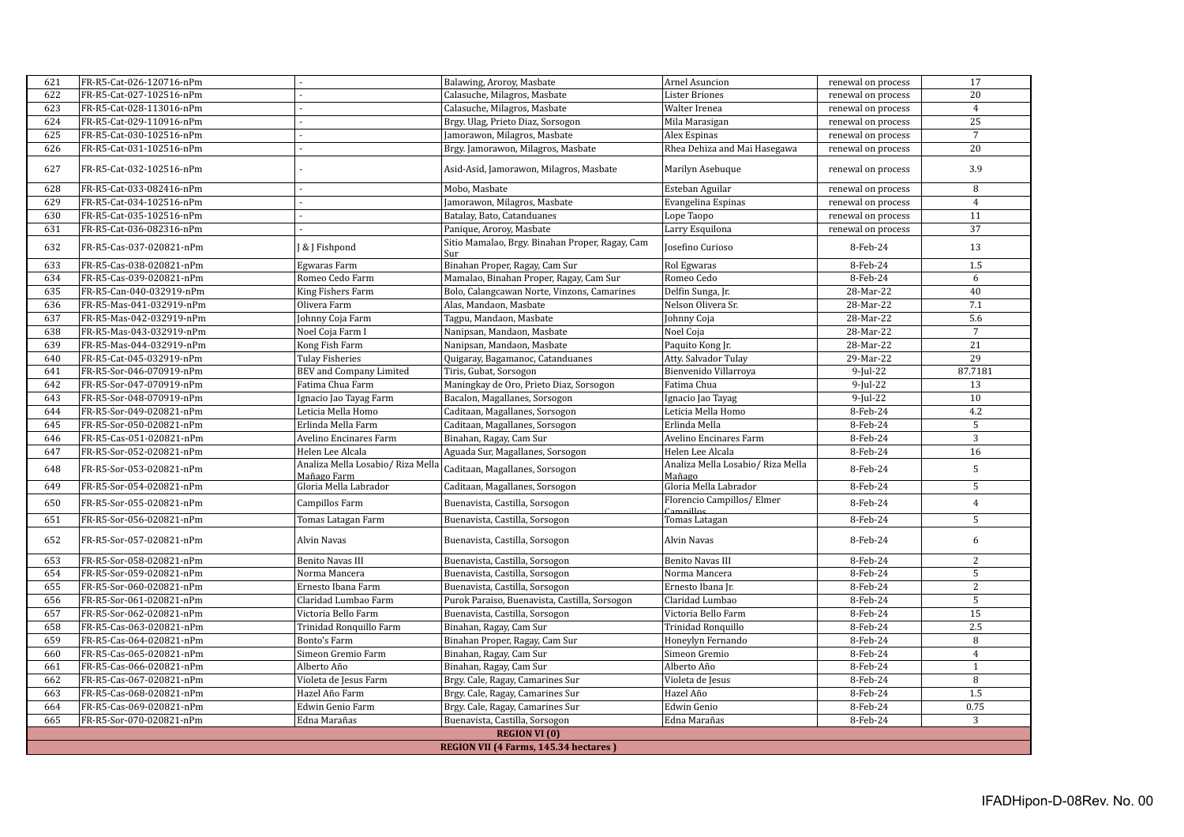|            | 17<br>FR-R5-Cat-026-120716-nPm<br>Balawing, Aroroy, Masbate<br>Arnel Asuncion<br>621<br>renewal on process |                                                                                   |                                                        |                                         |                      |                      |  |  |
|------------|------------------------------------------------------------------------------------------------------------|-----------------------------------------------------------------------------------|--------------------------------------------------------|-----------------------------------------|----------------------|----------------------|--|--|
| 622        | FR-R5-Cat-027-102516-nPm                                                                                   |                                                                                   | Calasuche, Milagros, Masbate                           | <b>Lister Briones</b>                   | renewal on process   | 20                   |  |  |
| 623        | FR-R5-Cat-028-113016-nPm                                                                                   |                                                                                   | Calasuche, Milagros, Masbate                           | Walter Irenea                           | renewal on process   | $\overline{4}$       |  |  |
|            |                                                                                                            |                                                                                   |                                                        |                                         |                      |                      |  |  |
| 624        | FR-R5-Cat-029-110916-nPm                                                                                   |                                                                                   | Brgy. Ulag, Prieto Diaz, Sorsogon                      | Mila Marasigan                          | renewal on process   | 25<br>$\overline{7}$ |  |  |
| 625        | FR-R5-Cat-030-102516-nPm                                                                                   |                                                                                   | Jamorawon, Milagros, Masbate                           | Alex Espinas                            | renewal on process   |                      |  |  |
| 626        | FR-R5-Cat-031-102516-nPm                                                                                   |                                                                                   | Brgy. Jamorawon, Milagros, Masbate                     | Rhea Dehiza and Mai Hasegawa            | renewal on process   | 20                   |  |  |
| 627        | FR-R5-Cat-032-102516-nPm                                                                                   |                                                                                   | Asid-Asid, Jamorawon, Milagros, Masbate                | Marilyn Asebuque                        | renewal on process   | 3.9                  |  |  |
| 628        | FR-R5-Cat-033-082416-nPm                                                                                   |                                                                                   | Mobo, Masbate                                          | Esteban Aguilar                         | renewal on process   | 8                    |  |  |
| 629        | FR-R5-Cat-034-102516-nPm                                                                                   |                                                                                   | Jamorawon, Milagros, Masbate                           | Evangelina Espinas                      | renewal on process   | $\overline{4}$       |  |  |
| 630        | FR-R5-Cat-035-102516-nPm                                                                                   |                                                                                   | Batalay, Bato, Catanduanes                             | Lope Taopo                              | renewal on process   | 11                   |  |  |
| 631        | FR-R5-Cat-036-082316-nPm                                                                                   |                                                                                   | Panique, Aroroy, Masbate                               | Larry Esquilona                         | renewal on process   | 37                   |  |  |
| 632        | FR-R5-Cas-037-020821-nPm                                                                                   | & J Fishpond                                                                      | Sitio Mamalao, Brgy. Binahan Proper, Ragay, Cam<br>Sur | Josefino Curioso                        | 8-Feb-24             | 13                   |  |  |
| 633        | FR-R5-Cas-038-020821-nPm                                                                                   | Egwaras Farm                                                                      | Binahan Proper, Ragay, Cam Sur                         | Rol Egwaras                             | 8-Feb-24             | 1.5                  |  |  |
| 634        | FR-R5-Cas-039-020821-nPm                                                                                   | Romeo Cedo Farm                                                                   | Mamalao, Binahan Proper, Ragay, Cam Sur                | Romeo Cedo                              | 8-Feb-24             | 6                    |  |  |
| 635        | FR-R5-Can-040-032919-nPm                                                                                   | King Fishers Farm                                                                 | Bolo, Calangcawan Norte, Vinzons, Camarines            | Delfin Sunga, Jr.                       | 28-Mar-22            | 40                   |  |  |
| 636        | FR-R5-Mas-041-032919-nPm                                                                                   | Olivera Farm                                                                      | Alas, Mandaon, Masbate                                 | Nelson Olivera Sr.                      | 28-Mar-22            | 7.1                  |  |  |
| 637        | FR-R5-Mas-042-032919-nPm                                                                                   | Johnny Coja Farm                                                                  | Tagpu, Mandaon, Masbate                                | Johnny Coja                             | 28-Mar-22            | 5.6                  |  |  |
| 638        | FR-R5-Mas-043-032919-nPm                                                                                   | Noel Coja Farm I                                                                  | Nanipsan, Mandaon, Masbate                             | Noel Coja                               | 28-Mar-22            | $\overline{7}$       |  |  |
| 639        | FR-R5-Mas-044-032919-nPm                                                                                   | Kong Fish Farm                                                                    | Nanipsan, Mandaon, Masbate                             | Paquito Kong Jr.                        | 28-Mar-22            | 21                   |  |  |
| 640        | FR-R5-Cat-045-032919-nPm                                                                                   | Tulay Fisheries                                                                   | Quigaray, Bagamanoc, Catanduanes                       | Atty. Salvador Tulay                    | 29-Mar-22            | 29                   |  |  |
| 641        | FR-R5-Sor-046-070919-nPm                                                                                   | <b>BEV</b> and Company Limited                                                    | Tiris, Gubat, Sorsogon                                 | Bienvenido Villarroya                   | $9$ -Jul-22          | 87.7181              |  |  |
| 642        | FR-R5-Sor-047-070919-nPm                                                                                   | Fatima Chua Farm                                                                  | Maningkay de Oro, Prieto Diaz, Sorsogon                | Fatima Chua                             | $9$ -Jul-22          | 13                   |  |  |
| 643        | FR-R5-Sor-048-070919-nPm                                                                                   | Ignacio Jao Tayag Farm                                                            | Bacalon, Magallanes, Sorsogon                          | Ignacio Jao Tayag                       | $9$ -Jul-22          | 10                   |  |  |
| 644        | FR-R5-Sor-049-020821-nPm                                                                                   | Leticia Mella Homo                                                                | Caditaan, Magallanes, Sorsogon                         | Leticia Mella Homo                      | 8-Feb-24             | 4.2                  |  |  |
| 645        | FR-R5-Sor-050-020821-nPm                                                                                   | Erlinda Mella Farm                                                                | Caditaan, Magallanes, Sorsogon                         | Erlinda Mella                           | 8-Feb-24             | $5\overline{)}$      |  |  |
| 646        | FR-R5-Cas-051-020821-nPm                                                                                   | Avelino Encinares Farm                                                            | Binahan, Ragay, Cam Sur                                | Avelino Encinares Farm                  | 8-Feb-24             | 3                    |  |  |
| 647        | FR-R5-Sor-052-020821-nPm                                                                                   | Helen Lee Alcala                                                                  | Aguada Sur, Magallanes, Sorsogon                       | Helen Lee Alcala                        | 8-Feb-24             | 16                   |  |  |
|            |                                                                                                            |                                                                                   |                                                        | Analiza Mella Losabio/ Riza Mella       |                      |                      |  |  |
| 648<br>649 | FR-R5-Sor-053-020821-nPm                                                                                   | Analiza Mella Losabio/ Riza Mella   Caditaan, Magallanes, Sorsogon<br>Mañago Farm |                                                        | Mañago                                  | 8-Feb-24<br>8-Feb-24 | $\sqrt{5}$<br>5      |  |  |
|            | FR-R5-Sor-054-020821-nPm                                                                                   | Gloria Mella Labrador                                                             | Caditaan, Magallanes, Sorsogon                         | Gloria Mella Labrador                   |                      |                      |  |  |
| 650        | FR-R5-Sor-055-020821-nPm                                                                                   | Campillos Farm                                                                    | Buenavista, Castilla, Sorsogon                         | Florencio Campillos/ Elmer<br>Camnillos | 8-Feb-24             | $\overline{4}$       |  |  |
| 651        | FR-R5-Sor-056-020821-nPm                                                                                   | Tomas Latagan Farm                                                                | Buenavista, Castilla, Sorsogon                         | Tomas Latagan                           | 8-Feb-24             | 5                    |  |  |
| 652        | FR-R5-Sor-057-020821-nPm                                                                                   | Alvin Navas                                                                       | Buenavista, Castilla, Sorsogon                         | Alvin Navas                             | 8-Feb-24             | 6                    |  |  |
| 653        | FR-R5-Sor-058-020821-nPm                                                                                   | Benito Navas III                                                                  | Buenavista, Castilla, Sorsogon                         | <b>Benito Navas III</b>                 | 8-Feb-24             | 2                    |  |  |
| 654        | FR-R5-Sor-059-020821-nPm                                                                                   | Norma Mancera                                                                     | Buenavista, Castilla, Sorsogon                         | Norma Mancera                           | 8-Feb-24             | 5                    |  |  |
| 655        | FR-R5-Sor-060-020821-nPm                                                                                   | Ernesto Ibana Farm                                                                | Buenavista, Castilla, Sorsogon                         | Ernesto Ibana Jr.                       | 8-Feb-24             | $\overline{2}$       |  |  |
| 656        | FR-R5-Sor-061-020821-nPm                                                                                   | Claridad Lumbao Farm                                                              | Purok Paraiso, Buenavista, Castilla, Sorsogon          | Claridad Lumbao                         | 8-Feb-24             | 5                    |  |  |
| 657        | FR-R5-Sor-062-020821-nPm                                                                                   | Victoria Bello Farm                                                               | Buenavista, Castilla, Sorsogon                         | Victoria Bello Farm                     | 8-Feb-24             | 15                   |  |  |
| 658        | FR-R5-Cas-063-020821-nPm                                                                                   | Trinidad Ronquillo Farm                                                           | Binahan, Ragay, Cam Sur                                | Trinidad Ronquillo                      | 8-Feb-24             | 2.5                  |  |  |
| 659        | FR-R5-Cas-064-020821-nPm                                                                                   | Bonto's Farm                                                                      | Binahan Proper, Ragay, Cam Sur                         | Honeylyn Fernando                       | 8-Feb-24             | 8                    |  |  |
| 660        | FR-R5-Cas-065-020821-nPm                                                                                   | Simeon Gremio Farm                                                                | Binahan, Ragay, Cam Sur                                | Simeon Gremio                           | 8-Feb-24             | $\overline{4}$       |  |  |
| 661        | FR-R5-Cas-066-020821-nPm                                                                                   | Alberto Año                                                                       | Binahan, Ragay, Cam Sur                                | Alberto Año                             | 8-Feb-24             | $\mathbf{1}$         |  |  |
| 662        | FR-R5-Cas-067-020821-nPm                                                                                   | Violeta de Jesus Farm                                                             | Brgy. Cale, Ragay, Camarines Sur                       | Violeta de Jesus                        | 8-Feb-24             | 8                    |  |  |
| 663        | FR-R5-Cas-068-020821-nPm                                                                                   | Hazel Año Farm                                                                    | Brgy. Cale, Ragay, Camarines Sur                       | Hazel Año                               | 8-Feb-24             | 1.5                  |  |  |
| 664        | FR-R5-Cas-069-020821-nPm                                                                                   | Edwin Genio Farm                                                                  | Brgy. Cale, Ragay, Camarines Sur                       | Edwin Genio                             | 8-Feb-24             | 0.75                 |  |  |
| 665        | FR-R5-Sor-070-020821-nPm                                                                                   | Edna Marañas                                                                      | Buenavista, Castilla, Sorsogon                         | Edna Marañas                            | 8-Feb-24             | 3                    |  |  |
|            |                                                                                                            |                                                                                   | <b>REGION VI (0)</b>                                   |                                         |                      |                      |  |  |
|            |                                                                                                            |                                                                                   | REGION VII (4 Farms, 145.34 hectares)                  |                                         |                      |                      |  |  |
|            |                                                                                                            |                                                                                   |                                                        |                                         |                      |                      |  |  |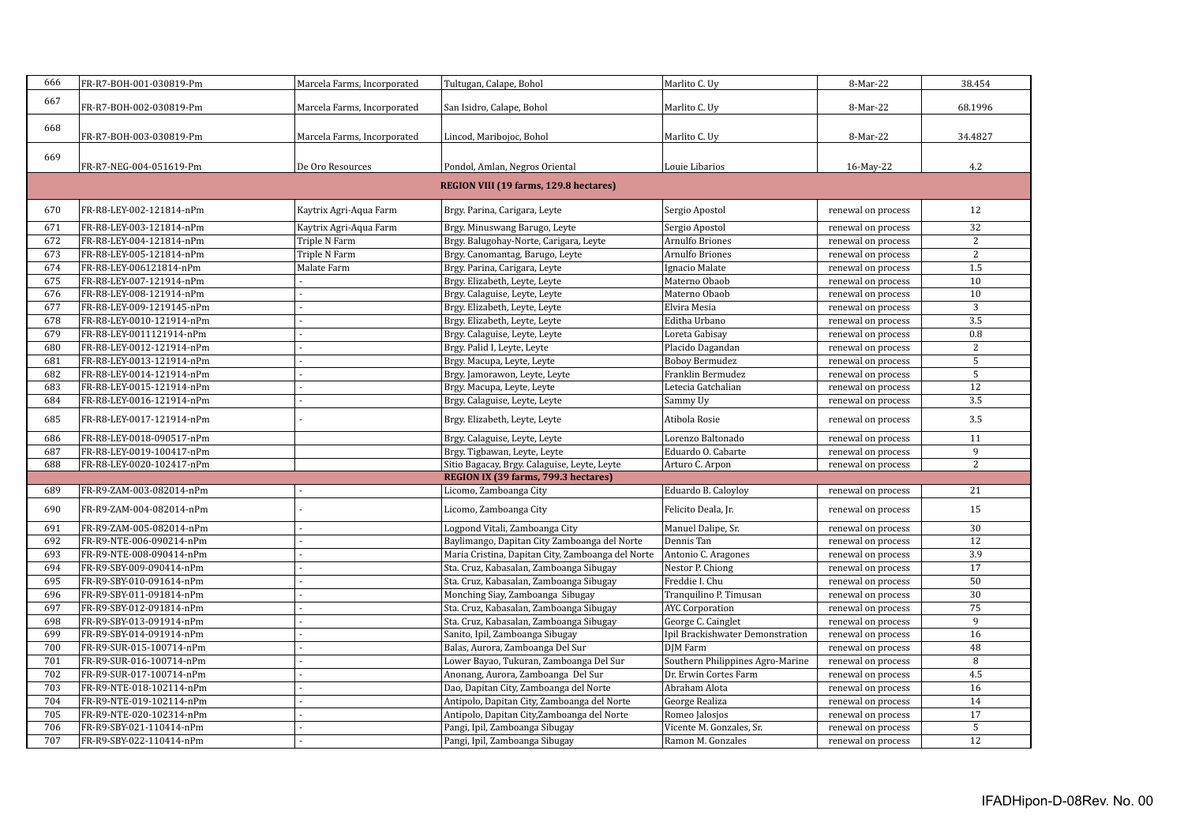| 666 | FR-R7-BOH-001-030819-Pm   | Marcela Farms, Incorporated | Tultugan, Calape, Bohol                           | Marlito C. Uy                    | 8-Mar-22           | 38.454          |
|-----|---------------------------|-----------------------------|---------------------------------------------------|----------------------------------|--------------------|-----------------|
| 667 |                           |                             |                                                   |                                  |                    |                 |
|     | FR-R7-BOH-002-030819-Pm   | Marcela Farms, Incorporated | San Isidro, Calape, Bohol                         | Marlito C. Uy                    | 8-Mar-22           | 68.1996         |
| 668 |                           |                             |                                                   |                                  |                    |                 |
|     | FR-R7-BOH-003-030819-Pm   | Marcela Farms, Incorporated | Lincod, Maribojoc, Bohol                          | Marlito C. Uy                    | 8-Mar-22           | 34.4827         |
| 669 |                           |                             |                                                   |                                  |                    |                 |
|     | FR-R7-NEG-004-051619-Pm   | De Oro Resources            | Pondol, Amlan, Negros Oriental                    | Louie Libarios                   | 16-May-22          | 4.2             |
|     |                           |                             | REGION VIII (19 farms, 129.8 hectares)            |                                  |                    |                 |
| 670 | FR-R8-LEY-002-121814-nPm  | Kaytrix Agri-Aqua Farm      | Brgy. Parina, Carigara, Leyte                     | Sergio Apostol                   | renewal on process | 12              |
| 671 | FR-R8-LEY-003-121814-nPm  | Kaytrix Agri-Aqua Farm      | Brgy. Minuswang Barugo, Leyte                     | Sergio Apostol                   | renewal on process | $\overline{32}$ |
| 672 | FR-R8-LEY-004-121814-nPm  | Triple N Farm               | Brgy. Balugohay-Norte, Carigara, Leyte            | <b>Arnulfo Briones</b>           | renewal on process | $\overline{2}$  |
| 673 | FR-R8-LEY-005-121814-nPm  | Triple N Farm               | Brgy. Canomantag, Barugo, Leyte                   | <b>Arnulfo Briones</b>           | renewal on process | 2               |
| 674 | FR-R8-LEY-006121814-nPm   | Malate Farm                 | Brgy. Parina, Carigara, Leyte                     | Ignacio Malate                   | renewal on process | 1.5             |
| 675 | FR-R8-LEY-007-121914-nPm  |                             | Brgy. Elizabeth, Leyte, Leyte                     | Materno Obaob                    | renewal on process | 10              |
| 676 | FR-R8-LEY-008-121914-nPm  |                             | Brgy. Calaguise, Leyte, Leyte                     | Materno Obaob                    | renewal on process | 10              |
| 677 | FR-R8-LEY-009-1219145-nPm |                             | Brgy. Elizabeth, Leyte, Leyte                     | Elvira Mesia                     | renewal on process | $\sqrt{3}$      |
| 678 | FR-R8-LEY-0010-121914-nPm |                             | Brgy. Elizabeth, Leyte, Leyte                     | Editha Urbano                    | renewal on process | 3.5             |
| 679 | FR-R8-LEY-0011121914-nPm  |                             | Brgy. Calaguise, Leyte, Leyte                     | Loreta Gabisay                   | renewal on process | $0.8\,$         |
| 680 | FR-R8-LEY-0012-121914-nPm |                             | Brgy. Palid I, Leyte, Leyte                       | Placido Dagandan                 | renewal on process | 2               |
| 681 | FR-R8-LEY-0013-121914-nPm |                             | Brgy. Macupa, Leyte, Leyte                        | <b>Boboy Bermudez</b>            | renewal on process | 5               |
| 682 | FR-R8-LEY-0014-121914-nPm |                             | Brgy. Jamorawon, Leyte, Leyte                     | Franklin Bermudez                | renewal on process | 5               |
| 683 | FR-R8-LEY-0015-121914-nPm |                             | Brgy. Macupa, Leyte, Leyte                        | Letecia Gatchalian               | renewal on process | 12              |
| 684 | FR-R8-LEY-0016-121914-nPm |                             | Brgy. Calaguise, Leyte, Leyte                     | Sammy Uy                         | renewal on process | 3.5             |
| 685 | FR-R8-LEY-0017-121914-nPm |                             | Brgy. Elizabeth, Leyte, Leyte                     | Atibola Rosie                    | renewal on process | 3.5             |
| 686 | FR-R8-LEY-0018-090517-nPm |                             | Brgy. Calaguise, Leyte, Leyte                     | Lorenzo Baltonado                | renewal on process | 11              |
| 687 | FR-R8-LEY-0019-100417-nPm |                             | Brgy. Tigbawan, Leyte, Leyte                      | Eduardo O. Cabarte               | renewal on process | 9               |
| 688 | FR-R8-LEY-0020-102417-nPm |                             | Sitio Bagacay, Brgy. Calaguise, Leyte, Leyte      | Arturo C. Arpon                  | renewal on process | 2               |
|     |                           |                             | REGION IX (39 farms, 799.3 hectares)              |                                  |                    |                 |
| 689 | FR-R9-ZAM-003-082014-nPm  |                             | Licomo, Zamboanga City                            | Eduardo B. Caloyloy              | renewal on process | 21              |
| 690 | FR-R9-ZAM-004-082014-nPm  |                             | Licomo, Zamboanga City                            | Felicito Deala, Jr.              | renewal on process | 15              |
| 691 | FR-R9-ZAM-005-082014-nPm  |                             | Logpond Vitali, Zamboanga City                    | Manuel Dalipe, Sr.               | renewal on process | 30              |
| 692 | FR-R9-NTE-006-090214-nPm  |                             | Baylimango, Dapitan City Zamboanga del Norte      | Dennis Tan                       | renewal on process | 12              |
| 693 | FR-R9-NTE-008-090414-nPm  |                             | Maria Cristina, Dapitan City, Zamboanga del Norte | Antonio C. Aragones              | renewal on process | 3.9             |
| 694 | FR-R9-SBY-009-090414-nPm  |                             | Sta. Cruz, Kabasalan, Zamboanga Sibugay           | Nestor P. Chiong                 | renewal on process | $\overline{17}$ |
| 695 | FR-R9-SBY-010-091614-nPm  |                             | Sta. Cruz, Kabasalan, Zamboanga Sibugay           | Freddie I. Chu                   | renewal on process | 50              |
| 696 | FR-R9-SBY-011-091814-nPm  |                             | Monching Siay, Zamboanga Sibugay                  | Tranquilino P. Timusan           | renewal on process | 30              |
| 697 | FR-R9-SBY-012-091814-nPm  |                             | Sta. Cruz, Kabasalan, Zamboanga Sibugay           | <b>AYC</b> Corporation           | renewal on process | 75              |
| 698 | FR-R9-SBY-013-091914-nPm  |                             | Sta. Cruz, Kabasalan, Zamboanga Sibugay           | George C. Cainglet               | renewal on process | $\overline{9}$  |
| 699 | FR-R9-SBY-014-091914-nPm  |                             | Sanito, Ipil, Zamboanga Sibugay                   | Ipil Brackishwater Demonstration | renewal on process | 16              |
| 700 | FR-R9-SUR-015-100714-nPm  |                             | Balas, Aurora, Zamboanga Del Sur                  | DJM Farm                         | renewal on process | 48              |
| 701 | FR-R9-SUR-016-100714-nPm  |                             | Lower Bayao, Tukuran, Zamboanga Del Sur           | Southern Philippines Agro-Marine | renewal on process | 8               |
| 702 | FR-R9-SUR-017-100714-nPm  |                             | Anonang, Aurora, Zamboanga Del Sur                | Dr. Erwin Cortes Farm            | renewal on process | 4.5             |
| 703 | FR-R9-NTE-018-102114-nPm  |                             | Dao, Dapitan City, Zamboanga del Norte            | Abraham Alota                    | renewal on process | 16              |
| 704 | FR-R9-NTE-019-102114-nPm  |                             | Antipolo, Dapitan City, Zamboanga del Norte       | George Realiza                   | renewal on process | 14              |
| 705 | FR-R9-NTE-020-102314-nPm  |                             | Antipolo, Dapitan City, Zamboanga del Norte       | Romeo Jalosjos                   | renewal on process | 17              |
| 706 | FR-R9-SBY-021-110414-nPm  |                             | Pangi, Ipil, Zamboanga Sibugay                    | Vicente M. Gonzales, Sr.         | renewal on process | $\overline{5}$  |
| 707 | FR-R9-SBY-022-110414-nPm  |                             | Pangi, Ipil, Zamboanga Sibugay                    | Ramon M. Gonzales                | renewal on process | 12              |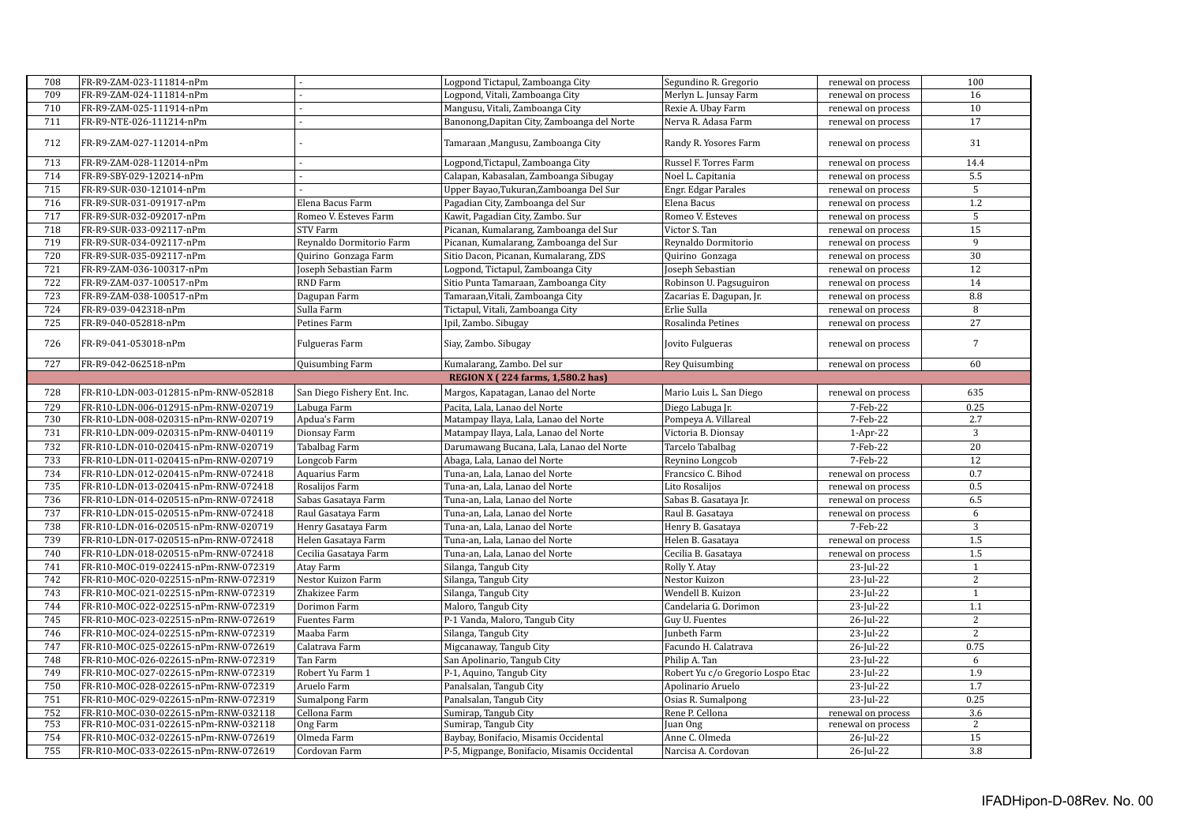| 708 | FR-R9-ZAM-023-111814-nPm             |                             | Logpond Tictapul, Zamboanga City             | Segundino R. Gregorio             | renewal on process | 100              |
|-----|--------------------------------------|-----------------------------|----------------------------------------------|-----------------------------------|--------------------|------------------|
| 709 | FR-R9-ZAM-024-111814-nPm             |                             | Logpond, Vitali, Zamboanga City              | Merlyn L. Junsay Farm             | renewal on process | 16               |
| 710 | FR-R9-ZAM-025-111914-nPm             |                             | Mangusu, Vitali, Zamboanga City              | Rexie A. Ubay Farm                | renewal on process | $\overline{10}$  |
| 711 | FR-R9-NTE-026-111214-nPm             |                             | Banonong, Dapitan City, Zamboanga del Norte  | Nerva R. Adasa Farm               | renewal on process | 17               |
| 712 | FR-R9-ZAM-027-112014-nPm             |                             | Tamaraan, Mangusu, Zamboanga City            | Randy R. Yosores Farm             | renewal on process | 31               |
| 713 | FR-R9-ZAM-028-112014-nPm             |                             | Logpond, Tictapul, Zamboanga City            | Russel F. Torres Farm             | renewal on process | 14.4             |
| 714 | FR-R9-SBY-029-120214-nPm             |                             | Calapan, Kabasalan, Zamboanga Sibugay        | Noel L. Capitania                 | renewal on process | 5.5              |
| 715 | FR-R9-SUR-030-121014-nPm             |                             | Upper Bayao, Tukuran, Zamboanga Del Sur      | Engr. Edgar Parales               | renewal on process | $\overline{5}$   |
| 716 | FR-R9-SUR-031-091917-nPm             | Elena Bacus Farm            | Pagadian City, Zamboanga del Sur             | Elena Bacus                       | renewal on process | 1.2              |
| 717 | FR-R9-SUR-032-092017-nPm             | Romeo V. Esteves Farm       | Kawit, Pagadian City, Zambo. Sur             | Romeo V. Esteves                  | renewal on process | 5                |
| 718 | FR-R9-SUR-033-092117-nPm             | STV Farm                    | Picanan, Kumalarang, Zamboanga del Sur       | Victor S. Tan                     | renewal on process | 15               |
| 719 | FR-R9-SUR-034-092117-nPm             | Reynaldo Dormitorio Farm    | Picanan, Kumalarang, Zamboanga del Sur       | Reynaldo Dormitorio               | renewal on process | 9                |
| 720 | FR-R9-SUR-035-092117-nPm             | Quirino Gonzaga Farm        | Sitio Dacon, Picanan, Kumalarang, ZDS        | Quirino Gonzaga                   | renewal on process | 30               |
| 721 | FR-R9-ZAM-036-100317-nPm             | Joseph Sebastian Farm       | Logpond, Tictapul, Zamboanga City            | Joseph Sebastian                  | renewal on process | 12               |
| 722 | FR-R9-ZAM-037-100517-nPm             | RND Farm                    | Sitio Punta Tamaraan, Zamboanga City         | Robinson U. Pagsuguiron           | renewal on process | 14               |
| 723 | FR-R9-ZAM-038-100517-nPm             | Dagupan Farm                | Tamaraan, Vitali, Zamboanga City             | Zacarias E. Dagupan, Jr.          | renewal on process | 8.8              |
| 724 | FR-R9-039-042318-nPm                 | Sulla Farm                  | Tictapul, Vitali, Zamboanga City             | Erlie Sulla                       | renewal on process | $\overline{8}$   |
| 725 | FR-R9-040-052818-nPm                 | Petines Farm                | Ipil, Zambo. Sibugay                         | Rosalinda Petines                 | renewal on process | $\overline{27}$  |
| 726 | FR-R9-041-053018-nPm                 | Fulgueras Farm              | Siay, Zambo. Sibugay                         | Jovito Fulgueras                  | renewal on process | $7\phantom{.0}$  |
| 727 | FR-R9-042-062518-nPm                 | Quisumbing Farm             | Kumalarang, Zambo. Del sur                   | Rey Quisumbing                    | renewal on process | 60               |
|     |                                      |                             | REGION X (224 farms, 1,580.2 has)            |                                   |                    |                  |
| 728 | FR-R10-LDN-003-012815-nPm-RNW-052818 | San Diego Fishery Ent. Inc. | Margos, Kapatagan, Lanao del Norte           | Mario Luis L. San Diego           | renewal on process | 635              |
| 729 | FR-R10-LDN-006-012915-nPm-RNW-020719 | Labuga Farm                 | Pacita, Lala, Lanao del Norte                | Diego Labuga Jr.                  | 7-Feb-22           | 0.25             |
| 730 | FR-R10-LDN-008-020315-nPm-RNW-020719 | Apdua's Farm                | Matampay Ilaya, Lala, Lanao del Norte        | Pompeya A. Villareal              | 7-Feb-22           | 2.7              |
| 731 | FR-R10-LDN-009-020315-nPm-RNW-040119 | Dionsay Farm                | Matampay Ilaya, Lala, Lanao del Norte        | Victoria B. Dionsay               | $1-Apr-22$         | 3                |
| 732 | FR-R10-LDN-010-020415-nPm-RNW-020719 | Tabalbag Farm               | Darumawang Bucana, Lala, Lanao del Norte     | Tarcelo Tabalbag                  | 7-Feb-22           | 20               |
| 733 | FR-R10-LDN-011-020415-nPm-RNW-020719 | Longcob Farm                | Abaga, Lala, Lanao del Norte                 | Reynino Longcob                   | 7-Feb-22           | 12               |
| 734 | FR-R10-LDN-012-020415-nPm-RNW-072418 | Aquarius Farm               | Tuna-an, Lala, Lanao del Norte               | Francsico C. Bihod                | renewal on process | 0.7              |
| 735 | FR-R10-LDN-013-020415-nPm-RNW-072418 | Rosalijos Farm              | Tuna-an, Lala, Lanao del Norte               | Lito Rosalijos                    | renewal on process | 0.5              |
| 736 | FR-R10-LDN-014-020515-nPm-RNW-072418 | Sabas Gasataya Farm         | Tuna-an, Lala, Lanao del Norte               | Sabas B. Gasataya Jr.             | renewal on process | 6.5              |
| 737 | FR-R10-LDN-015-020515-nPm-RNW-072418 | Raul Gasataya Farm          | Tuna-an, Lala, Lanao del Norte               | Raul B. Gasataya                  | renewal on process | 6                |
| 738 | FR-R10-LDN-016-020515-nPm-RNW-020719 | Henry Gasataya Farm         | Tuna-an, Lala, Lanao del Norte               | Henry B. Gasataya                 | 7-Feb-22           | $\overline{3}$   |
| 739 | FR-R10-LDN-017-020515-nPm-RNW-072418 | Helen Gasataya Farm         | Tuna-an, Lala, Lanao del Norte               | Helen B. Gasataya                 | renewal on process | $\overline{1.5}$ |
| 740 | FR-R10-LDN-018-020515-nPm-RNW-072418 | Cecilia Gasataya Farm       | Tuna-an. Lala. Lanao del Norte               | Cecilia B. Gasataya               | renewal on process | 1.5              |
| 741 | FR-R10-MOC-019-022415-nPm-RNW-072319 | Atay Farm                   | Silanga, Tangub City                         | Rolly Y. Atay                     | 23-Jul-22          | $\mathbf{1}$     |
| 742 | FR-R10-MOC-020-022515-nPm-RNW-072319 | Nestor Kuizon Farm          | Silanga, Tangub City                         | Nestor Kuizon                     | 23-Jul-22          | $\overline{2}$   |
| 743 | FR-R10-MOC-021-022515-nPm-RNW-072319 | Zhakizee Farm               | Silanga, Tangub City                         | Wendell B. Kuizon                 | 23-Jul-22          | $\mathbf{1}$     |
| 744 | FR-R10-MOC-022-022515-nPm-RNW-072319 | Dorimon Farm                | Maloro, Tangub City                          | Candelaria G. Dorimon             | 23-Jul-22          | 1.1              |
| 745 | FR-R10-MOC-023-022515-nPm-RNW-072619 | <b>Fuentes Farm</b>         | P-1 Vanda, Maloro, Tangub City               | Guy U. Fuentes                    | 26-Jul-22          | $\overline{2}$   |
| 746 | FR-R10-MOC-024-022515-nPm-RNW-072319 | Maaba Farm                  | Silanga, Tangub City                         | Junbeth Farm                      | 23-Jul-22          | 2                |
| 747 | FR-R10-MOC-025-022615-nPm-RNW-072619 | Calatrava Farm              | Migcanaway, Tangub City                      | Facundo H. Calatrava              | 26-Jul-22          | 0.75             |
| 748 | FR-R10-MOC-026-022615-nPm-RNW-072319 | Tan Farm                    | San Apolinario, Tangub City                  | Philip A. Tan                     | 23-Jul-22          | 6                |
| 749 | FR-R10-MOC-027-022615-nPm-RNW-072319 | Robert Yu Farm 1            | P-1, Aquino, Tangub City                     | Robert Yu c/o Gregorio Lospo Etac | 23-Jul-22          | 1.9              |
| 750 | FR-R10-MOC-028-022615-nPm-RNW-072319 | Aruelo Farm                 | Panalsalan, Tangub City                      | Apolinario Aruelo                 | 23-Jul-22          | 1.7              |
| 751 | FR-R10-MOC-029-022615-nPm-RNW-072319 | Sumalpong Farm              | Panalsalan, Tangub City                      | Osias R. Sumalpong                | 23-Jul-22          | 0.25             |
| 752 | FR-R10-MOC-030-022615-nPm-RNW-032118 | Cellona Farm                | Sumirap, Tangub City                         | Rene P. Cellona                   | renewal on process | 3.6              |
| 753 | FR-R10-MOC-031-022615-nPm-RNW-032118 | Ong Farm                    | Sumirap, Tangub City                         | Juan Ong                          | renewal on process | 2                |
| 754 | FR-R10-MOC-032-022615-nPm-RNW-072619 | Olmeda Farm                 | Baybay, Bonifacio, Misamis Occidental        | Anne C. Olmeda                    | 26-Jul-22          | 15               |
| 755 | FR-R10-MOC-033-022615-nPm-RNW-072619 | Cordovan Farm               | P-5, Migpange, Bonifacio, Misamis Occidental | Narcisa A. Cordovan               | 26-Jul-22          | 3.8              |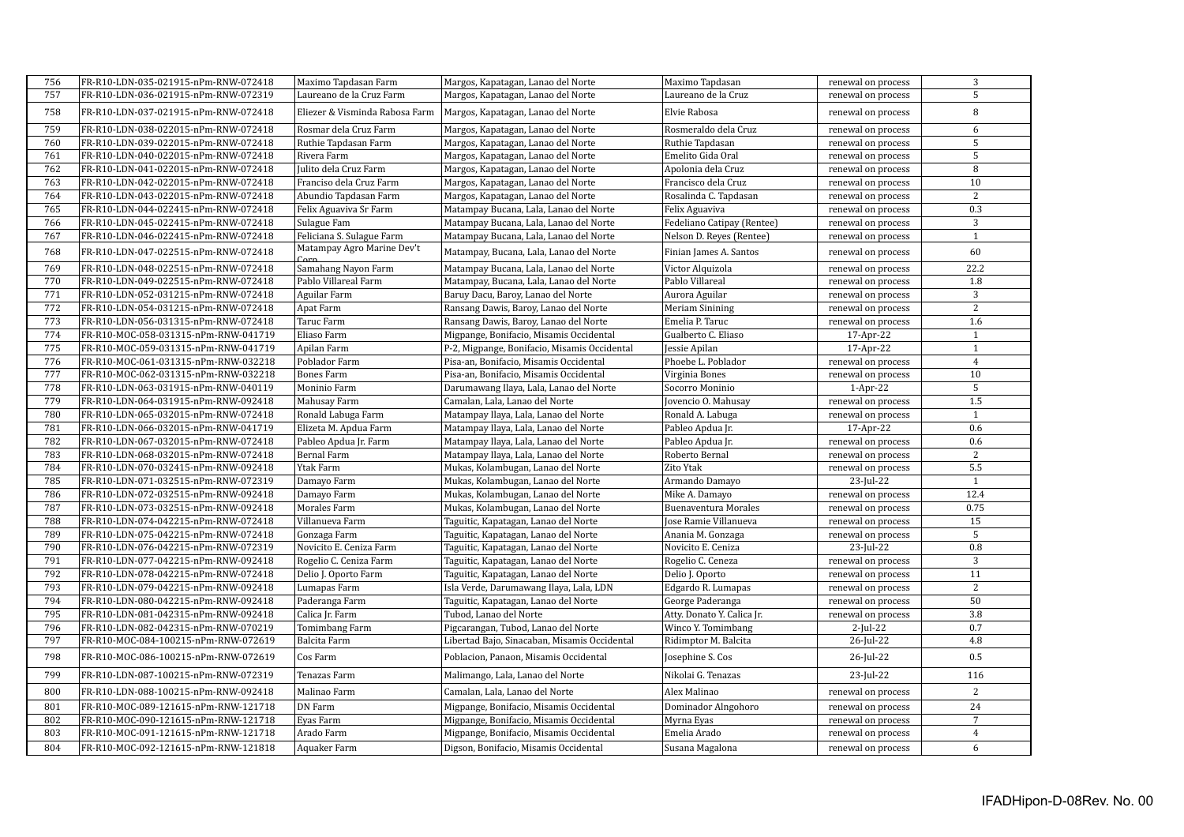| 756 | FR-R10-LDN-035-021915-nPm-RNW-072418 | Maximo Tapdasan Farm                | Margos, Kapatagan, Lanao del Norte           | Maximo Tapdasan            | renewal on process | 3               |
|-----|--------------------------------------|-------------------------------------|----------------------------------------------|----------------------------|--------------------|-----------------|
| 757 | FR-R10-LDN-036-021915-nPm-RNW-072319 | Laureano de la Cruz Farm            | Margos, Kapatagan, Lanao del Norte           | Laureano de la Cruz        | renewal on process | 5               |
| 758 | FR-R10-LDN-037-021915-nPm-RNW-072418 | Eliezer & Visminda Rabosa Farm      | Margos, Kapatagan, Lanao del Norte           | Elvie Rabosa               | renewal on process | $\, 8$          |
| 759 | FR-R10-LDN-038-022015-nPm-RNW-072418 | Rosmar dela Cruz Farm               | Margos, Kapatagan, Lanao del Norte           | Rosmeraldo dela Cruz       | renewal on process | 6               |
| 760 | FR-R10-LDN-039-022015-nPm-RNW-072418 | Ruthie Tapdasan Farm                | Margos, Kapatagan, Lanao del Norte           | Ruthie Tapdasan            | renewal on process | 5               |
| 761 | FR-R10-LDN-040-022015-nPm-RNW-072418 | Rivera Farm                         | Margos, Kapatagan, Lanao del Norte           | Emelito Gida Oral          | renewal on process | $\overline{5}$  |
| 762 | FR-R10-LDN-041-022015-nPm-RNW-072418 | Julito dela Cruz Farm               | Margos, Kapatagan, Lanao del Norte           | Apolonia dela Cruz         | renewal on process | 8               |
| 763 | FR-R10-LDN-042-022015-nPm-RNW-072418 | Franciso dela Cruz Farm             | Margos, Kapatagan, Lanao del Norte           | Francisco dela Cruz        | renewal on process | 10              |
| 764 | FR-R10-LDN-043-022015-nPm-RNW-072418 | Abundio Tapdasan Farm               | Margos, Kapatagan, Lanao del Norte           | Rosalinda C. Tapdasan      | renewal on process | $\overline{2}$  |
| 765 | FR-R10-LDN-044-022415-nPm-RNW-072418 | Felix Aguaviva Sr Farm              | Matampay Bucana, Lala, Lanao del Norte       | Felix Aguaviva             | renewal on process | 0.3             |
| 766 | FR-R10-LDN-045-022415-nPm-RNW-072418 | Sulague Fam                         | Matampay Bucana, Lala, Lanao del Norte       | Fedeliano Catipay (Rentee) | renewal on process | 3               |
| 767 | FR-R10-LDN-046-022415-nPm-RNW-072418 | Feliciana S. Sulague Farm           | Matampay Bucana, Lala, Lanao del Norte       | Nelson D. Reyes (Rentee)   | renewal on process | $\mathbf{1}$    |
| 768 | FR-R10-LDN-047-022515-nPm-RNW-072418 | Matampay Agro Marine Dev't<br>Corn. | Matampay, Bucana, Lala, Lanao del Norte      | Finian James A. Santos     | renewal on process | 60              |
| 769 | FR-R10-LDN-048-022515-nPm-RNW-072418 | Samahang Nayon Farm                 | Matampay Bucana, Lala, Lanao del Norte       | Victor Alquizola           | renewal on process | 22.2            |
| 770 | FR-R10-LDN-049-022515-nPm-RNW-072418 | Pablo Villareal Farm                | Matampay, Bucana, Lala, Lanao del Norte      | Pablo Villareal            | renewal on process | 1.8             |
| 771 | FR-R10-LDN-052-031215-nPm-RNW-072418 | Aguilar Farm                        | Baruy Dacu, Baroy, Lanao del Norte           | Aurora Aguilar             | renewal on process | 3               |
| 772 | FR-R10-LDN-054-031215-nPm-RNW-072418 | Apat Farm                           | Ransang Dawis, Baroy, Lanao del Norte        | <b>Meriam Sinining</b>     | renewal on process | 2               |
| 773 | FR-R10-LDN-056-031315-nPm-RNW-072418 | Taruc Farm                          | Ransang Dawis, Baroy, Lanao del Norte        | Emelia P. Taruc            | renewal on process | 1.6             |
| 774 | FR-R10-MOC-058-031315-nPm-RNW-041719 | Eliaso Farm                         | Migpange, Bonifacio, Misamis Occidental      | Gualberto C. Eliaso        | 17-Apr-22          | $\mathbf{1}$    |
| 775 | FR-R10-MOC-059-031315-nPm-RNW-041719 | Apilan Farm                         | P-2, Migpange, Bonifacio, Misamis Occidental | Jessie Apilan              | 17-Apr-22          | $\mathbf{1}$    |
| 776 | FR-R10-MOC-061-031315-nPm-RNW-032218 | Poblador Farm                       | Pisa-an, Bonifacio, Misamis Occidental       | Phoebe L. Poblador         | renewal on process | $\overline{4}$  |
| 777 | FR-R10-MOC-062-031315-nPm-RNW-032218 | <b>Bones Farm</b>                   | Pisa-an, Bonifacio, Misamis Occidental       | Virginia Bones             | renewal on process | 10              |
| 778 | FR-R10-LDN-063-031915-nPm-RNW-040119 | Moninio Farm                        | Darumawang Ilaya, Lala, Lanao del Norte      | Socorro Moninio            | $1-Apr-22$         | $\overline{5}$  |
| 779 | FR-R10-LDN-064-031915-nPm-RNW-092418 | Mahusay Farm                        | Camalan, Lala, Lanao del Norte               | Jovencio O. Mahusay        | renewal on process | 1.5             |
| 780 | FR-R10-LDN-065-032015-nPm-RNW-072418 | Ronald Labuga Farm                  | Matampay Ilaya, Lala, Lanao del Norte        | Ronald A. Labuga           | renewal on process | $\mathbf{1}$    |
| 781 | FR-R10-LDN-066-032015-nPm-RNW-041719 | Elizeta M. Apdua Farm               | Matampay Ilaya, Lala, Lanao del Norte        | Pableo Apdua Jr.           | 17-Apr-22          | 0.6             |
| 782 | FR-R10-LDN-067-032015-nPm-RNW-072418 | Pableo Apdua Jr. Farm               | Matampay Ilaya, Lala, Lanao del Norte        | Pableo Apdua Jr.           | renewal on process | 0.6             |
| 783 | FR-R10-LDN-068-032015-nPm-RNW-072418 | Bernal Farm                         | Matampay Ilaya, Lala, Lanao del Norte        | Roberto Bernal             | renewal on process | $\overline{2}$  |
| 784 | FR-R10-LDN-070-032415-nPm-RNW-092418 | Ytak Farm                           | Mukas, Kolambugan, Lanao del Norte           | Zito Ytak                  | renewal on process | 5.5             |
| 785 | FR-R10-LDN-071-032515-nPm-RNW-072319 | Damayo Farm                         | Mukas, Kolambugan, Lanao del Norte           | Armando Damayo             | 23-Jul-22          | $\mathbf{1}$    |
| 786 | FR-R10-LDN-072-032515-nPm-RNW-092418 | Damayo Farm                         | Mukas, Kolambugan, Lanao del Norte           | Mike A. Damayo             | renewal on process | 12.4            |
| 787 | FR-R10-LDN-073-032515-nPm-RNW-092418 | Morales Farm                        | Mukas, Kolambugan, Lanao del Norte           | Buenaventura Morales       | renewal on process | 0.75            |
| 788 | FR-R10-LDN-074-042215-nPm-RNW-072418 | Villanueva Farm                     | Taguitic, Kapatagan, Lanao del Norte         | Jose Ramie Villanueva      | renewal on process | $\overline{15}$ |
| 789 | FR-R10-LDN-075-042215-nPm-RNW-072418 | Gonzaga Farm                        | Taguitic, Kapatagan, Lanao del Norte         | Anania M. Gonzaga          | renewal on process | 5               |
| 790 | FR-R10-LDN-076-042215-nPm-RNW-072319 | Novicito E. Ceniza Farm             | Taguitic, Kapatagan, Lanao del Norte         | Novicito E. Ceniza         | 23-Jul-22          | 0.8             |
| 791 | FR-R10-LDN-077-042215-nPm-RNW-092418 | Rogelio C. Ceniza Farm              | Taguitic, Kapatagan, Lanao del Norte         | Rogelio C. Ceneza          | renewal on process | 3               |
| 792 | FR-R10-LDN-078-042215-nPm-RNW-072418 | Delio J. Oporto Farm                | Taguitic, Kapatagan, Lanao del Norte         | Delio J. Oporto            | renewal on process | 11              |
| 793 | FR-R10-LDN-079-042215-nPm-RNW-092418 | Lumapas Farm                        | Isla Verde, Darumawang Ilaya, Lala, LDN      | Edgardo R. Lumapas         | renewal on process | 2               |
| 794 | FR-R10-LDN-080-042215-nPm-RNW-092418 | Paderanga Farm                      | Taguitic, Kapatagan, Lanao del Norte         | George Paderanga           | renewal on process | 50              |
| 795 | FR-R10-LDN-081-042315-nPm-RNW-092418 | Calica Jr. Farm                     | Tubod, Lanao del Norte                       | Atty. Donato Y. Calica Jr. | renewal on process | 3.8             |
| 796 | FR-R10-LDN-082-042315-nPm-RNW-070219 | Tomimbang Farm                      | Pigcarangan, Tubod, Lanao del Norte          | Winco Y. Tomimbang         | $2$ -Jul-22        | 0.7             |
| 797 | FR-R10-MOC-084-100215-nPm-RNW-072619 | Balcita Farm                        | Libertad Bajo, Sinacaban, Misamis Occidental | Ridimptor M. Balcita       | 26-Jul-22          | 4.8             |
| 798 | FR-R10-MOC-086-100215-nPm-RNW-072619 | Cos Farm                            | Poblacion, Panaon, Misamis Occidental        | Josephine S. Cos           | 26-Jul-22          | 0.5             |
| 799 | FR-R10-LDN-087-100215-nPm-RNW-072319 | Tenazas Farm                        | Malimango, Lala, Lanao del Norte             | Nikolai G. Tenazas         | 23-Jul-22          | 116             |
| 800 | FR-R10-LDN-088-100215-nPm-RNW-092418 | Malinao Farm                        | Camalan, Lala, Lanao del Norte               | Alex Malinao               | renewal on process | 2               |
| 801 | FR-R10-MOC-089-121615-nPm-RNW-121718 | DN Farm                             | Migpange, Bonifacio, Misamis Occidental      | Dominador Alngohoro        | renewal on process | 24              |
| 802 | FR-R10-MOC-090-121615-nPm-RNW-121718 | Eyas Farm                           | Migpange, Bonifacio, Misamis Occidental      | Myrna Eyas                 | renewal on process | $7\overline{ }$ |
| 803 | FR-R10-MOC-091-121615-nPm-RNW-121718 | Arado Farm                          | Migpange, Bonifacio, Misamis Occidental      | Emelia Arado               | renewal on process | $\overline{4}$  |
| 804 | FR-R10-MOC-092-121615-nPm-RNW-121818 | Aquaker Farm                        | Digson, Bonifacio, Misamis Occidental        | Susana Magalona            | renewal on process | 6               |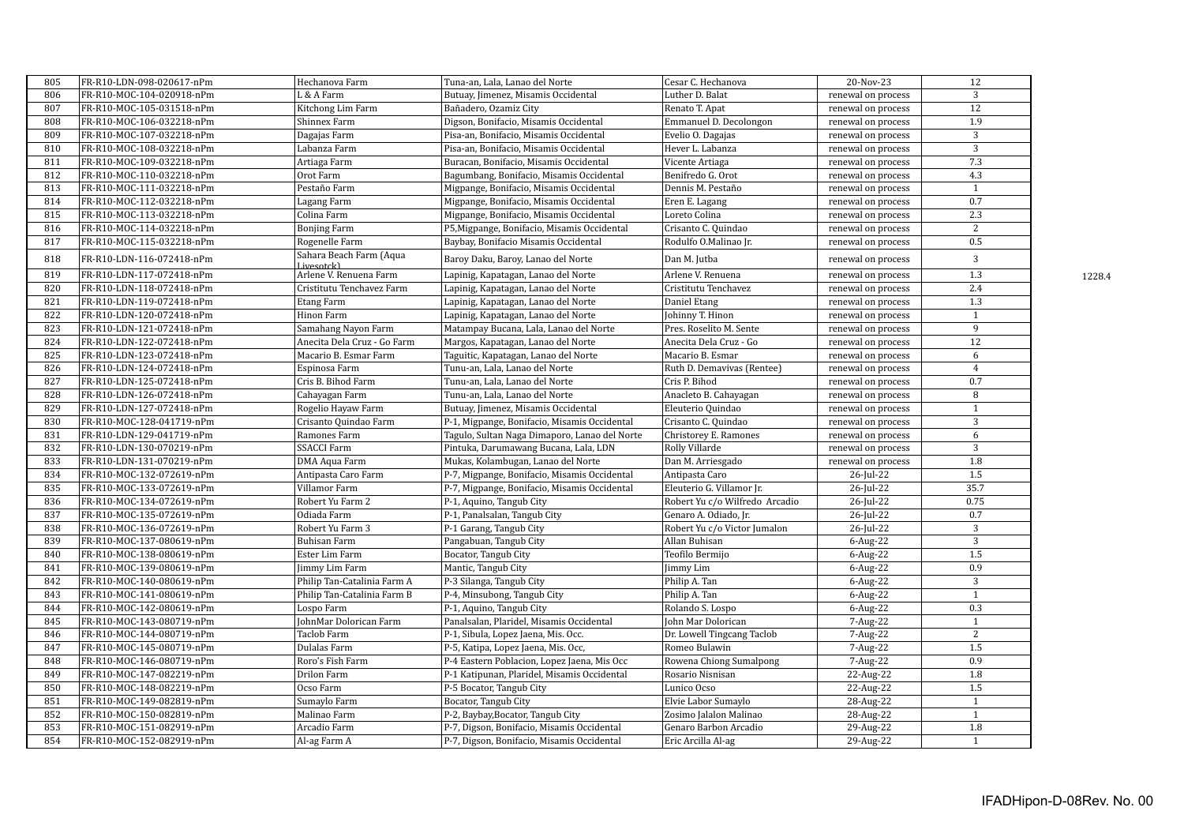| 805 | FR-R10-LDN-098-020617-nPm | Hechanova Farm                        | Tuna-an, Lala, Lanao del Norte                | Cesar C. Hechanova             | 20-Nov-23          | 12               |        |
|-----|---------------------------|---------------------------------------|-----------------------------------------------|--------------------------------|--------------------|------------------|--------|
| 806 | FR-R10-MOC-104-020918-nPm | L & A Farm                            | Butuay, Jimenez, Misamis Occidental           | Luther D. Balat                | renewal on process | 3                |        |
| 807 | FR-R10-MOC-105-031518-nPm | Kitchong Lim Farm                     | Bañadero, Ozamiz City                         | Renato T. Apat                 | renewal on process | $\overline{12}$  |        |
| 808 | FR-R10-MOC-106-032218-nPm | Shinnex Farm                          | Digson, Bonifacio, Misamis Occidental         | Emmanuel D. Decolongon         | renewal on process | 1.9              |        |
| 809 | FR-R10-MOC-107-032218-nPm | Dagajas Farm                          | Pisa-an, Bonifacio, Misamis Occidental        | Evelio O. Dagajas              | renewal on process | 3                |        |
| 810 | FR-R10-MOC-108-032218-nPm | Labanza Farm                          | Pisa-an, Bonifacio, Misamis Occidental        | Hever L. Labanza               | renewal on process | $\overline{3}$   |        |
| 811 | FR-R10-MOC-109-032218-nPm | Artiaga Farm                          | Buracan, Bonifacio, Misamis Occidental        | Vicente Artiaga                | renewal on process | 7.3              |        |
| 812 | FR-R10-MOC-110-032218-nPm | Orot Farm                             | Bagumbang, Bonifacio, Misamis Occidental      | Benifredo G. Orot              | renewal on process | 4.3              |        |
| 813 | FR-R10-MOC-111-032218-nPm | Pestaño Farm                          | Migpange, Bonifacio, Misamis Occidental       | Dennis M. Pestaño              | renewal on process | $\mathbf{1}$     |        |
| 814 | FR-R10-MOC-112-032218-nPm | Lagang Farm                           | Migpange, Bonifacio, Misamis Occidental       | Eren E. Lagang                 | renewal on process | 0.7              |        |
| 815 | FR-R10-MOC-113-032218-nPm | Colina Farm                           | Migpange, Bonifacio, Misamis Occidental       | Loreto Colina                  | renewal on process | 2.3              |        |
| 816 | FR-R10-MOC-114-032218-nPm | <b>Bonjing Farm</b>                   | P5, Migpange, Bonifacio, Misamis Occidental   | Crisanto C. Quindao            | renewal on process | 2                |        |
| 817 | FR-R10-MOC-115-032218-nPm | Rogenelle Farm                        | Baybay, Bonifacio Misamis Occidental          | Rodulfo O.Malinao Jr.          | renewal on process | $0.5\,$          |        |
| 818 | FR-R10-LDN-116-072418-nPm | Sahara Beach Farm (Aqua<br>Livesotckl | Baroy Daku, Baroy, Lanao del Norte            | Dan M. Jutba                   | renewal on process | 3                |        |
| 819 | FR-R10-LDN-117-072418-nPm | Arlene V. Renuena Farm                | Lapinig, Kapatagan, Lanao del Norte           | Arlene V. Renuena              | renewal on process | 1.3              | 1228.4 |
| 820 | FR-R10-LDN-118-072418-nPm | Cristitutu Tenchavez Farm             | Lapinig, Kapatagan, Lanao del Norte           | Cristitutu Tenchavez           | renewal on process | 2.4              |        |
| 821 | FR-R10-LDN-119-072418-nPm | <b>Etang Farm</b>                     | Lapinig, Kapatagan, Lanao del Norte           | Daniel Etang                   | renewal on process | 1.3              |        |
| 822 | FR-R10-LDN-120-072418-nPm | Hinon Farm                            | Lapinig, Kapatagan, Lanao del Norte           | Johinny T. Hinon               | renewal on process | $\mathbf{1}$     |        |
| 823 | FR-R10-LDN-121-072418-nPm | Samahang Nayon Farm                   | Matampay Bucana, Lala, Lanao del Norte        | Pres. Roselito M. Sente        | renewal on process | $\overline{9}$   |        |
| 824 | FR-R10-LDN-122-072418-nPm | Anecita Dela Cruz - Go Farm           | Margos, Kapatagan, Lanao del Norte            | Anecita Dela Cruz - Go         | renewal on process | $\overline{12}$  |        |
| 825 | FR-R10-LDN-123-072418-nPm | Macario B. Esmar Farm                 | Taguitic, Kapatagan, Lanao del Norte          | Macario B. Esmar               | renewal on process | 6                |        |
| 826 | FR-R10-LDN-124-072418-nPm | Espinosa Farm                         | Tunu-an, Lala, Lanao del Norte                | Ruth D. Demavivas (Rentee)     | renewal on process | $\overline{4}$   |        |
| 827 | FR-R10-LDN-125-072418-nPm | Cris B. Bihod Farm                    | Tunu-an, Lala, Lanao del Norte                | Cris P. Bihod                  | renewal on process | 0.7              |        |
| 828 | FR-R10-LDN-126-072418-nPm | Cahayagan Farm                        | Tunu-an, Lala, Lanao del Norte                | Anacleto B. Cahayagan          | renewal on process | 8                |        |
| 829 | FR-R10-LDN-127-072418-nPm | Rogelio Hayaw Farm                    | Butuay, Jimenez, Misamis Occidental           | Eleuterio Quindao              | renewal on process | $\mathbf{1}$     |        |
| 830 | FR-R10-MOC-128-041719-nPm | Crisanto Quindao Farm                 | P-1, Migpange, Bonifacio, Misamis Occidental  | Crisanto C. Quindao            | renewal on process | 3                |        |
| 831 | FR-R10-LDN-129-041719-nPm | Ramones Farm                          | Tagulo, Sultan Naga Dimaporo, Lanao del Norte | Christorey E. Ramones          | renewal on process | 6                |        |
| 832 | FR-R10-LDN-130-070219-nPm | <b>SSACCI Farm</b>                    | Pintuka, Darumawang Bucana, Lala, LDN         | Rolly Villarde                 | renewal on process | $\overline{3}$   |        |
| 833 | FR-R10-LDN-131-070219-nPm | DMA Aqua Farm                         | Mukas, Kolambugan, Lanao del Norte            | Dan M. Arriesgado              | renewal on process | 1.8              |        |
| 834 | FR-R10-MOC-132-072619-nPm | Antipasta Caro Farm                   | P-7, Migpange, Bonifacio, Misamis Occidental  | Antipasta Caro                 | 26-Jul-22          | $1.5$            |        |
| 835 | FR-R10-MOC-133-072619-nPm | Villamor Farm                         | P-7, Migpange, Bonifacio, Misamis Occidental  | Eleuterio G. Villamor Jr.      | $26$ -Jul- $22$    | 35.7             |        |
| 836 | FR-R10-MOC-134-072619-nPm | Robert Yu Farm 2                      | P-1, Aquino, Tangub City                      | Robert Yu c/o Wilfredo Arcadio | 26-Jul-22          | 0.75             |        |
| 837 | FR-R10-MOC-135-072619-nPm | Odiada Farm                           | P-1, Panalsalan, Tangub City                  | Genaro A. Odiado, Jr.          | 26-Jul-22          | 0.7              |        |
| 838 | FR-R10-MOC-136-072619-nPm | Robert Yu Farm 3                      | P-1 Garang, Tangub City                       | Robert Yu c/o Victor Jumalon   | 26-Jul-22          | 3                |        |
| 839 | FR-R10-MOC-137-080619-nPm | <b>Buhisan Farm</b>                   | Pangabuan, Tangub City                        | Allan Buhisan                  | 6-Aug-22           | 3                |        |
| 840 | FR-R10-MOC-138-080619-nPm | Ester Lim Farm                        | Bocator, Tangub City                          | Teofilo Bermijo                | $6$ -Aug-22        | 1.5              |        |
| 841 | FR-R10-MOC-139-080619-nPm | Jimmy Lim Farm                        | Mantic, Tangub City                           | Jimmy Lim                      | 6-Aug-22           | 0.9              |        |
| 842 | FR-R10-MOC-140-080619-nPm | Philip Tan-Catalinia Farm A           | P-3 Silanga, Tangub City                      | Philip A. Tan                  | $6$ -Aug-22        | 3                |        |
| 843 | FR-R10-MOC-141-080619-nPm | Philip Tan-Catalinia Farm B           | P-4, Minsubong, Tangub City                   | Philip A. Tan                  | $6$ -Aug-22        | $\mathbf{1}$     |        |
| 844 | FR-R10-MOC-142-080619-nPm | Lospo Farm                            | P-1, Aquino, Tangub City                      | Rolando S. Lospo               | 6-Aug-22           | 0.3              |        |
| 845 | FR-R10-MOC-143-080719-nPm | JohnMar Dolorican Farm                | Panalsalan, Plaridel, Misamis Occidental      | John Mar Dolorican             | 7-Aug-22           | $\mathbf{1}$     |        |
| 846 | FR-R10-MOC-144-080719-nPm | Taclob Farm                           | P-1, Sibula, Lopez Jaena, Mis. Occ.           | Dr. Lowell Tingcang Taclob     | 7-Aug-22           | $\overline{2}$   |        |
| 847 | FR-R10-MOC-145-080719-nPm | Dulalas Farm                          | P-5, Katipa, Lopez Jaena, Mis. Occ,           | Romeo Bulawin                  | 7-Aug-22           | 1.5              |        |
| 848 | FR-R10-MOC-146-080719-nPm | Roro's Fish Farm                      | P-4 Eastern Poblacion, Lopez Jaena, Mis Occ   | Rowena Chiong Sumalpong        | 7-Aug-22           | 0.9              |        |
| 849 | FR-R10-MOC-147-082219-nPm | Drilon Farm                           | P-1 Katipunan, Plaridel, Misamis Occidental   | Rosario Nisnisan               | 22-Aug-22          | 1.8              |        |
| 850 | FR-R10-MOC-148-082219-nPm | Ocso Farm                             | P-5 Bocator, Tangub City                      | Lunico Ocso                    | 22-Aug-22          | 1.5              |        |
| 851 | FR-R10-MOC-149-082819-nPm | Sumaylo Farm                          | Bocator, Tangub City                          | Elvie Labor Sumaylo            | 28-Aug-22          | $\mathbf{1}$     |        |
| 852 | FR-R10-MOC-150-082819-nPm | Malinao Farm                          | P-2, Baybay, Bocator, Tangub City             | Zosimo Jalalon Malinao         | 28-Aug-22          | $\mathbf{1}$     |        |
| 853 | FR-R10-MOC-151-082919-nPm | Arcadio Farm                          | P-7, Digson, Bonifacio, Misamis Occidental    | Genaro Barbon Arcadio          | 29-Aug-22          | $\overline{1.8}$ |        |
| 854 | FR-R10-MOC-152-082919-nPm | Al-ag Farm A                          | P-7, Digson, Bonifacio, Misamis Occidental    | Eric Arcilla Al-ag             | 29-Aug-22          | $\mathbf{1}$     |        |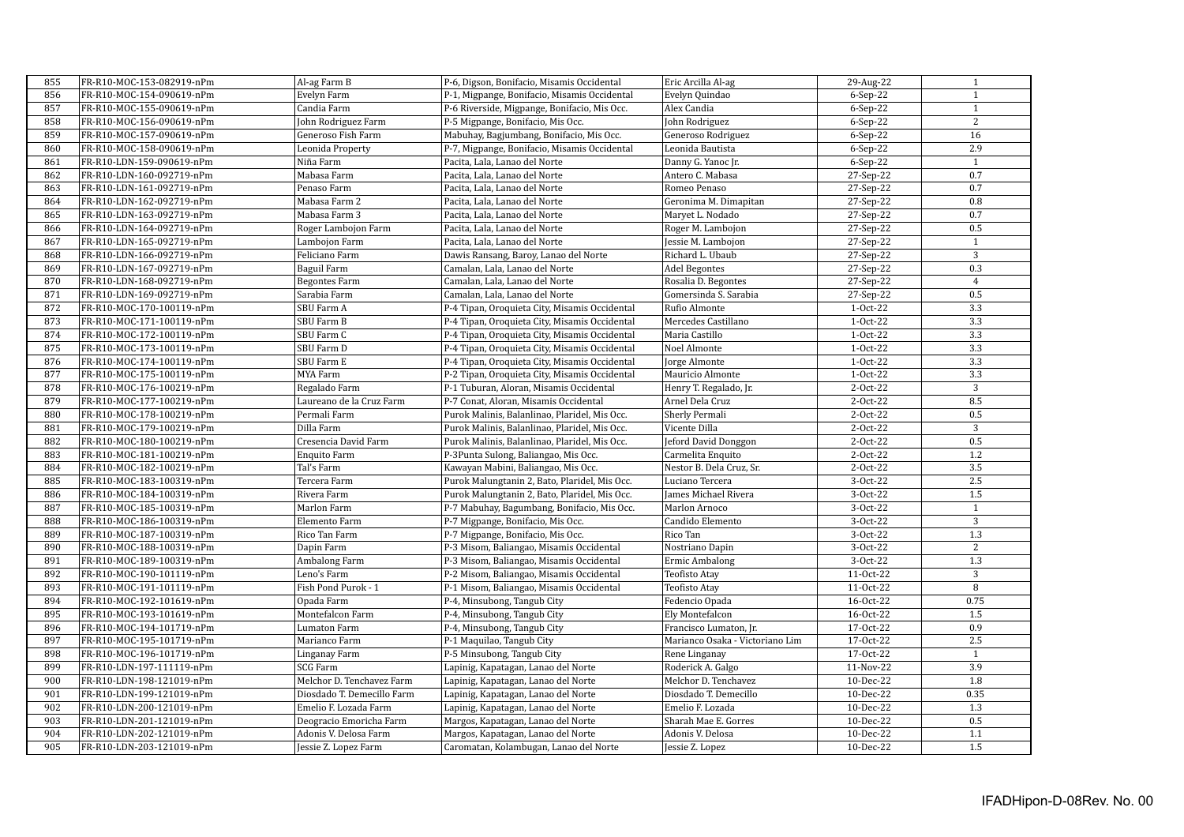| 855 | FR-R10-MOC-153-082919-nPm | Al-ag Farm B               | P-6, Digson, Bonifacio, Misamis Occidental    | Eric Arcilla Al-ag              | 29-Aug-22 | 1                |
|-----|---------------------------|----------------------------|-----------------------------------------------|---------------------------------|-----------|------------------|
| 856 | FR-R10-MOC-154-090619-nPm | Evelyn Farm                | P-1, Migpange, Bonifacio, Misamis Occidental  | Evelyn Quindao                  | 6-Sep-22  | $\mathbf{1}$     |
| 857 | FR-R10-MOC-155-090619-nPm | Candia Farm                | P-6 Riverside, Migpange, Bonifacio, Mis Occ.  | Alex Candia                     | 6-Sep-22  | $\mathbf{1}$     |
| 858 | FR-R10-MOC-156-090619-nPm | John Rodriguez Farm        | P-5 Migpange, Bonifacio, Mis Occ.             | John Rodriguez                  | 6-Sep-22  | 2                |
| 859 | FR-R10-MOC-157-090619-nPm | Generoso Fish Farm         |                                               |                                 | 6-Sep-22  | 16               |
|     |                           |                            | Mabuhay, Bagjumbang, Bonifacio, Mis Occ.      | Generoso Rodriguez              |           | 2.9              |
| 860 | FR-R10-MOC-158-090619-nPm | Leonida Property           | P-7, Migpange, Bonifacio, Misamis Occidental  | Leonida Bautista                | 6-Sep-22  |                  |
| 861 | FR-R10-LDN-159-090619-nPm | Niña Farm                  | Pacita, Lala, Lanao del Norte                 | Danny G. Yanoc Jr.              | 6-Sep-22  | $\mathbf{1}$     |
| 862 | FR-R10-LDN-160-092719-nPm | Mabasa Farm                | Pacita, Lala, Lanao del Norte                 | Antero C. Mabasa                | 27-Sep-22 | 0.7              |
| 863 | FR-R10-LDN-161-092719-nPm | Penaso Farm                | Pacita, Lala, Lanao del Norte                 | Romeo Penaso                    | 27-Sep-22 | 0.7              |
| 864 | FR-R10-LDN-162-092719-nPm | Mabasa Farm 2              | Pacita, Lala, Lanao del Norte                 | Geronima M. Dimapitan           | 27-Sep-22 | 0.8              |
| 865 | FR-R10-LDN-163-092719-nPm | Mabasa Farm 3              | Pacita, Lala, Lanao del Norte                 | Maryet L. Nodado                | 27-Sep-22 | 0.7              |
| 866 | FR-R10-LDN-164-092719-nPm | Roger Lambojon Farm        | Pacita, Lala, Lanao del Norte                 | Roger M. Lambojon               | 27-Sep-22 | 0.5              |
| 867 | FR-R10-LDN-165-092719-nPm | Lambojon Farm              | Pacita, Lala, Lanao del Norte                 | Jessie M. Lambojon              | 27-Sep-22 | $\mathbf{1}$     |
| 868 | FR-R10-LDN-166-092719-nPm | Feliciano Farm             | Dawis Ransang, Baroy, Lanao del Norte         | Richard L. Ubaub                | 27-Sep-22 | $\overline{3}$   |
| 869 | FR-R10-LDN-167-092719-nPm | Baguil Farm                | Camalan, Lala, Lanao del Norte                | <b>Adel Begontes</b>            | 27-Sep-22 | 0.3              |
| 870 | FR-R10-LDN-168-092719-nPm | <b>Begontes Farm</b>       | Camalan, Lala, Lanao del Norte                | Rosalia D. Begontes             | 27-Sep-22 | $\overline{4}$   |
| 871 | FR-R10-LDN-169-092719-nPm | Sarabia Farm               | Camalan, Lala, Lanao del Norte                | Gomersinda S. Sarabia           | 27-Sep-22 | 0.5              |
| 872 | FR-R10-MOC-170-100119-nPm | SBU Farm A                 | P-4 Tipan, Oroquieta City, Misamis Occidental | Rufio Almonte                   | 1-Oct-22  | $\overline{3.3}$ |
| 873 | FR-R10-MOC-171-100119-nPm | SBU Farm B                 | P-4 Tipan, Oroquieta City, Misamis Occidental | Mercedes Castillano             | 1-Oct-22  | 3.3              |
| 874 | FR-R10-MOC-172-100119-nPm | SBU Farm C                 | P-4 Tipan, Oroquieta City, Misamis Occidental | Maria Castillo                  | 1-Oct-22  | $\overline{3.3}$ |
| 875 | FR-R10-MOC-173-100119-nPm | SBU Farm D                 | P-4 Tipan, Oroquieta City, Misamis Occidental | Noel Almonte                    | 1-Oct-22  | $\overline{3.3}$ |
| 876 | FR-R10-MOC-174-100119-nPm | SBU Farm E                 | P-4 Tipan, Oroquieta City, Misamis Occidental | Jorge Almonte                   | 1-Oct-22  | 3.3              |
| 877 | FR-R10-MOC-175-100119-nPm | MYA Farm                   | P-2 Tipan, Oroquieta City, Misamis Occidental | Mauricio Almonte                | 1-Oct-22  | 3.3              |
| 878 | FR-R10-MOC-176-100219-nPm | Regalado Farm              | P-1 Tuburan, Aloran, Misamis Occidental       | Henry T. Regalado, Jr.          | 2-Oct-22  | $\overline{3}$   |
| 879 | FR-R10-MOC-177-100219-nPm | Laureano de la Cruz Farm   | P-7 Conat, Aloran, Misamis Occidental         | Arnel Dela Cruz                 | 2-Oct-22  | 8.5              |
| 880 | FR-R10-MOC-178-100219-nPm | Permali Farm               | Purok Malinis, Balanlinao, Plaridel, Mis Occ. | Sherly Permali                  | 2-Oct-22  | 0.5              |
| 881 | FR-R10-MOC-179-100219-nPm | Dilla Farm                 | Purok Malinis, Balanlinao, Plaridel, Mis Occ. | Vicente Dilla                   | 2-Oct-22  | 3                |
| 882 | FR-R10-MOC-180-100219-nPm | Cresencia David Farm       | Purok Malinis, Balanlinao, Plaridel, Mis Occ. | Jeford David Donggon            | 2-Oct-22  | 0.5              |
| 883 | FR-R10-MOC-181-100219-nPm | <b>Enquito Farm</b>        | P-3Punta Sulong, Baliangao, Mis Occ.          | Carmelita Enquito               | 2-Oct-22  | 1.2              |
| 884 | FR-R10-MOC-182-100219-nPm | Tal's Farm                 | Kawayan Mabini, Baliangao, Mis Occ.           | Nestor B. Dela Cruz, Sr.        | 2-Oct-22  | 3.5              |
| 885 | FR-R10-MOC-183-100319-nPm | Tercera Farm               | Purok Malungtanin 2, Bato, Plaridel, Mis Occ. | Luciano Tercera                 | 3-Oct-22  | 2.5              |
| 886 | FR-R10-MOC-184-100319-nPm | Rivera Farm                | Purok Malungtanin 2, Bato, Plaridel, Mis Occ. | James Michael Rivera            | 3-Oct-22  | 1.5              |
| 887 | FR-R10-MOC-185-100319-nPm | Marlon Farm                | P-7 Mabuhay, Bagumbang, Bonifacio, Mis Occ.   | Marlon Arnoco                   | 3-Oct-22  | $\mathbf{1}$     |
| 888 | FR-R10-MOC-186-100319-nPm | Elemento Farm              | P-7 Migpange, Bonifacio, Mis Occ.             | Candido Elemento                | 3-Oct-22  | $\overline{3}$   |
| 889 | FR-R10-MOC-187-100319-nPm | Rico Tan Farm              | P-7 Migpange, Bonifacio, Mis Occ.             | Rico Tan                        | 3-Oct-22  | 1.3              |
| 890 | FR-R10-MOC-188-100319-nPm | Dapin Farm                 | P-3 Misom, Baliangao, Misamis Occidental      | Nostriano Dapin                 | 3-Oct-22  | 2                |
| 891 | FR-R10-MOC-189-100319-nPm | Ambalong Farm              | P-3 Misom, Baliangao, Misamis Occidental      | Ermic Ambalong                  | 3-Oct-22  | 1.3              |
| 892 | FR-R10-MOC-190-101119-nPm | Leno's Farm                | P-2 Misom, Baliangao, Misamis Occidental      | <b>Teofisto Atay</b>            | 11-Oct-22 | 3                |
| 893 | FR-R10-MOC-191-101119-nPm | Fish Pond Purok - 1        | P-1 Misom, Baliangao, Misamis Occidental      | <b>Teofisto Atay</b>            | 11-Oct-22 | 8                |
| 894 | FR-R10-MOC-192-101619-nPm | Opada Farm                 | P-4, Minsubong, Tangub City                   | Fedencio Opada                  | 16-0ct-22 | 0.75             |
| 895 | FR-R10-MOC-193-101619-nPm | Montefalcon Farm           | P-4, Minsubong, Tangub City                   | Ely Montefalcon                 | 16-Oct-22 | 1.5              |
| 896 | FR-R10-MOC-194-101719-nPm | <b>Lumaton Farm</b>        |                                               | Francisco Lumaton, Jr.          | 17-0ct-22 | 0.9              |
|     |                           |                            | P-4, Minsubong, Tangub City                   |                                 |           |                  |
| 897 | FR-R10-MOC-195-101719-nPm | Marianco Farm              | P-1 Maquilao, Tangub City                     | Marianco Osaka - Victoriano Lim | 17-0ct-22 | 2.5              |
| 898 | FR-R10-MOC-196-101719-nPm | Linganay Farm              | P-5 Minsubong, Tangub City                    | Rene Linganay                   | 17-Oct-22 | $\mathbf{1}$     |
| 899 | FR-R10-LDN-197-111119-nPm | SCG Farm                   | Lapinig, Kapatagan, Lanao del Norte           | Roderick A. Galgo               | 11-Nov-22 | 3.9              |
| 900 | FR-R10-LDN-198-121019-nPm | Melchor D. Tenchavez Farm  | Lapinig, Kapatagan, Lanao del Norte           | Melchor D. Tenchavez            | 10-Dec-22 | $\overline{1.8}$ |
| 901 | FR-R10-LDN-199-121019-nPm | Diosdado T. Demecillo Farm | Lapinig, Kapatagan, Lanao del Norte           | Diosdado T. Demecillo           | 10-Dec-22 | 0.35             |
| 902 | FR-R10-LDN-200-121019-nPm | Emelio F. Lozada Farm      | Lapinig, Kapatagan, Lanao del Norte           | Emelio F. Lozada                | 10-Dec-22 | 1.3              |
| 903 | FR-R10-LDN-201-121019-nPm | Deogracio Emoricha Farm    | Margos, Kapatagan, Lanao del Norte            | Sharah Mae E. Gorres            | 10-Dec-22 | 0.5              |
| 904 | FR-R10-LDN-202-121019-nPm | Adonis V. Delosa Farm      | Margos, Kapatagan, Lanao del Norte            | Adonis V. Delosa                | 10-Dec-22 | $1.1\,$          |
| 905 | FR-R10-LDN-203-121019-nPm | Jessie Z. Lopez Farm       | Caromatan, Kolambugan, Lanao del Norte        | Jessie Z. Lopez                 | 10-Dec-22 | 1.5              |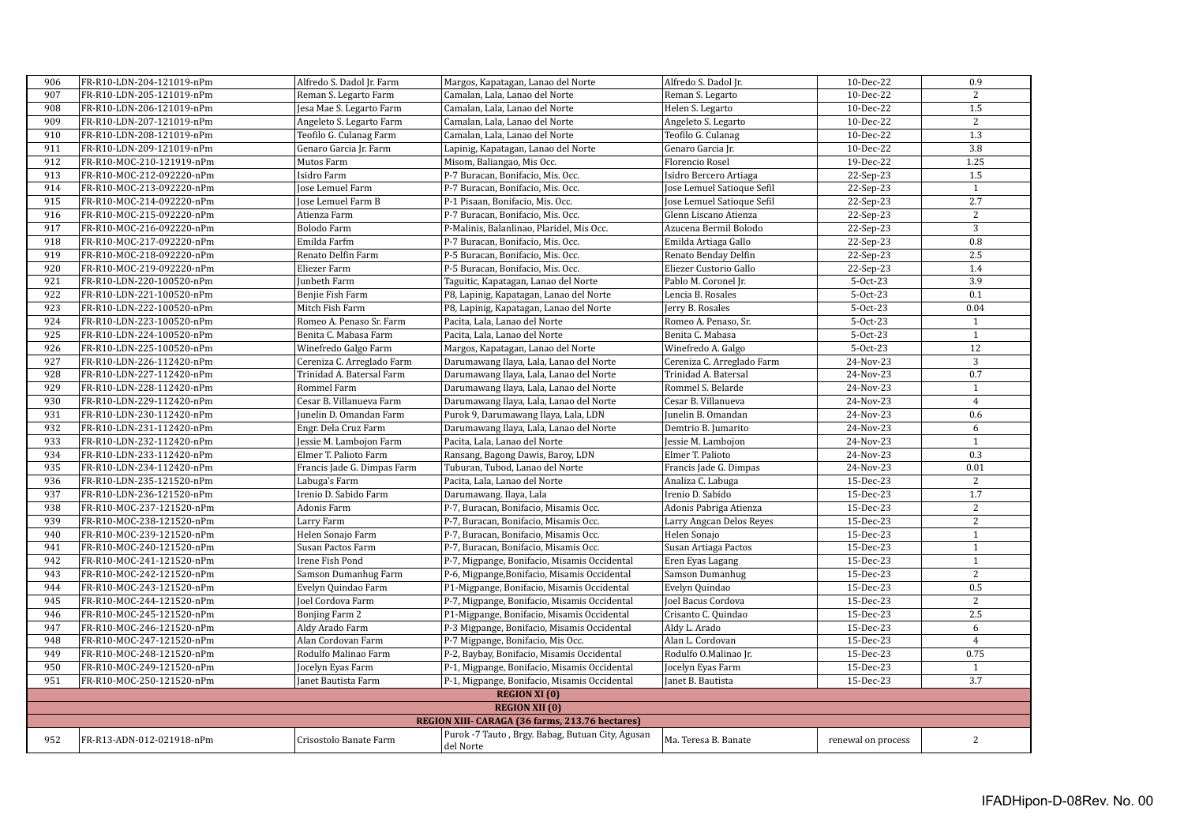| 906 | FR-R10-LDN-204-121019-nPm                              | Alfredo S. Dadol Jr. Farm                | Margos, Kapatagan, Lanao del Norte                            | Alfredo S. Dadol Jr.                 | 10-Dec-22          | 0.9            |
|-----|--------------------------------------------------------|------------------------------------------|---------------------------------------------------------------|--------------------------------------|--------------------|----------------|
| 907 | FR-R10-LDN-205-121019-nPm                              | Reman S. Legarto Farm                    | Camalan, Lala, Lanao del Norte                                | Reman S. Legarto                     | 10-Dec-22          | 2              |
| 908 | FR-R10-LDN-206-121019-nPm                              | Jesa Mae S. Legarto Farm                 | Camalan, Lala, Lanao del Norte                                | Helen S. Legarto                     | 10-Dec-22          | 1.5            |
| 909 | FR-R10-LDN-207-121019-nPm                              | Angeleto S. Legarto Farm                 | Camalan, Lala, Lanao del Norte                                | Angeleto S. Legarto                  | 10-Dec-22          | $\sqrt{2}$     |
| 910 | FR-R10-LDN-208-121019-nPm                              | Teofilo G. Culanag Farm                  | Camalan, Lala, Lanao del Norte                                | Teofilo G. Culanag                   | 10-Dec-22          | 1.3            |
| 911 | FR-R10-LDN-209-121019-nPm                              | Genaro Garcia Jr. Farm                   | Lapinig, Kapatagan, Lanao del Norte                           | Genaro Garcia Ir.                    | 10-Dec-22          | 3.8            |
| 912 | FR-R10-MOC-210-121919-nPm                              | Mutos Farm                               | Misom, Baliangao, Mis Occ.                                    | Florencio Rosel                      | 19-Dec-22          | 1.25           |
| 913 | FR-R10-MOC-212-092220-nPm                              | Isidro Farm                              | P-7 Buracan, Bonifacio, Mis. Occ.                             | Isidro Bercero Artiaga               | $22-Sep-23$        | 1.5            |
| 914 | FR-R10-MOC-213-092220-nPm                              | Jose Lemuel Farm                         | P-7 Buracan, Bonifacio, Mis. Occ.                             | Jose Lemuel Satioque Sefil           | 22-Sep-23          | $\mathbf{1}$   |
| 915 | FR-R10-MOC-214-092220-nPm                              | <b>Jose Lemuel Farm B</b>                | P-1 Pisaan, Bonifacio, Mis. Occ.                              | Jose Lemuel Satioque Sefil           | 22-Sep-23          | 2.7            |
| 916 | FR-R10-MOC-215-092220-nPm                              | Atienza Farm                             | P-7 Buracan, Bonifacio, Mis. Occ.                             | Glenn Liscano Atienza                | 22-Sep-23          | 2              |
| 917 | FR-R10-MOC-216-092220-nPm                              | Bolodo Farm                              | P-Malinis, Balanlinao, Plaridel, Mis Occ.                     | Azucena Bermil Bolodo                | 22-Sep-23          | 3              |
| 918 | FR-R10-MOC-217-092220-nPm                              | Emilda Farfm                             | P-7 Buracan, Bonifacio, Mis. Occ.                             | Emilda Artiaga Gallo                 | 22-Sep-23          | 0.8            |
| 919 | FR-R10-MOC-218-092220-nPm                              | Renato Delfin Farm                       | P-5 Buracan, Bonifacio, Mis. Occ.                             | Renato Benday Delfin                 | 22-Sep-23          | 2.5            |
| 920 | FR-R10-MOC-219-092220-nPm                              | Eliezer Farm                             | P-5 Buracan, Bonifacio, Mis. Occ.                             | Eliezer Custorio Gallo               | 22-Sep-23          | 1.4            |
| 921 | FR-R10-LDN-220-100520-nPm                              | Junbeth Farm                             | Taguitic, Kapatagan, Lanao del Norte                          | Pablo M. Coronel Jr.                 | 5-Oct-23           | 3.9            |
| 922 | FR-R10-LDN-221-100520-nPm                              | Benjie Fish Farm                         | P8, Lapinig, Kapatagan, Lanao del Norte                       | Lencia B. Rosales                    | 5-Oct-23           | 0.1            |
| 923 | FR-R10-LDN-222-100520-nPm                              | Mitch Fish Farm                          | P8, Lapinig, Kapatagan, Lanao del Norte                       | Jerry B. Rosales                     | 5-Oct-23           | 0.04           |
| 924 | FR-R10-LDN-223-100520-nPm                              | Romeo A. Penaso Sr. Farm                 | Pacita, Lala, Lanao del Norte                                 | Romeo A. Penaso, Sr.                 | 5-Oct-23           | $\mathbf{1}$   |
| 925 | FR-R10-LDN-224-100520-nPm                              | Benita C. Mabasa Farm                    | Pacita, Lala, Lanao del Norte                                 | Benita C. Mabasa                     | 5-Oct-23           | $\mathbf{1}$   |
| 926 | FR-R10-LDN-225-100520-nPm                              | Winefredo Galgo Farm                     | Margos, Kapatagan, Lanao del Norte                            | Winefredo A. Galgo                   | 5-Oct-23           | 12             |
| 927 | FR-R10-LDN-226-112420-nPm                              | Cereniza C. Arreglado Farm               | Darumawang Ilaya, Lala, Lanao del Norte                       | Cereniza C. Arreglado Farm           | 24-Nov-23          | $\overline{3}$ |
| 928 | FR-R10-LDN-227-112420-nPm                              | Trinidad A. Batersal Farm                | Darumawang Ilaya, Lala, Lanao del Norte                       | Trinidad A. Batersal                 | 24-Nov-23          | 0.7            |
| 929 | FR-R10-LDN-228-112420-nPm                              | Rommel Farm                              | Darumawang Ilaya, Lala, Lanao del Norte                       | Rommel S. Belarde                    | 24-Nov-23          | $1\,$          |
| 930 | FR-R10-LDN-229-112420-nPm                              | Cesar B. Villanueva Farm                 | Darumawang Ilaya, Lala, Lanao del Norte                       | Cesar B. Villanueva                  | 24-Nov-23          | $\overline{4}$ |
| 931 | FR-R10-LDN-230-112420-nPm                              | Junelin D. Omandan Farm                  | Purok 9, Darumawang Ilaya, Lala, LDN                          | Junelin B. Omandan                   | 24-Nov-23          | 0.6            |
| 932 | FR-R10-LDN-231-112420-nPm                              | Engr. Dela Cruz Farm                     | Darumawang Ilaya, Lala, Lanao del Norte                       | Demtrio B. Jumarito                  | 24-Nov-23          | 6              |
| 933 | FR-R10-LDN-232-112420-nPm                              | Jessie M. Lambojon Farm                  | Pacita, Lala, Lanao del Norte                                 | Jessie M. Lambojon                   | 24-Nov-23          | $\mathbf{1}$   |
| 934 | FR-R10-LDN-233-112420-nPm                              | Elmer T. Palioto Farm                    | Ransang, Bagong Dawis, Baroy, LDN                             | Elmer T. Palioto                     | 24-Nov-23          | 0.3            |
| 935 | FR-R10-LDN-234-112420-nPm                              | Francis Jade G. Dimpas Farm              | Tuburan, Tubod, Lanao del Norte                               | Francis Jade G. Dimpas               | 24-Nov-23          | 0.01           |
| 936 | FR-R10-LDN-235-121520-nPm                              | Labuga's Farm                            | Pacita, Lala, Lanao del Norte                                 | Analiza C. Labuga                    | 15-Dec-23          | $\overline{2}$ |
| 937 | FR-R10-LDN-236-121520-nPm                              | Irenio D. Sabido Farm                    | Darumawang. Ilaya, Lala                                       | Irenio D. Sabido                     | 15-Dec-23          | 1.7            |
| 938 | FR-R10-MOC-237-121520-nPm                              | Adonis Farm                              | P-7, Buracan, Bonifacio, Misamis Occ.                         | Adonis Pabriga Atienza               | 15-Dec-23          | 2              |
| 939 | FR-R10-MOC-238-121520-nPm                              | Larry Farm                               | P-7, Buracan, Bonifacio, Misamis Occ.                         | Larry Angcan Delos Reyes             | 15-Dec-23          | 2              |
| 940 | FR-R10-MOC-239-121520-nPm                              | Helen Sonajo Farm                        | P-7, Buracan, Bonifacio, Misamis Occ.                         | Helen Sonajo                         | 15-Dec-23          | $\mathbf{1}$   |
| 941 | FR-R10-MOC-240-121520-nPm                              | Susan Pactos Farm                        | P-7, Buracan, Bonifacio, Misamis Occ.                         | Susan Artiaga Pactos                 | 15-Dec-23          | $\mathbf{1}$   |
| 942 | FR-R10-MOC-241-121520-nPm                              | Irene Fish Pond                          | P-7, Migpange, Bonifacio, Misamis Occidental                  | Eren Eyas Lagang                     | 15-Dec-23          | $\overline{1}$ |
| 943 |                                                        |                                          |                                                               |                                      | 15-Dec-23          | $\overline{2}$ |
| 944 | FR-R10-MOC-242-121520-nPm<br>FR-R10-MOC-243-121520-nPm | Samson Dumanhug Farm                     | P-6, Migpange, Bonifacio, Misamis Occidental                  | Samson Dumanhug                      | 15-Dec-23          | 0.5            |
| 945 | FR-R10-MOC-244-121520-nPm                              | Evelyn Quindao Farm<br>Joel Cordova Farm | P1-Migpange, Bonifacio, Misamis Occidental                    | Evelyn Quindao<br>Joel Bacus Cordova |                    | $\overline{2}$ |
| 946 |                                                        |                                          | P-7, Migpange, Bonifacio, Misamis Occidental                  | Crisanto C. Quindao                  | 15-Dec-23          | 2.5            |
| 947 | FR-R10-MOC-245-121520-nPm                              | Bonjing Farm 2                           | P1-Migpange, Bonifacio, Misamis Occidental                    |                                      | 15-Dec-23          | 6              |
|     | FR-R10-MOC-246-121520-nPm                              | Aldy Arado Farm                          | P-3 Migpange, Bonifacio, Misamis Occidental                   | Aldy L. Arado                        | 15-Dec-23          |                |
| 948 | FR-R10-MOC-247-121520-nPm                              | Alan Cordovan Farm                       | P-7 Migpange, Bonifacio, Mis Occ.                             | Alan L. Cordovan                     | 15-Dec-23          | $\overline{4}$ |
| 949 | FR-R10-MOC-248-121520-nPm                              | Rodulfo Malinao Farm                     | P-2, Baybay, Bonifacio, Misamis Occidental                    | Rodulfo O.Malinao Jr.                | 15-Dec-23          | 0.75           |
| 950 | FR-R10-MOC-249-121520-nPm                              | Jocelyn Eyas Farm                        | P-1, Migpange, Bonifacio, Misamis Occidental                  | Jocelyn Eyas Farm                    | 15-Dec-23          | $\mathbf{1}$   |
| 951 | FR-R10-MOC-250-121520-nPm                              | Janet Bautista Farm                      | P-1, Migpange, Bonifacio, Misamis Occidental                  | Janet B. Bautista                    | 15-Dec-23          | 3.7            |
|     |                                                        |                                          | <b>REGION XI (0)</b>                                          |                                      |                    |                |
|     |                                                        |                                          | <b>REGION XII (0)</b>                                         |                                      |                    |                |
|     |                                                        |                                          | REGION XIII- CARAGA (36 farms, 213.76 hectares)               |                                      |                    |                |
| 952 | FR-R13-ADN-012-021918-nPm                              | Crisostolo Banate Farm                   | Purok -7 Tauto, Brgy. Babag, Butuan City, Agusan<br>del Norte | Ma. Teresa B. Banate                 | renewal on process | $\overline{2}$ |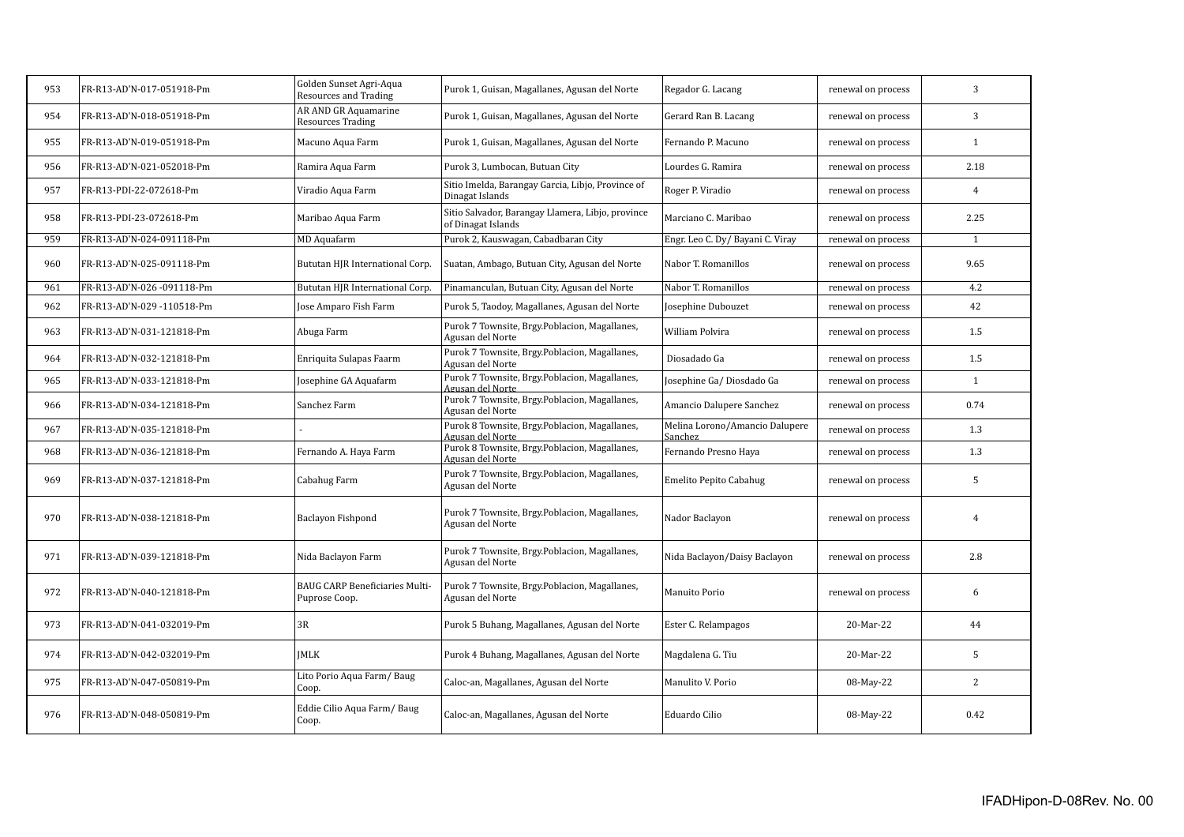| 953 | FR-R13-AD'N-017-051918-Pm | Golden Sunset Agri-Aqua<br><b>Resources and Trading</b> | Purok 1, Guisan, Magallanes, Agusan del Norte                           | Regador G. Lacang                         | renewal on process | 3              |
|-----|---------------------------|---------------------------------------------------------|-------------------------------------------------------------------------|-------------------------------------------|--------------------|----------------|
| 954 | FR-R13-AD'N-018-051918-Pm | AR AND GR Aquamarine<br><b>Resources Trading</b>        | Purok 1, Guisan, Magallanes, Agusan del Norte                           | Gerard Ran B. Lacang                      | renewal on process | 3              |
| 955 | FR-R13-AD'N-019-051918-Pm | Macuno Aqua Farm                                        | Purok 1, Guisan, Magallanes, Agusan del Norte                           | Fernando P. Macuno                        | renewal on process | $\mathbf{1}$   |
| 956 | FR-R13-AD'N-021-052018-Pm | Ramira Aqua Farm                                        | Purok 3, Lumbocan, Butuan City                                          | Lourdes G. Ramira                         | renewal on process | 2.18           |
| 957 | FR-R13-PDI-22-072618-Pm   | Viradio Aqua Farm                                       | Sitio Imelda, Barangay Garcia, Libjo, Province of<br>Dinagat Islands    | Roger P. Viradio                          | renewal on process | $\overline{4}$ |
| 958 | FR-R13-PDI-23-072618-Pm   | Maribao Aqua Farm                                       | Sitio Salvador, Barangay Llamera, Libjo, province<br>of Dinagat Islands | Marciano C. Maribao                       | renewal on process | 2.25           |
| 959 | FR-R13-AD'N-024-091118-Pm | MD Aquafarm                                             | Purok 2, Kauswagan, Cabadbaran City                                     | Engr. Leo C. Dy/ Bayani C. Viray          | renewal on process | $\mathbf{1}$   |
| 960 | FR-R13-AD'N-025-091118-Pm | Bututan HJR International Corp.                         | Suatan, Ambago, Butuan City, Agusan del Norte                           | Nabor T. Romanillos                       | renewal on process | 9.65           |
| 961 | FR-R13-AD'N-026-091118-Pm | <b>Bututan HJR International Corp</b>                   | Pinamanculan, Butuan City, Agusan del Norte                             | Nabor T. Romanillos                       | renewal on process | 4.2            |
| 962 | FR-R13-AD'N-029-110518-Pm | Jose Amparo Fish Farm                                   | Purok 5, Taodoy, Magallanes, Agusan del Norte                           | Josephine Dubouzet                        | renewal on process | 42             |
| 963 | FR-R13-AD'N-031-121818-Pm | Abuga Farm                                              | Purok 7 Townsite, Brgy.Poblacion, Magallanes,<br>Agusan del Norte       | William Polvira                           | renewal on process | 1.5            |
| 964 | FR-R13-AD'N-032-121818-Pm | Enriquita Sulapas Faarm                                 | Purok 7 Townsite, Brgy.Poblacion, Magallanes,<br>Agusan del Norte       | Diosadado Ga                              | renewal on process | 1.5            |
| 965 | FR-R13-AD'N-033-121818-Pm | Josephine GA Aquafarm                                   | Purok 7 Townsite, Brgy.Poblacion, Magallanes,<br>Agusan del Norte       | Josephine Ga/Diosdado Ga                  | renewal on process | $\mathbf{1}$   |
| 966 | FR-R13-AD'N-034-121818-Pm | Sanchez Farm                                            | Purok 7 Townsite, Brgy.Poblacion, Magallanes,<br>Agusan del Norte       | Amancio Dalupere Sanchez                  | renewal on process | 0.74           |
| 967 | FR-R13-AD'N-035-121818-Pm |                                                         | Purok 8 Townsite, Brgy.Poblacion, Magallanes,<br>Agusan del Norte       | Melina Lorono/Amancio Dalupere<br>Sanchez | renewal on process | 1.3            |
| 968 | FR-R13-AD'N-036-121818-Pm | Fernando A. Haya Farm                                   | Purok 8 Townsite, Brgy.Poblacion, Magallanes,<br>Agusan del Norte       | Fernando Presno Haya                      | renewal on process | 1.3            |
| 969 | FR-R13-AD'N-037-121818-Pm | Cabahug Farm                                            | Purok 7 Townsite, Brgy.Poblacion, Magallanes,<br>Agusan del Norte       | Emelito Pepito Cabahug                    | renewal on process | 5              |
| 970 | FR-R13-AD'N-038-121818-Pm | Baclayon Fishpond                                       | Purok 7 Townsite, Brgy.Poblacion, Magallanes,<br>Agusan del Norte       | Nador Baclayon                            | renewal on process | $\overline{4}$ |
| 971 | FR-R13-AD'N-039-121818-Pm | Nida Baclayon Farm                                      | Purok 7 Townsite, Brgy.Poblacion, Magallanes,<br>Agusan del Norte       | Nida Baclayon/Daisy Baclayon              | renewal on process | 2.8            |
| 972 | FR-R13-AD'N-040-121818-Pm | <b>BAUG CARP Beneficiaries Multi-</b><br>Puprose Coop.  | Purok 7 Townsite, Brgy.Poblacion, Magallanes,<br>Agusan del Norte       | Manuito Porio                             | renewal on process | 6              |
| 973 | FR-R13-AD'N-041-032019-Pm | 3R                                                      | Purok 5 Buhang, Magallanes, Agusan del Norte                            | Ester C. Relampagos                       | 20-Mar-22          | 44             |
| 974 | FR-R13-AD'N-042-032019-Pm | <b>IMLK</b>                                             | Purok 4 Buhang, Magallanes, Agusan del Norte                            | Magdalena G. Tiu                          | 20-Mar-22          | 5              |
| 975 | FR-R13-AD'N-047-050819-Pm | Lito Porio Aqua Farm/Baug<br>Coop.                      | Caloc-an, Magallanes, Agusan del Norte                                  | Manulito V. Porio                         | 08-May-22          | 2              |
| 976 | FR-R13-AD'N-048-050819-Pm | Eddie Cilio Aqua Farm/Baug<br>Coop.                     | Caloc-an, Magallanes, Agusan del Norte                                  | Eduardo Cilio                             | 08-May-22          | 0.42           |